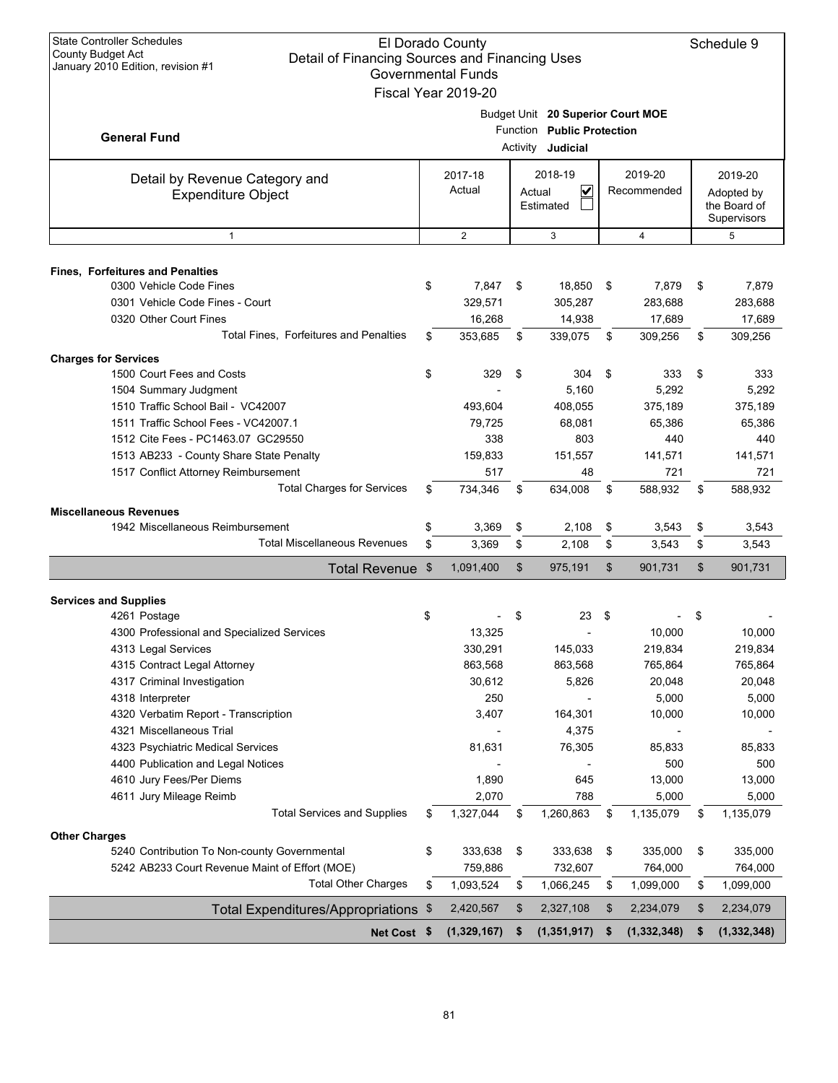| Budget Unit 20 Superior Court MOE<br>Function Public Protection<br><b>General Fund</b><br>Activity <b>Judicial</b><br>2019-20<br>2017-18<br>2018-19<br>2019-20<br>Detail by Revenue Category and<br>$\overline{\mathbf{v}}$<br>Actual<br>Recommended<br>Actual<br>Adopted by<br><b>Expenditure Object</b><br>the Board of<br>Estimated<br>Supervisors<br>2<br>3<br>$\overline{4}$<br>5<br>$\mathbf{1}$<br><b>Fines, Forfeitures and Penalties</b><br>0300 Vehicle Code Fines<br>\$<br>7,847<br>\$<br>18,850<br>7,879<br>- \$<br>\$<br>0301 Vehicle Code Fines - Court<br>329,571<br>305,287<br>283,688<br>0320 Other Court Fines<br>16,268<br>14,938<br>17,689<br><b>Total Fines. Forfeitures and Penalties</b><br>\$<br>353,685<br>\$<br>339,075<br>\$<br>309,256<br>\$<br><b>Charges for Services</b><br>1500 Court Fees and Costs<br>\$<br>329<br>\$<br>304<br>\$<br>333<br>\$<br>5,160<br>5,292<br>1504 Summary Judgment<br>1510 Traffic School Bail - VC42007<br>493,604<br>408,055<br>375,189<br>1511 Traffic School Fees - VC42007.1<br>79,725<br>68,081<br>65,386<br>338<br>1512 Cite Fees - PC1463.07 GC29550<br>803<br>440<br>1513 AB233 - County Share State Penalty<br>159,833<br>151,557<br>141,571<br>721<br>1517 Conflict Attorney Reimbursement<br>517<br>48<br><b>Total Charges for Services</b><br>734,346<br>634,008<br>\$<br>\$<br>\$<br>588,932<br>\$<br><b>Miscellaneous Revenues</b><br>1942 Miscellaneous Reimbursement<br>\$<br>\$<br>\$<br>3,369<br>2,108<br>3,543<br>\$<br><b>Total Miscellaneous Revenues</b><br>3,369<br>\$<br>2,108<br>\$<br>\$<br>3,543<br>\$<br>\$<br>\$<br>1,091,400<br>975,191<br>\$<br>901,731<br><b>Total Revenue</b><br>\$<br><b>Services and Supplies</b><br>4261 Postage<br>\$<br>\$<br>23<br>-\$<br>\$<br>13,325<br>10,000<br>4300 Professional and Specialized Services<br>330,291<br>145,033<br>219,834<br>4313 Legal Services<br>4315 Contract Legal Attorney<br>863,568<br>863,568<br>765,864<br>4317 Criminal Investigation<br>20,048<br>30,612<br>5,826<br>5,000<br>4318 Interpreter<br>250<br>4320 Verbatim Report - Transcription<br>3,407<br>164,301<br>10,000<br>4321 Miscellaneous Trial<br>4,375<br>4323 Psychiatric Medical Services<br>76,305<br>85,833<br>81,631<br>4400 Publication and Legal Notices<br>500<br>4610 Jury Fees/Per Diems<br>1,890<br>645<br>13,000<br>4611 Jury Mileage Reimb<br>2,070<br>788<br>5,000<br><b>Total Services and Supplies</b><br>\$<br>1,260,863<br>1,327,044<br>\$<br>1,135,079<br>\$<br>\$<br><b>Other Charges</b><br>5240 Contribution To Non-county Governmental<br>333,638<br>333,638<br>335,000<br>\$<br>\$<br>\$<br>\$<br>5242 AB233 Court Revenue Maint of Effort (MOE)<br>764,000<br>759,886<br>732,607<br>764,000 | <b>State Controller Schedules</b><br><b>County Budget Act</b><br>January 2010 Edition, revision #1 | El Dorado County<br>Detail of Financing Sources and Financing Uses<br><b>Governmental Funds</b><br>Fiscal Year 2019-20 |  |  |  |  |  |  |                            |  |  |  |
|------------------------------------------------------------------------------------------------------------------------------------------------------------------------------------------------------------------------------------------------------------------------------------------------------------------------------------------------------------------------------------------------------------------------------------------------------------------------------------------------------------------------------------------------------------------------------------------------------------------------------------------------------------------------------------------------------------------------------------------------------------------------------------------------------------------------------------------------------------------------------------------------------------------------------------------------------------------------------------------------------------------------------------------------------------------------------------------------------------------------------------------------------------------------------------------------------------------------------------------------------------------------------------------------------------------------------------------------------------------------------------------------------------------------------------------------------------------------------------------------------------------------------------------------------------------------------------------------------------------------------------------------------------------------------------------------------------------------------------------------------------------------------------------------------------------------------------------------------------------------------------------------------------------------------------------------------------------------------------------------------------------------------------------------------------------------------------------------------------------------------------------------------------------------------------------------------------------------------------------------------------------------------------------------------------------------------------------------------------------------------------------------------------------------------------------------------------------------------------------------------------------------------------------------------------------------------------------------------------------------------------------------------------------------------------------------------------------------------------|----------------------------------------------------------------------------------------------------|------------------------------------------------------------------------------------------------------------------------|--|--|--|--|--|--|----------------------------|--|--|--|
|                                                                                                                                                                                                                                                                                                                                                                                                                                                                                                                                                                                                                                                                                                                                                                                                                                                                                                                                                                                                                                                                                                                                                                                                                                                                                                                                                                                                                                                                                                                                                                                                                                                                                                                                                                                                                                                                                                                                                                                                                                                                                                                                                                                                                                                                                                                                                                                                                                                                                                                                                                                                                                                                                                                                    |                                                                                                    |                                                                                                                        |  |  |  |  |  |  |                            |  |  |  |
|                                                                                                                                                                                                                                                                                                                                                                                                                                                                                                                                                                                                                                                                                                                                                                                                                                                                                                                                                                                                                                                                                                                                                                                                                                                                                                                                                                                                                                                                                                                                                                                                                                                                                                                                                                                                                                                                                                                                                                                                                                                                                                                                                                                                                                                                                                                                                                                                                                                                                                                                                                                                                                                                                                                                    |                                                                                                    |                                                                                                                        |  |  |  |  |  |  |                            |  |  |  |
|                                                                                                                                                                                                                                                                                                                                                                                                                                                                                                                                                                                                                                                                                                                                                                                                                                                                                                                                                                                                                                                                                                                                                                                                                                                                                                                                                                                                                                                                                                                                                                                                                                                                                                                                                                                                                                                                                                                                                                                                                                                                                                                                                                                                                                                                                                                                                                                                                                                                                                                                                                                                                                                                                                                                    |                                                                                                    |                                                                                                                        |  |  |  |  |  |  |                            |  |  |  |
|                                                                                                                                                                                                                                                                                                                                                                                                                                                                                                                                                                                                                                                                                                                                                                                                                                                                                                                                                                                                                                                                                                                                                                                                                                                                                                                                                                                                                                                                                                                                                                                                                                                                                                                                                                                                                                                                                                                                                                                                                                                                                                                                                                                                                                                                                                                                                                                                                                                                                                                                                                                                                                                                                                                                    |                                                                                                    |                                                                                                                        |  |  |  |  |  |  |                            |  |  |  |
|                                                                                                                                                                                                                                                                                                                                                                                                                                                                                                                                                                                                                                                                                                                                                                                                                                                                                                                                                                                                                                                                                                                                                                                                                                                                                                                                                                                                                                                                                                                                                                                                                                                                                                                                                                                                                                                                                                                                                                                                                                                                                                                                                                                                                                                                                                                                                                                                                                                                                                                                                                                                                                                                                                                                    |                                                                                                    |                                                                                                                        |  |  |  |  |  |  | 7,879<br>283,688<br>17,689 |  |  |  |
|                                                                                                                                                                                                                                                                                                                                                                                                                                                                                                                                                                                                                                                                                                                                                                                                                                                                                                                                                                                                                                                                                                                                                                                                                                                                                                                                                                                                                                                                                                                                                                                                                                                                                                                                                                                                                                                                                                                                                                                                                                                                                                                                                                                                                                                                                                                                                                                                                                                                                                                                                                                                                                                                                                                                    |                                                                                                    |                                                                                                                        |  |  |  |  |  |  | 309,256                    |  |  |  |
|                                                                                                                                                                                                                                                                                                                                                                                                                                                                                                                                                                                                                                                                                                                                                                                                                                                                                                                                                                                                                                                                                                                                                                                                                                                                                                                                                                                                                                                                                                                                                                                                                                                                                                                                                                                                                                                                                                                                                                                                                                                                                                                                                                                                                                                                                                                                                                                                                                                                                                                                                                                                                                                                                                                                    |                                                                                                    |                                                                                                                        |  |  |  |  |  |  | 333<br>5,292<br>375,189    |  |  |  |
|                                                                                                                                                                                                                                                                                                                                                                                                                                                                                                                                                                                                                                                                                                                                                                                                                                                                                                                                                                                                                                                                                                                                                                                                                                                                                                                                                                                                                                                                                                                                                                                                                                                                                                                                                                                                                                                                                                                                                                                                                                                                                                                                                                                                                                                                                                                                                                                                                                                                                                                                                                                                                                                                                                                                    |                                                                                                    |                                                                                                                        |  |  |  |  |  |  | 65,386<br>440<br>141,571   |  |  |  |
|                                                                                                                                                                                                                                                                                                                                                                                                                                                                                                                                                                                                                                                                                                                                                                                                                                                                                                                                                                                                                                                                                                                                                                                                                                                                                                                                                                                                                                                                                                                                                                                                                                                                                                                                                                                                                                                                                                                                                                                                                                                                                                                                                                                                                                                                                                                                                                                                                                                                                                                                                                                                                                                                                                                                    |                                                                                                    |                                                                                                                        |  |  |  |  |  |  | 721                        |  |  |  |
|                                                                                                                                                                                                                                                                                                                                                                                                                                                                                                                                                                                                                                                                                                                                                                                                                                                                                                                                                                                                                                                                                                                                                                                                                                                                                                                                                                                                                                                                                                                                                                                                                                                                                                                                                                                                                                                                                                                                                                                                                                                                                                                                                                                                                                                                                                                                                                                                                                                                                                                                                                                                                                                                                                                                    |                                                                                                    |                                                                                                                        |  |  |  |  |  |  | 588,932                    |  |  |  |
|                                                                                                                                                                                                                                                                                                                                                                                                                                                                                                                                                                                                                                                                                                                                                                                                                                                                                                                                                                                                                                                                                                                                                                                                                                                                                                                                                                                                                                                                                                                                                                                                                                                                                                                                                                                                                                                                                                                                                                                                                                                                                                                                                                                                                                                                                                                                                                                                                                                                                                                                                                                                                                                                                                                                    |                                                                                                    |                                                                                                                        |  |  |  |  |  |  | 3,543<br>3,543             |  |  |  |
|                                                                                                                                                                                                                                                                                                                                                                                                                                                                                                                                                                                                                                                                                                                                                                                                                                                                                                                                                                                                                                                                                                                                                                                                                                                                                                                                                                                                                                                                                                                                                                                                                                                                                                                                                                                                                                                                                                                                                                                                                                                                                                                                                                                                                                                                                                                                                                                                                                                                                                                                                                                                                                                                                                                                    |                                                                                                    |                                                                                                                        |  |  |  |  |  |  | 901,731                    |  |  |  |
|                                                                                                                                                                                                                                                                                                                                                                                                                                                                                                                                                                                                                                                                                                                                                                                                                                                                                                                                                                                                                                                                                                                                                                                                                                                                                                                                                                                                                                                                                                                                                                                                                                                                                                                                                                                                                                                                                                                                                                                                                                                                                                                                                                                                                                                                                                                                                                                                                                                                                                                                                                                                                                                                                                                                    |                                                                                                    |                                                                                                                        |  |  |  |  |  |  |                            |  |  |  |
|                                                                                                                                                                                                                                                                                                                                                                                                                                                                                                                                                                                                                                                                                                                                                                                                                                                                                                                                                                                                                                                                                                                                                                                                                                                                                                                                                                                                                                                                                                                                                                                                                                                                                                                                                                                                                                                                                                                                                                                                                                                                                                                                                                                                                                                                                                                                                                                                                                                                                                                                                                                                                                                                                                                                    |                                                                                                    |                                                                                                                        |  |  |  |  |  |  |                            |  |  |  |
|                                                                                                                                                                                                                                                                                                                                                                                                                                                                                                                                                                                                                                                                                                                                                                                                                                                                                                                                                                                                                                                                                                                                                                                                                                                                                                                                                                                                                                                                                                                                                                                                                                                                                                                                                                                                                                                                                                                                                                                                                                                                                                                                                                                                                                                                                                                                                                                                                                                                                                                                                                                                                                                                                                                                    |                                                                                                    |                                                                                                                        |  |  |  |  |  |  | 10,000                     |  |  |  |
|                                                                                                                                                                                                                                                                                                                                                                                                                                                                                                                                                                                                                                                                                                                                                                                                                                                                                                                                                                                                                                                                                                                                                                                                                                                                                                                                                                                                                                                                                                                                                                                                                                                                                                                                                                                                                                                                                                                                                                                                                                                                                                                                                                                                                                                                                                                                                                                                                                                                                                                                                                                                                                                                                                                                    |                                                                                                    |                                                                                                                        |  |  |  |  |  |  | 219,834                    |  |  |  |
|                                                                                                                                                                                                                                                                                                                                                                                                                                                                                                                                                                                                                                                                                                                                                                                                                                                                                                                                                                                                                                                                                                                                                                                                                                                                                                                                                                                                                                                                                                                                                                                                                                                                                                                                                                                                                                                                                                                                                                                                                                                                                                                                                                                                                                                                                                                                                                                                                                                                                                                                                                                                                                                                                                                                    |                                                                                                    |                                                                                                                        |  |  |  |  |  |  | 765,864                    |  |  |  |
|                                                                                                                                                                                                                                                                                                                                                                                                                                                                                                                                                                                                                                                                                                                                                                                                                                                                                                                                                                                                                                                                                                                                                                                                                                                                                                                                                                                                                                                                                                                                                                                                                                                                                                                                                                                                                                                                                                                                                                                                                                                                                                                                                                                                                                                                                                                                                                                                                                                                                                                                                                                                                                                                                                                                    |                                                                                                    |                                                                                                                        |  |  |  |  |  |  | 20,048                     |  |  |  |
|                                                                                                                                                                                                                                                                                                                                                                                                                                                                                                                                                                                                                                                                                                                                                                                                                                                                                                                                                                                                                                                                                                                                                                                                                                                                                                                                                                                                                                                                                                                                                                                                                                                                                                                                                                                                                                                                                                                                                                                                                                                                                                                                                                                                                                                                                                                                                                                                                                                                                                                                                                                                                                                                                                                                    |                                                                                                    |                                                                                                                        |  |  |  |  |  |  | 5,000<br>10,000            |  |  |  |
|                                                                                                                                                                                                                                                                                                                                                                                                                                                                                                                                                                                                                                                                                                                                                                                                                                                                                                                                                                                                                                                                                                                                                                                                                                                                                                                                                                                                                                                                                                                                                                                                                                                                                                                                                                                                                                                                                                                                                                                                                                                                                                                                                                                                                                                                                                                                                                                                                                                                                                                                                                                                                                                                                                                                    |                                                                                                    |                                                                                                                        |  |  |  |  |  |  | 85,833<br>500              |  |  |  |
|                                                                                                                                                                                                                                                                                                                                                                                                                                                                                                                                                                                                                                                                                                                                                                                                                                                                                                                                                                                                                                                                                                                                                                                                                                                                                                                                                                                                                                                                                                                                                                                                                                                                                                                                                                                                                                                                                                                                                                                                                                                                                                                                                                                                                                                                                                                                                                                                                                                                                                                                                                                                                                                                                                                                    |                                                                                                    |                                                                                                                        |  |  |  |  |  |  | 13,000                     |  |  |  |
|                                                                                                                                                                                                                                                                                                                                                                                                                                                                                                                                                                                                                                                                                                                                                                                                                                                                                                                                                                                                                                                                                                                                                                                                                                                                                                                                                                                                                                                                                                                                                                                                                                                                                                                                                                                                                                                                                                                                                                                                                                                                                                                                                                                                                                                                                                                                                                                                                                                                                                                                                                                                                                                                                                                                    |                                                                                                    |                                                                                                                        |  |  |  |  |  |  | 5,000                      |  |  |  |
|                                                                                                                                                                                                                                                                                                                                                                                                                                                                                                                                                                                                                                                                                                                                                                                                                                                                                                                                                                                                                                                                                                                                                                                                                                                                                                                                                                                                                                                                                                                                                                                                                                                                                                                                                                                                                                                                                                                                                                                                                                                                                                                                                                                                                                                                                                                                                                                                                                                                                                                                                                                                                                                                                                                                    |                                                                                                    |                                                                                                                        |  |  |  |  |  |  | 1,135,079                  |  |  |  |
|                                                                                                                                                                                                                                                                                                                                                                                                                                                                                                                                                                                                                                                                                                                                                                                                                                                                                                                                                                                                                                                                                                                                                                                                                                                                                                                                                                                                                                                                                                                                                                                                                                                                                                                                                                                                                                                                                                                                                                                                                                                                                                                                                                                                                                                                                                                                                                                                                                                                                                                                                                                                                                                                                                                                    |                                                                                                    |                                                                                                                        |  |  |  |  |  |  | 335,000                    |  |  |  |
| <b>Total Other Charges</b><br>1,093,524<br>1,066,245<br>1,099,000<br>\$<br>\$<br>\$<br>\$                                                                                                                                                                                                                                                                                                                                                                                                                                                                                                                                                                                                                                                                                                                                                                                                                                                                                                                                                                                                                                                                                                                                                                                                                                                                                                                                                                                                                                                                                                                                                                                                                                                                                                                                                                                                                                                                                                                                                                                                                                                                                                                                                                                                                                                                                                                                                                                                                                                                                                                                                                                                                                          |                                                                                                    |                                                                                                                        |  |  |  |  |  |  | 1,099,000                  |  |  |  |
| \$<br>2,420,567<br>\$<br>2,327,108<br>2,234,079<br>Total Expenditures/Appropriations \$<br>\$                                                                                                                                                                                                                                                                                                                                                                                                                                                                                                                                                                                                                                                                                                                                                                                                                                                                                                                                                                                                                                                                                                                                                                                                                                                                                                                                                                                                                                                                                                                                                                                                                                                                                                                                                                                                                                                                                                                                                                                                                                                                                                                                                                                                                                                                                                                                                                                                                                                                                                                                                                                                                                      |                                                                                                    |                                                                                                                        |  |  |  |  |  |  | 2,234,079                  |  |  |  |
| (1,329,167)<br>(1,351,917)<br>(1, 332, 348)<br>\$<br>\$<br>Net Cost \$<br>\$                                                                                                                                                                                                                                                                                                                                                                                                                                                                                                                                                                                                                                                                                                                                                                                                                                                                                                                                                                                                                                                                                                                                                                                                                                                                                                                                                                                                                                                                                                                                                                                                                                                                                                                                                                                                                                                                                                                                                                                                                                                                                                                                                                                                                                                                                                                                                                                                                                                                                                                                                                                                                                                       |                                                                                                    |                                                                                                                        |  |  |  |  |  |  | (1, 332, 348)              |  |  |  |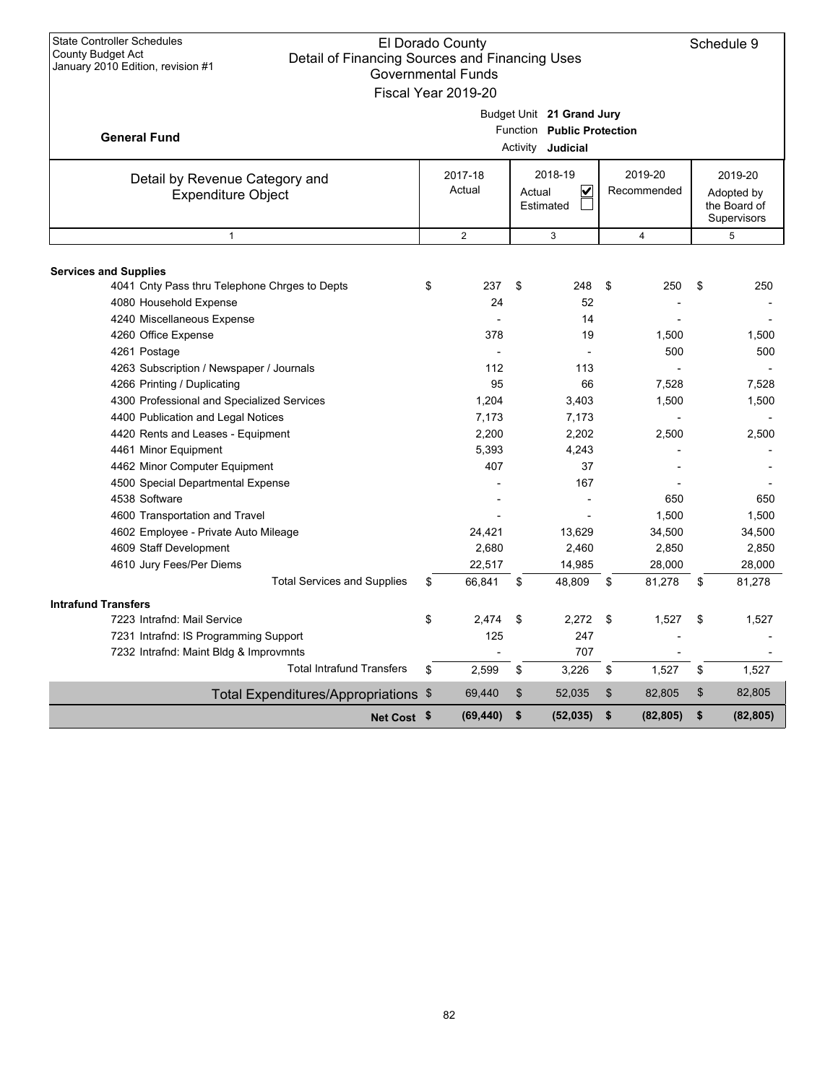| <b>State Controller Schedules</b><br>County Budget Act<br>Detail of Financing Sources and Financing Uses<br>January 2010 Edition, revision #1 | El Dorado County<br><b>Governmental Funds</b><br>Fiscal Year 2019-20 |                                                                                     |                        | Schedule 9                                           |
|-----------------------------------------------------------------------------------------------------------------------------------------------|----------------------------------------------------------------------|-------------------------------------------------------------------------------------|------------------------|------------------------------------------------------|
| <b>General Fund</b>                                                                                                                           |                                                                      | Budget Unit 21 Grand Jury<br>Function Public Protection<br>Activity <b>Judicial</b> |                        |                                                      |
| Detail by Revenue Category and<br><b>Expenditure Object</b>                                                                                   | 2017-18<br>Actual                                                    | 2018-19<br>V<br>Actual<br>Estimated                                                 | 2019-20<br>Recommended | 2019-20<br>Adopted by<br>the Board of<br>Supervisors |
| $\mathbf{1}$                                                                                                                                  | $\overline{2}$                                                       | 3                                                                                   | $\overline{4}$         | 5                                                    |
| <b>Services and Supplies</b>                                                                                                                  |                                                                      |                                                                                     |                        |                                                      |
| 4041 Cnty Pass thru Telephone Chrges to Depts<br>4080 Household Expense                                                                       | \$<br>237<br>24                                                      | \$<br>248<br>52                                                                     | \$<br>250              | \$<br>250                                            |
| 4240 Miscellaneous Expense                                                                                                                    |                                                                      | 14                                                                                  |                        |                                                      |
| 4260 Office Expense                                                                                                                           | 378                                                                  | 19                                                                                  | 1,500                  | 1,500                                                |
| 4261 Postage                                                                                                                                  |                                                                      | $\overline{a}$                                                                      | 500                    | 500                                                  |
| 4263 Subscription / Newspaper / Journals                                                                                                      | 112                                                                  | 113                                                                                 |                        |                                                      |
| 4266 Printing / Duplicating                                                                                                                   | 95                                                                   | 66                                                                                  | 7,528                  | 7,528                                                |
| 4300 Professional and Specialized Services                                                                                                    | 1,204                                                                | 3,403                                                                               | 1,500                  | 1,500                                                |
| 4400 Publication and Legal Notices                                                                                                            | 7,173                                                                | 7,173                                                                               |                        |                                                      |
| 4420 Rents and Leases - Equipment                                                                                                             | 2,200                                                                | 2,202                                                                               | 2,500                  | 2,500                                                |
| 4461 Minor Equipment                                                                                                                          | 5,393                                                                | 4,243                                                                               |                        |                                                      |
| 4462 Minor Computer Equipment                                                                                                                 | 407                                                                  | 37                                                                                  |                        |                                                      |
| 4500 Special Departmental Expense                                                                                                             |                                                                      | 167                                                                                 |                        |                                                      |
| 4538 Software                                                                                                                                 |                                                                      |                                                                                     | 650                    | 650                                                  |
| 4600 Transportation and Travel                                                                                                                |                                                                      |                                                                                     | 1,500                  | 1,500                                                |
| 4602 Employee - Private Auto Mileage                                                                                                          | 24,421                                                               | 13,629                                                                              | 34,500                 | 34,500                                               |
| 4609 Staff Development                                                                                                                        | 2,680                                                                | 2,460                                                                               | 2,850                  | 2,850                                                |
| 4610 Jury Fees/Per Diems                                                                                                                      | 22,517                                                               | 14,985                                                                              | 28,000                 | 28,000                                               |
| <b>Total Services and Supplies</b>                                                                                                            | \$<br>66,841                                                         | \$<br>48,809                                                                        | \$<br>81,278           | \$<br>81,278                                         |
| <b>Intrafund Transfers</b>                                                                                                                    |                                                                      |                                                                                     |                        |                                                      |
| 7223 Intrafnd: Mail Service                                                                                                                   | \$<br>2.474                                                          | \$<br>2.272                                                                         | \$<br>1,527            | \$<br>1,527                                          |
| 7231 Intrafnd: IS Programming Support                                                                                                         | 125                                                                  | 247                                                                                 |                        |                                                      |
| 7232 Intrafnd: Maint Bldg & Improvmnts                                                                                                        |                                                                      | 707                                                                                 |                        |                                                      |
| <b>Total Intrafund Transfers</b>                                                                                                              | \$<br>2.599                                                          | \$<br>3,226                                                                         | \$<br>1.527            | \$<br>1,527                                          |
| Total Expenditures/Appropriations \$                                                                                                          | 69,440                                                               | \$<br>52,035                                                                        | \$<br>82,805           | \$<br>82,805                                         |
| Net Cost \$                                                                                                                                   | (69, 440)                                                            | \$<br>(52, 035)                                                                     | \$<br>(82, 805)        | \$<br>(82, 805)                                      |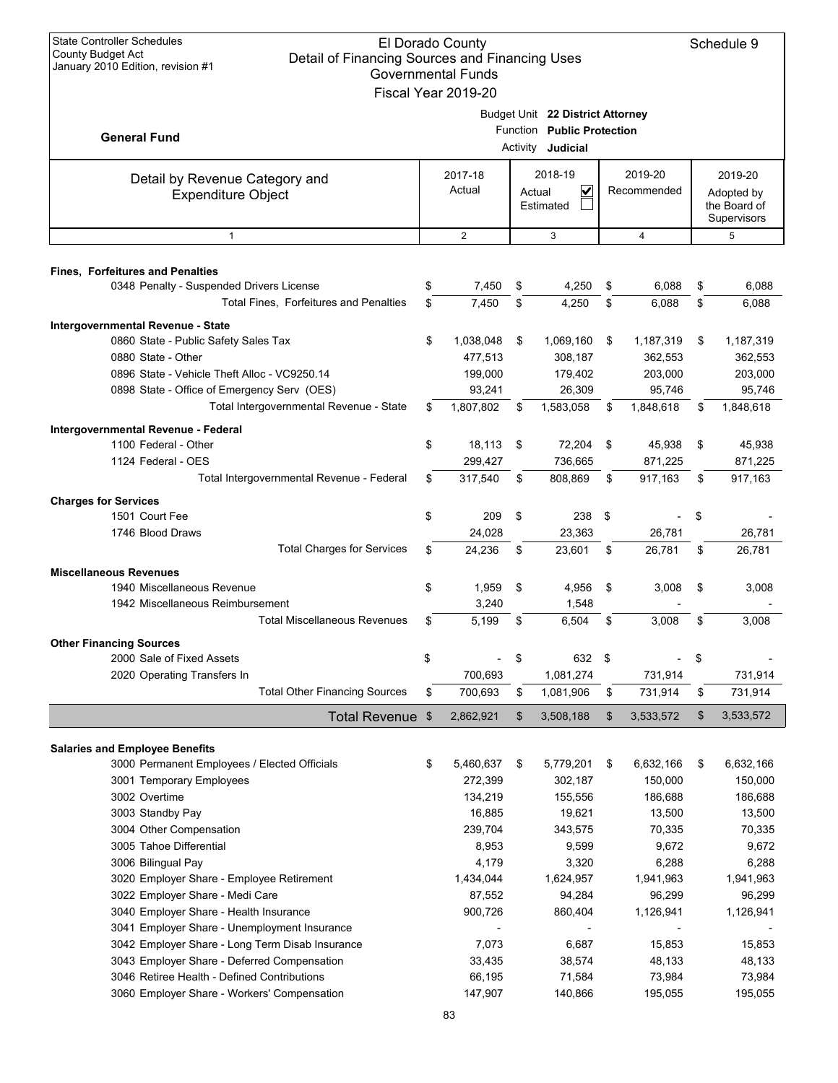| <b>State Controller Schedules</b><br>El Dorado County<br>Schedule 9<br><b>County Budget Act</b><br>Detail of Financing Sources and Financing Uses<br>January 2010 Edition, revision #1<br><b>Governmental Funds</b> |    |                      |    |                                  |    |                        |    |                            |  |
|---------------------------------------------------------------------------------------------------------------------------------------------------------------------------------------------------------------------|----|----------------------|----|----------------------------------|----|------------------------|----|----------------------------|--|
|                                                                                                                                                                                                                     |    | Fiscal Year 2019-20  |    |                                  |    |                        |    |                            |  |
|                                                                                                                                                                                                                     |    |                      |    | Budget Unit 22 District Attorney |    |                        |    |                            |  |
|                                                                                                                                                                                                                     |    |                      |    | Function Public Protection       |    |                        |    |                            |  |
| <b>General Fund</b>                                                                                                                                                                                                 |    |                      |    | Activity <b>Judicial</b>         |    |                        |    |                            |  |
|                                                                                                                                                                                                                     |    |                      |    |                                  |    |                        |    |                            |  |
| Detail by Revenue Category and                                                                                                                                                                                      |    | 2017-18<br>Actual    |    | 2018-19                          |    | 2019-20<br>Recommended |    | 2019-20                    |  |
| <b>Expenditure Object</b>                                                                                                                                                                                           |    |                      |    | V<br>Actual<br>Estimated         |    |                        |    | Adopted by<br>the Board of |  |
|                                                                                                                                                                                                                     |    |                      |    |                                  |    |                        |    | Supervisors                |  |
| $\mathbf{1}$                                                                                                                                                                                                        |    | 2                    |    | 3                                |    | $\overline{4}$         |    | 5                          |  |
|                                                                                                                                                                                                                     |    |                      |    |                                  |    |                        |    |                            |  |
| <b>Fines, Forfeitures and Penalties</b>                                                                                                                                                                             |    |                      |    |                                  |    |                        |    |                            |  |
| 0348 Penalty - Suspended Drivers License                                                                                                                                                                            | \$ | 7,450                | \$ | 4,250                            | \$ | 6,088                  | \$ | 6,088                      |  |
| Total Fines, Forfeitures and Penalties                                                                                                                                                                              | \$ | 7,450                | \$ | 4,250                            | \$ | 6,088                  | \$ | 6,088                      |  |
| Intergovernmental Revenue - State                                                                                                                                                                                   |    |                      |    |                                  |    |                        |    |                            |  |
| 0860 State - Public Safety Sales Tax                                                                                                                                                                                | \$ | 1,038,048            | \$ | 1,069,160                        | \$ | 1,187,319              | \$ | 1,187,319                  |  |
| 0880 State - Other                                                                                                                                                                                                  |    | 477,513              |    | 308,187                          |    | 362,553                |    | 362,553                    |  |
| 0896 State - Vehicle Theft Alloc - VC9250.14                                                                                                                                                                        |    | 199,000              |    | 179,402                          |    | 203,000                |    | 203,000                    |  |
| 0898 State - Office of Emergency Serv (OES)                                                                                                                                                                         |    | 93,241               |    | 26,309                           |    | 95,746                 |    | 95,746                     |  |
| Total Intergovernmental Revenue - State                                                                                                                                                                             | \$ | 1,807,802            | \$ | 1,583,058                        | \$ | 1,848,618              | \$ | 1,848,618                  |  |
| Intergovernmental Revenue - Federal                                                                                                                                                                                 |    |                      |    |                                  |    |                        |    |                            |  |
| 1100 Federal - Other                                                                                                                                                                                                | \$ | 18,113               | \$ | 72,204                           | \$ | 45,938                 | \$ | 45,938                     |  |
| 1124 Federal - OES                                                                                                                                                                                                  |    | 299,427              |    | 736,665                          |    | 871,225                |    | 871,225                    |  |
| Total Intergovernmental Revenue - Federal                                                                                                                                                                           | \$ | 317,540              | \$ | 808,869                          | \$ | 917,163                | \$ | 917,163                    |  |
| <b>Charges for Services</b>                                                                                                                                                                                         |    |                      |    |                                  |    |                        |    |                            |  |
| 1501 Court Fee                                                                                                                                                                                                      | \$ | 209                  | \$ | 238                              | \$ |                        | \$ |                            |  |
| 1746 Blood Draws                                                                                                                                                                                                    |    | 24,028               |    | 23,363                           |    | 26,781                 |    | 26,781                     |  |
| <b>Total Charges for Services</b>                                                                                                                                                                                   | \$ | 24,236               | \$ | 23,601                           | \$ | 26,781                 | \$ | 26,781                     |  |
| <b>Miscellaneous Revenues</b>                                                                                                                                                                                       |    |                      |    |                                  |    |                        |    |                            |  |
| 1940 Miscellaneous Revenue                                                                                                                                                                                          | \$ | 1,959                | \$ | 4,956                            | \$ | 3,008                  | \$ | 3,008                      |  |
| 1942 Miscellaneous Reimbursement                                                                                                                                                                                    |    | 3,240                |    | 1,548                            |    |                        |    |                            |  |
| <b>Total Miscellaneous Revenues</b>                                                                                                                                                                                 | \$ | 5,199                | \$ | 6.504                            | \$ | 3,008                  | \$ | 3,008                      |  |
| <b>Other Financing Sources</b>                                                                                                                                                                                      |    |                      |    |                                  |    |                        |    |                            |  |
| 2000 Sale of Fixed Assets                                                                                                                                                                                           | \$ |                      | \$ | 632 \$                           |    |                        | \$ |                            |  |
| 2020 Operating Transfers In                                                                                                                                                                                         |    | 700,693              |    | 1,081,274                        |    | 731,914                |    | 731,914                    |  |
| <b>Total Other Financing Sources</b>                                                                                                                                                                                | \$ | 700,693              | \$ | 1,081,906                        | \$ | 731,914                | \$ | 731,914                    |  |
| <b>Total Revenue</b>                                                                                                                                                                                                | \$ | 2,862,921            | \$ | 3,508,188                        | \$ | 3,533,572              | \$ | 3,533,572                  |  |
|                                                                                                                                                                                                                     |    |                      |    |                                  |    |                        |    |                            |  |
| <b>Salaries and Employee Benefits</b>                                                                                                                                                                               | \$ |                      |    |                                  | \$ |                        | \$ |                            |  |
| 3000 Permanent Employees / Elected Officials<br>3001 Temporary Employees                                                                                                                                            |    | 5,460,637<br>272,399 | \$ | 5,779,201<br>302,187             |    | 6,632,166<br>150,000   |    | 6,632,166<br>150,000       |  |
| 3002 Overtime                                                                                                                                                                                                       |    | 134,219              |    | 155,556                          |    | 186,688                |    | 186,688                    |  |
| 3003 Standby Pay                                                                                                                                                                                                    |    | 16,885               |    | 19,621                           |    | 13,500                 |    | 13,500                     |  |
| 3004 Other Compensation                                                                                                                                                                                             |    | 239,704              |    | 343,575                          |    | 70,335                 |    | 70,335                     |  |
| 3005 Tahoe Differential                                                                                                                                                                                             |    | 8,953                |    | 9,599                            |    | 9,672                  |    | 9,672                      |  |
| 3006 Bilingual Pay                                                                                                                                                                                                  |    | 4,179                |    | 3,320                            |    | 6,288                  |    | 6,288                      |  |
| 3020 Employer Share - Employee Retirement                                                                                                                                                                           |    | 1,434,044            |    | 1,624,957                        |    | 1,941,963              |    | 1,941,963                  |  |
| 3022 Employer Share - Medi Care                                                                                                                                                                                     |    | 87,552               |    | 94,284                           |    | 96,299                 |    | 96,299                     |  |
| 3040 Employer Share - Health Insurance                                                                                                                                                                              |    | 900,726              |    | 860,404                          |    | 1,126,941              |    | 1,126,941                  |  |
| 3041 Employer Share - Unemployment Insurance                                                                                                                                                                        |    |                      |    |                                  |    |                        |    |                            |  |
| 3042 Employer Share - Long Term Disab Insurance                                                                                                                                                                     |    | 7,073                |    | 6,687                            |    | 15,853                 |    | 15,853                     |  |
| 3043 Employer Share - Deferred Compensation                                                                                                                                                                         |    | 33,435               |    | 38,574                           |    | 48,133                 |    | 48,133                     |  |
| 3046 Retiree Health - Defined Contributions                                                                                                                                                                         |    | 66,195               |    | 71,584                           |    | 73,984                 |    | 73,984                     |  |
| 3060 Employer Share - Workers' Compensation                                                                                                                                                                         |    | 147,907              |    | 140,866                          |    | 195,055                |    | 195,055                    |  |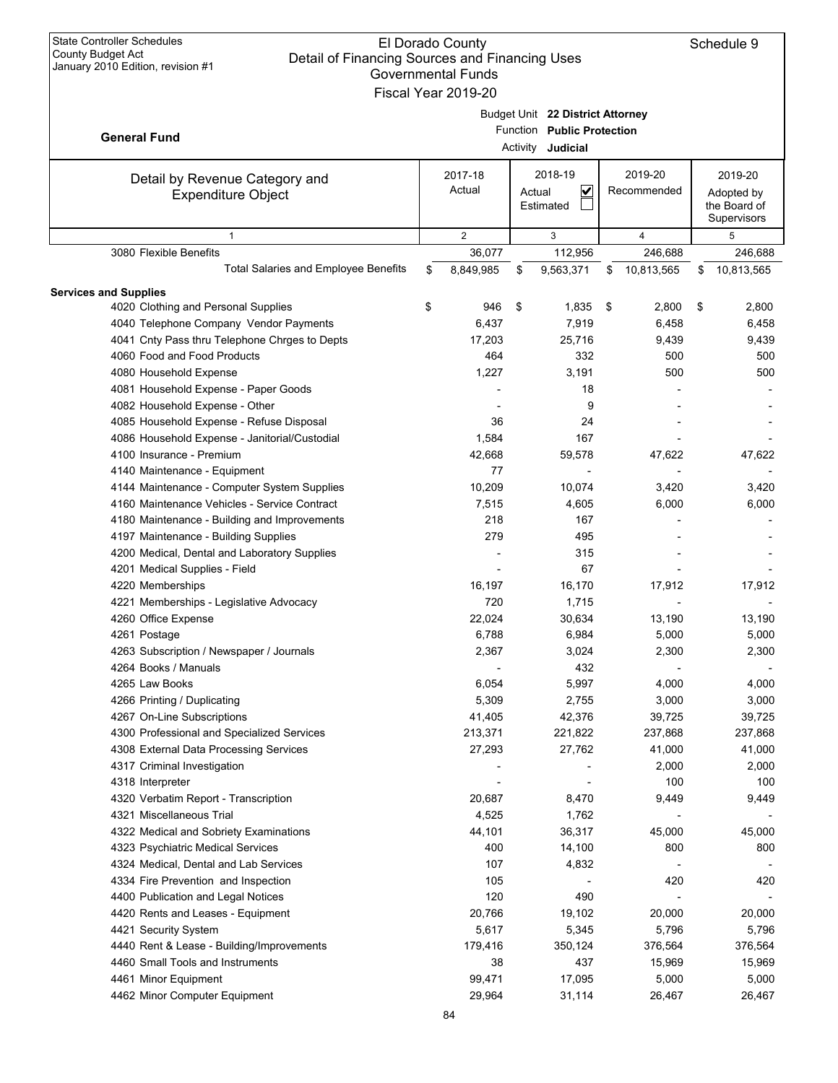| <b>State Controller Schedules</b><br>El Dorado County<br>Schedule 9<br>County Budget Act<br>Detail of Financing Sources and Financing Uses<br>January 2010 Edition, revision #1<br><b>Governmental Funds</b><br>Fiscal Year 2019-20 |    |                   |    |                                                                                     |                        |    |                                                      |  |  |  |
|-------------------------------------------------------------------------------------------------------------------------------------------------------------------------------------------------------------------------------------|----|-------------------|----|-------------------------------------------------------------------------------------|------------------------|----|------------------------------------------------------|--|--|--|
| <b>General Fund</b>                                                                                                                                                                                                                 |    |                   |    | Budget Unit 22 District Attorney<br>Function Public Protection<br>Activity Judicial |                        |    |                                                      |  |  |  |
| Detail by Revenue Category and<br><b>Expenditure Object</b>                                                                                                                                                                         |    | 2017-18<br>Actual |    | 2018-19<br>$\checkmark$<br>Actual<br>Estimated                                      | 2019-20<br>Recommended |    | 2019-20<br>Adopted by<br>the Board of<br>Supervisors |  |  |  |
| $\mathbf{1}$                                                                                                                                                                                                                        |    | $\overline{2}$    |    | 3                                                                                   | 4                      |    | 5                                                    |  |  |  |
| 3080 Flexible Benefits                                                                                                                                                                                                              |    | 36,077            |    | 112,956                                                                             | 246,688                |    | 246,688                                              |  |  |  |
| <b>Total Salaries and Employee Benefits</b>                                                                                                                                                                                         | \$ | 8,849,985         | \$ | 9,563,371                                                                           | 10,813,565<br>\$       | \$ | 10,813,565                                           |  |  |  |
| <b>Services and Supplies</b>                                                                                                                                                                                                        |    |                   |    |                                                                                     |                        |    |                                                      |  |  |  |
| 4020 Clothing and Personal Supplies                                                                                                                                                                                                 | \$ | 946               | \$ | 1,835                                                                               | 2,800<br>\$            | \$ | 2,800                                                |  |  |  |
| 4040 Telephone Company Vendor Payments                                                                                                                                                                                              |    | 6,437             |    | 7,919                                                                               | 6,458                  |    | 6,458                                                |  |  |  |
| 4041 Cnty Pass thru Telephone Chrges to Depts                                                                                                                                                                                       |    | 17,203            |    | 25,716                                                                              | 9,439                  |    | 9,439                                                |  |  |  |
| 4060 Food and Food Products                                                                                                                                                                                                         |    | 464               |    | 332                                                                                 | 500                    |    | 500                                                  |  |  |  |
| 4080 Household Expense                                                                                                                                                                                                              |    | 1,227             |    | 3,191                                                                               | 500                    |    | 500                                                  |  |  |  |
| 4081 Household Expense - Paper Goods                                                                                                                                                                                                |    |                   |    | 18                                                                                  |                        |    |                                                      |  |  |  |
| 4082 Household Expense - Other                                                                                                                                                                                                      |    |                   |    | 9                                                                                   |                        |    |                                                      |  |  |  |
| 4085 Household Expense - Refuse Disposal                                                                                                                                                                                            |    | 36                |    | 24                                                                                  |                        |    |                                                      |  |  |  |
| 4086 Household Expense - Janitorial/Custodial                                                                                                                                                                                       |    | 1,584             |    | 167                                                                                 |                        |    |                                                      |  |  |  |
| 4100 Insurance - Premium                                                                                                                                                                                                            |    | 42,668            |    | 59,578                                                                              | 47,622                 |    | 47,622                                               |  |  |  |
| 4140 Maintenance - Equipment                                                                                                                                                                                                        |    | 77                |    |                                                                                     |                        |    |                                                      |  |  |  |
| 4144 Maintenance - Computer System Supplies                                                                                                                                                                                         |    | 10,209            |    | 10,074                                                                              | 3,420                  |    | 3,420                                                |  |  |  |
| 4160 Maintenance Vehicles - Service Contract                                                                                                                                                                                        |    | 7,515             |    | 4,605                                                                               | 6,000                  |    | 6,000                                                |  |  |  |
| 4180 Maintenance - Building and Improvements                                                                                                                                                                                        |    | 218               |    | 167                                                                                 |                        |    |                                                      |  |  |  |
| 4197 Maintenance - Building Supplies                                                                                                                                                                                                |    | 279               |    | 495                                                                                 |                        |    |                                                      |  |  |  |
| 4200 Medical, Dental and Laboratory Supplies                                                                                                                                                                                        |    |                   |    | 315                                                                                 |                        |    |                                                      |  |  |  |
| 4201 Medical Supplies - Field                                                                                                                                                                                                       |    |                   |    | 67                                                                                  |                        |    |                                                      |  |  |  |
| 4220 Memberships                                                                                                                                                                                                                    |    | 16,197            |    | 16,170                                                                              | 17,912                 |    | 17,912                                               |  |  |  |
| 4221 Memberships - Legislative Advocacy                                                                                                                                                                                             |    | 720               |    | 1,715                                                                               |                        |    |                                                      |  |  |  |
| 4260 Office Expense                                                                                                                                                                                                                 |    | 22,024            |    | 30,634                                                                              | 13,190                 |    | 13,190                                               |  |  |  |
| 4261 Postage                                                                                                                                                                                                                        |    | 6,788             |    | 6,984                                                                               | 5,000                  |    | 5,000                                                |  |  |  |
| 4263 Subscription / Newspaper / Journals                                                                                                                                                                                            |    | 2,367             |    | 3,024                                                                               | 2,300                  |    | 2,300                                                |  |  |  |
| 4264 Books / Manuals                                                                                                                                                                                                                |    |                   |    | 432                                                                                 |                        |    |                                                      |  |  |  |
| 4265 Law Books                                                                                                                                                                                                                      |    | 6,054             |    | 5,997                                                                               | 4,000                  |    | 4,000                                                |  |  |  |
| 4266 Printing / Duplicating                                                                                                                                                                                                         |    | 5,309             |    | 2,755                                                                               | 3,000                  |    | 3,000                                                |  |  |  |
| 4267 On-Line Subscriptions                                                                                                                                                                                                          |    | 41,405            |    | 42,376                                                                              | 39,725                 |    | 39,725                                               |  |  |  |
| 4300 Professional and Specialized Services                                                                                                                                                                                          |    | 213,371           |    | 221,822                                                                             | 237,868                |    | 237,868                                              |  |  |  |
| 4308 External Data Processing Services                                                                                                                                                                                              |    | 27,293            |    | 27,762                                                                              | 41,000                 |    | 41,000                                               |  |  |  |
| 4317 Criminal Investigation                                                                                                                                                                                                         |    |                   |    |                                                                                     | 2,000                  |    | 2,000                                                |  |  |  |
| 4318 Interpreter                                                                                                                                                                                                                    |    |                   |    |                                                                                     | 100                    |    | 100                                                  |  |  |  |
| 4320 Verbatim Report - Transcription                                                                                                                                                                                                |    | 20,687            |    | 8,470                                                                               | 9,449                  |    | 9,449                                                |  |  |  |
| 4321 Miscellaneous Trial                                                                                                                                                                                                            |    | 4,525             |    | 1,762                                                                               |                        |    |                                                      |  |  |  |
| 4322 Medical and Sobriety Examinations                                                                                                                                                                                              |    | 44,101            |    | 36,317                                                                              | 45,000                 |    | 45,000                                               |  |  |  |
| 4323 Psychiatric Medical Services                                                                                                                                                                                                   |    | 400               |    | 14,100                                                                              | 800                    |    | 800                                                  |  |  |  |
| 4324 Medical, Dental and Lab Services                                                                                                                                                                                               |    | 107               |    | 4,832                                                                               |                        |    |                                                      |  |  |  |
| 4334 Fire Prevention and Inspection                                                                                                                                                                                                 |    | 105               |    |                                                                                     | 420                    |    | 420                                                  |  |  |  |
| 4400 Publication and Legal Notices                                                                                                                                                                                                  |    | 120               |    | 490                                                                                 |                        |    |                                                      |  |  |  |
| 4420 Rents and Leases - Equipment                                                                                                                                                                                                   |    | 20,766            |    | 19,102                                                                              | 20,000                 |    | 20,000                                               |  |  |  |
| 4421 Security System                                                                                                                                                                                                                |    | 5,617             |    | 5,345                                                                               | 5,796                  |    | 5,796                                                |  |  |  |
| 4440 Rent & Lease - Building/Improvements                                                                                                                                                                                           |    | 179,416           |    | 350,124                                                                             | 376,564                |    | 376,564                                              |  |  |  |
| 4460 Small Tools and Instruments                                                                                                                                                                                                    |    | 38                |    | 437                                                                                 | 15,969                 |    | 15,969                                               |  |  |  |
|                                                                                                                                                                                                                                     |    |                   |    |                                                                                     |                        |    |                                                      |  |  |  |
| 4461 Minor Equipment                                                                                                                                                                                                                |    | 99,471            |    | 17,095                                                                              | 5,000                  |    | 5,000                                                |  |  |  |
| 4462 Minor Computer Equipment                                                                                                                                                                                                       |    | 29,964            |    | 31,114                                                                              | 26,467                 |    | 26,467                                               |  |  |  |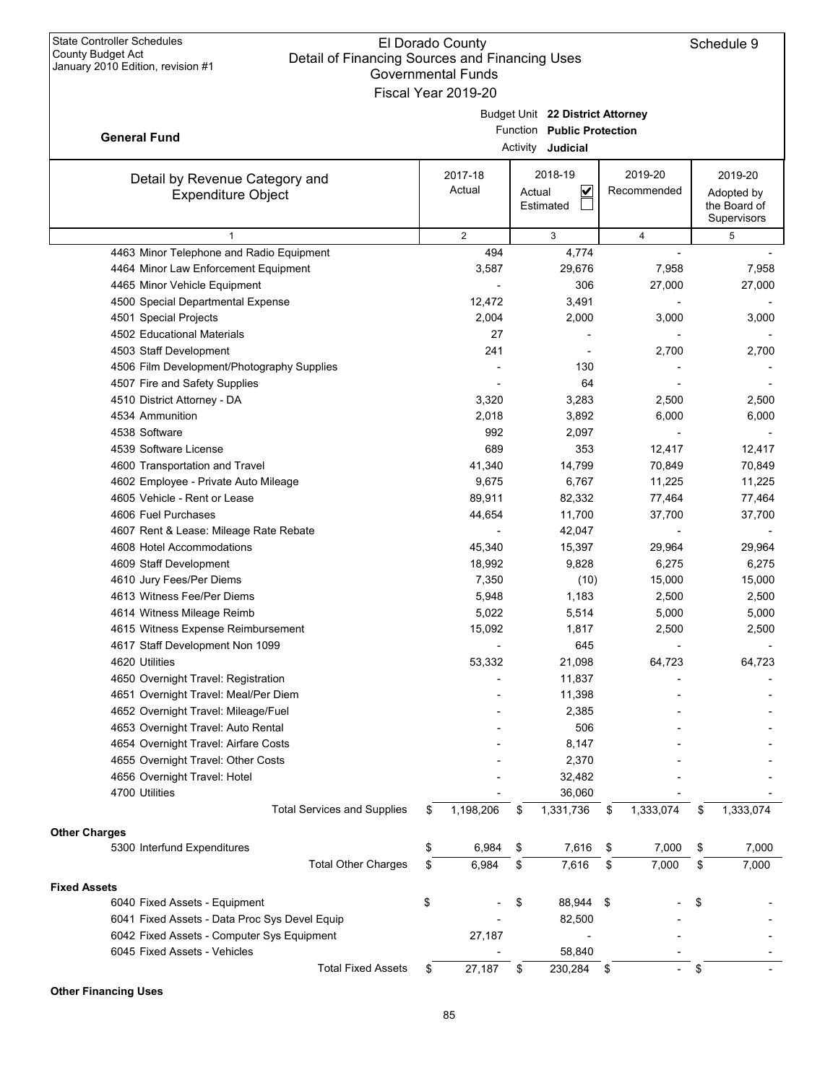|                                                                           | Fiscal Year 2019-20 |                                  |                 |    |                             |
|---------------------------------------------------------------------------|---------------------|----------------------------------|-----------------|----|-----------------------------|
|                                                                           |                     | Budget Unit 22 District Attorney |                 |    |                             |
|                                                                           |                     | Function Public Protection       |                 |    |                             |
| <b>General Fund</b>                                                       |                     | Activity Judicial                |                 |    |                             |
|                                                                           |                     |                                  |                 |    |                             |
| Detail by Revenue Category and                                            | 2017-18             | 2018-19                          | 2019-20         |    | 2019-20                     |
| <b>Expenditure Object</b>                                                 | Actual              | $\checkmark$<br>Actual           | Recommended     |    | Adopted by                  |
|                                                                           |                     | Estimated                        |                 |    | the Board of<br>Supervisors |
| $\mathbf{1}$                                                              | $\overline{2}$      | 3                                | $\overline{4}$  |    | 5                           |
| 4463 Minor Telephone and Radio Equipment                                  | 494                 | 4,774                            |                 |    |                             |
| 4464 Minor Law Enforcement Equipment                                      | 3,587               | 29,676                           | 7,958           |    | 7,958                       |
| 4465 Minor Vehicle Equipment                                              |                     | 306                              | 27,000          |    | 27,000                      |
| 4500 Special Departmental Expense                                         | 12,472              | 3,491                            |                 |    |                             |
| 4501 Special Projects                                                     | 2,004               | 2,000                            | 3,000           |    | 3,000                       |
| 4502 Educational Materials                                                | 27                  |                                  |                 |    |                             |
| 4503 Staff Development                                                    | 241                 |                                  | 2,700           |    | 2,700                       |
| 4506 Film Development/Photography Supplies                                |                     | 130                              |                 |    |                             |
| 4507 Fire and Safety Supplies                                             |                     | 64                               |                 |    |                             |
| 4510 District Attorney - DA                                               | 3,320               | 3,283                            | 2,500           |    | 2,500                       |
| 4534 Ammunition                                                           | 2,018               | 3,892                            | 6,000           |    | 6,000                       |
| 4538 Software                                                             | 992                 | 2,097                            |                 |    |                             |
| 4539 Software License                                                     | 689                 | 353                              | 12,417          |    | 12,417                      |
| 4600 Transportation and Travel                                            | 41,340              | 14,799                           | 70,849          |    | 70,849                      |
| 4602 Employee - Private Auto Mileage                                      | 9,675               | 6,767                            | 11,225          |    | 11,225                      |
| 4605 Vehicle - Rent or Lease                                              | 89,911              | 82,332                           | 77,464          |    | 77,464                      |
| 4606 Fuel Purchases                                                       | 44,654              | 11,700                           | 37,700          |    | 37,700                      |
| 4607 Rent & Lease: Mileage Rate Rebate                                    |                     | 42,047                           |                 |    |                             |
| 4608 Hotel Accommodations                                                 | 45,340              | 15,397                           | 29,964          |    | 29,964                      |
| 4609 Staff Development                                                    | 18,992              | 9,828                            | 6,275           |    | 6,275                       |
| 4610 Jury Fees/Per Diems                                                  | 7,350               |                                  | 15,000          |    |                             |
| 4613 Witness Fee/Per Diems                                                | 5,948               | (10)<br>1,183                    | 2,500           |    | 15,000<br>2,500             |
| 4614 Witness Mileage Reimb                                                | 5,022               | 5,514                            | 5,000           |    |                             |
|                                                                           | 15,092              |                                  | 2,500           |    | 5,000                       |
| 4615 Witness Expense Reimbursement                                        |                     | 1,817<br>645                     |                 |    | 2,500                       |
| 4617 Staff Development Non 1099<br>4620 Utilities                         | 53,332              | 21,098                           | 64,723          |    | 64,723                      |
|                                                                           |                     |                                  |                 |    |                             |
| 4650 Overnight Travel: Registration                                       |                     | 11,837                           |                 |    |                             |
| 4651 Overnight Travel: Meal/Per Diem                                      |                     | 11,398                           |                 |    |                             |
| 4652 Overnight Travel: Mileage/Fuel<br>4653 Overnight Travel: Auto Rental |                     | 2,385<br>506                     |                 |    |                             |
| 4654 Overnight Travel: Airfare Costs                                      |                     |                                  |                 |    |                             |
|                                                                           |                     | 8,147                            |                 |    |                             |
| 4655 Overnight Travel: Other Costs                                        |                     | 2,370                            |                 |    |                             |
| 4656 Overnight Travel: Hotel                                              |                     | 32,482                           |                 |    |                             |
| 4700 Utilities                                                            |                     | 36,060                           |                 |    |                             |
| <b>Total Services and Supplies</b>                                        | \$<br>1,198,206     | \$<br>1,331,736                  | \$<br>1,333,074 | \$ | 1,333,074                   |
| <b>Other Charges</b>                                                      |                     |                                  |                 |    |                             |
| 5300 Interfund Expenditures                                               | \$<br>6,984         | \$<br>7,616                      | \$<br>7,000     | \$ | 7,000                       |
| <b>Total Other Charges</b>                                                | \$<br>6,984         | \$<br>7,616                      | \$<br>7,000     | \$ | 7,000                       |
| <b>Fixed Assets</b>                                                       |                     |                                  |                 |    |                             |
| 6040 Fixed Assets - Equipment                                             | \$                  | \$<br>88,944                     | \$              | S  |                             |
| 6041 Fixed Assets - Data Proc Sys Devel Equip                             |                     | 82,500                           |                 |    |                             |
| 6042 Fixed Assets - Computer Sys Equipment                                | 27,187              |                                  |                 |    |                             |
| 6045 Fixed Assets - Vehicles                                              |                     | 58,840                           |                 |    |                             |
| <b>Total Fixed Assets</b>                                                 | \$<br>27,187        | \$<br>230,284                    | \$              | \$ |                             |

**Other Financing Uses**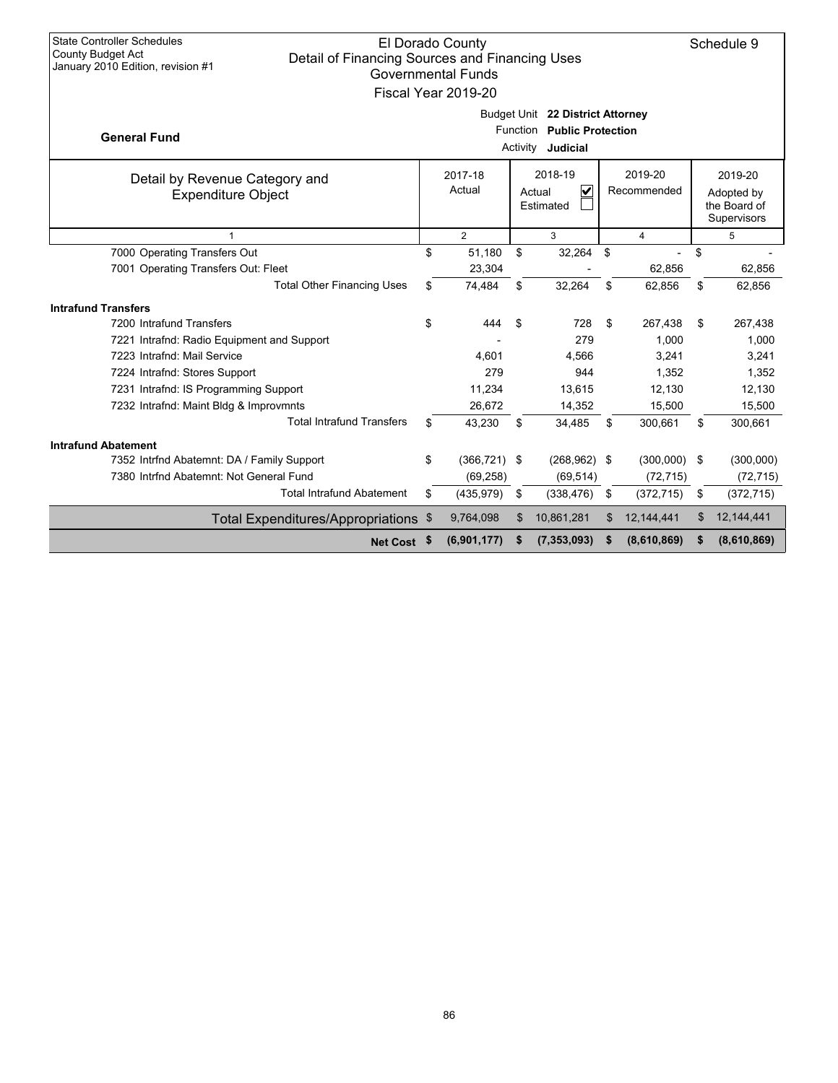| <b>State Controller Schedules</b><br>El Dorado County<br><b>County Budget Act</b><br>Detail of Financing Sources and Financing Uses<br>January 2010 Edition, revision #1<br><b>Governmental Funds</b><br>Fiscal Year 2019-20 |                                                                                                                                   |     |                 |          |                                                                            |    |             |                             |             |  |
|------------------------------------------------------------------------------------------------------------------------------------------------------------------------------------------------------------------------------|-----------------------------------------------------------------------------------------------------------------------------------|-----|-----------------|----------|----------------------------------------------------------------------------|----|-------------|-----------------------------|-------------|--|
| <b>General Fund</b>                                                                                                                                                                                                          |                                                                                                                                   |     |                 | Activity | Budget Unit 22 District Attorney<br>Function Public Protection<br>Judicial |    |             |                             |             |  |
| Detail by Revenue Category and<br><b>Expenditure Object</b>                                                                                                                                                                  | 2018-19<br>2019-20<br>2019-20<br>2017-18<br>$\overline{\mathbf{v}}$<br>Actual<br>Recommended<br>Actual<br>Adopted by<br>Estimated |     |                 |          |                                                                            |    |             | the Board of<br>Supervisors |             |  |
|                                                                                                                                                                                                                              | $\overline{2}$<br>3<br>$\overline{4}$<br>5                                                                                        |     |                 |          |                                                                            |    |             |                             |             |  |
| 7000 Operating Transfers Out                                                                                                                                                                                                 |                                                                                                                                   | \$  | 51,180          | \$       | 32,264                                                                     | \$ |             | \$                          |             |  |
| 7001 Operating Transfers Out: Fleet                                                                                                                                                                                          |                                                                                                                                   |     | 23,304          |          |                                                                            |    | 62,856      |                             | 62,856      |  |
| <b>Total Other Financing Uses</b>                                                                                                                                                                                            |                                                                                                                                   | \$  | 74,484          | \$       | 32,264                                                                     | \$ | 62,856      | \$                          | 62,856      |  |
| <b>Intrafund Transfers</b>                                                                                                                                                                                                   |                                                                                                                                   |     |                 |          |                                                                            |    |             |                             |             |  |
| 7200 Intrafund Transfers                                                                                                                                                                                                     | \$                                                                                                                                |     | 444             | \$       | 728                                                                        | \$ | 267,438     | \$                          | 267,438     |  |
| 7221 Intrafnd: Radio Equipment and Support                                                                                                                                                                                   |                                                                                                                                   |     |                 |          | 279                                                                        |    | 1,000       |                             | 1,000       |  |
| 7223 Intrafnd: Mail Service                                                                                                                                                                                                  |                                                                                                                                   |     | 4.601           |          | 4,566                                                                      |    | 3,241       |                             | 3,241       |  |
| 7224 Intrafnd: Stores Support                                                                                                                                                                                                |                                                                                                                                   |     | 279             |          | 944                                                                        |    | 1,352       |                             | 1,352       |  |
| 7231 Intrafnd: IS Programming Support                                                                                                                                                                                        |                                                                                                                                   |     | 11,234          |          | 13,615                                                                     |    | 12,130      |                             | 12,130      |  |
| 7232 Intrafnd: Maint Bldg & Improvmnts                                                                                                                                                                                       |                                                                                                                                   |     | 26,672          |          | 14,352                                                                     |    | 15,500      |                             | 15,500      |  |
| <b>Total Intrafund Transfers</b>                                                                                                                                                                                             |                                                                                                                                   | \$. | 43,230          | \$       | 34,485                                                                     | \$ | 300,661     | \$                          | 300,661     |  |
| <b>Intrafund Abatement</b>                                                                                                                                                                                                   |                                                                                                                                   |     |                 |          |                                                                            |    |             |                             |             |  |
| 7352 Intrfnd Abatemnt: DA / Family Support                                                                                                                                                                                   |                                                                                                                                   | \$  | $(366, 721)$ \$ |          | $(268, 962)$ \$                                                            |    | (300,000)   | -\$                         | (300,000)   |  |
| 7380 Intrfnd Abatemnt: Not General Fund                                                                                                                                                                                      |                                                                                                                                   |     | (69, 258)       |          | (69, 514)                                                                  |    | (72, 715)   |                             | (72, 715)   |  |
| <b>Total Intrafund Abatement</b>                                                                                                                                                                                             | \$                                                                                                                                |     | (435, 979)      | \$       | (338, 476)                                                                 | \$ | (372, 715)  | \$                          | (372, 715)  |  |
| Total Expenditures/Appropriations \$                                                                                                                                                                                         |                                                                                                                                   |     | 9,764,098       | \$       | 10,861,281                                                                 | \$ | 12,144,441  | \$                          | 12,144,441  |  |
| Net Cost \$                                                                                                                                                                                                                  |                                                                                                                                   |     | (6,901,177)     | S        | (7, 353, 093)                                                              | S  | (8,610,869) | S                           | (8,610,869) |  |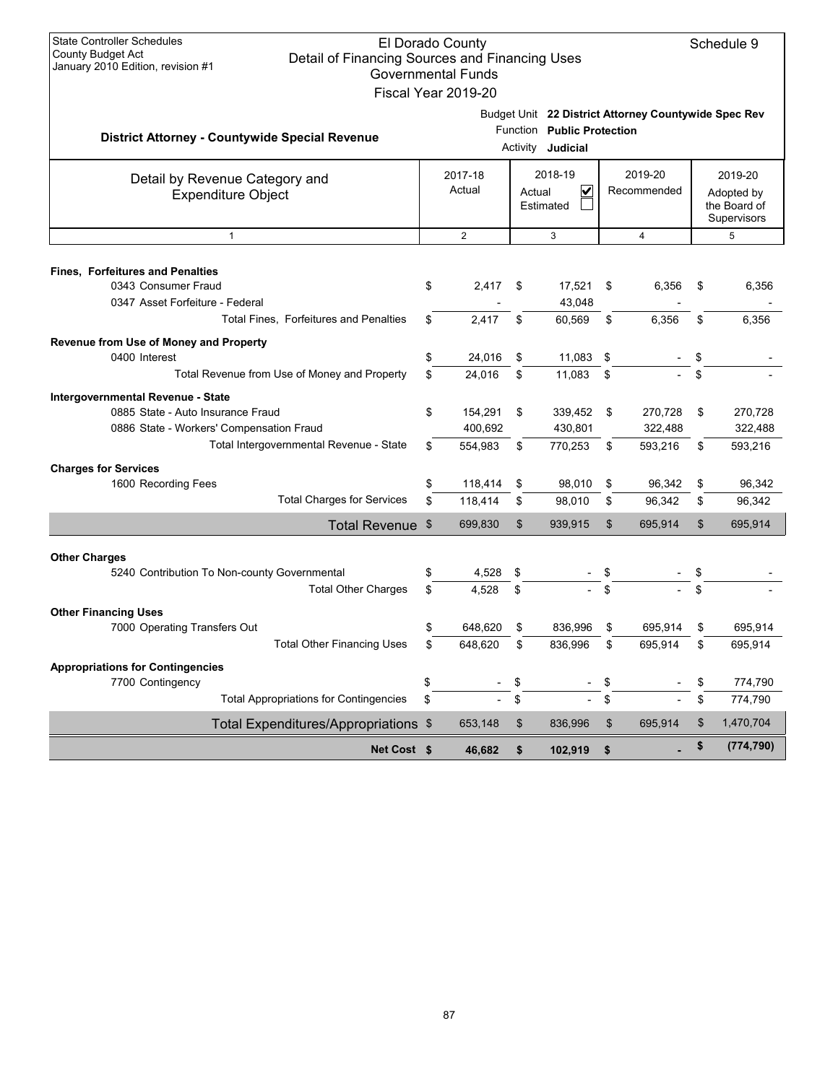| <b>State Controller Schedules</b><br>El Dorado County<br>Schedule 9<br><b>County Budget Act</b><br>Detail of Financing Sources and Financing Uses<br>January 2010 Edition, revision #1<br><b>Governmental Funds</b><br>Fiscal Year 2019-20 |                                                       |          |                                                          |          |                                                        |                |                                                      |    |                    |  |
|--------------------------------------------------------------------------------------------------------------------------------------------------------------------------------------------------------------------------------------------|-------------------------------------------------------|----------|----------------------------------------------------------|----------|--------------------------------------------------------|----------------|------------------------------------------------------|----|--------------------|--|
|                                                                                                                                                                                                                                            | <b>District Attorney - Countywide Special Revenue</b> |          |                                                          |          | Function Public Protection<br>Activity <b>Judicial</b> |                | Budget Unit 22 District Attorney Countywide Spec Rev |    |                    |  |
| Detail by Revenue Category and<br><b>Expenditure Object</b>                                                                                                                                                                                |                                                       |          | 2018-19<br>2017-18<br>Actual<br>V<br>Actual<br>Estimated |          | 2019-20<br>Recommended                                 |                | 2019-20<br>Adopted by<br>the Board of<br>Supervisors |    |                    |  |
|                                                                                                                                                                                                                                            | $\mathbf{1}$                                          |          | 2                                                        |          | 3                                                      |                | 4                                                    |    | 5                  |  |
| <b>Fines, Forfeitures and Penalties</b><br>0343 Consumer Fraud<br>0347 Asset Forfeiture - Federal                                                                                                                                          |                                                       | \$       | 2,417                                                    | \$       | 17,521<br>43,048                                       | \$             | 6,356                                                | \$ | 6,356              |  |
|                                                                                                                                                                                                                                            | <b>Total Fines. Forfeitures and Penalties</b>         | \$       | 2,417                                                    | \$       | 60,569                                                 | \$             | 6,356                                                | \$ | 6,356              |  |
| Revenue from Use of Money and Property<br>0400 Interest                                                                                                                                                                                    | Total Revenue from Use of Money and Property          | \$<br>\$ | 24,016<br>24.016                                         | \$<br>\$ | 11,083<br>11,083                                       | \$<br>\$       |                                                      | \$ |                    |  |
|                                                                                                                                                                                                                                            |                                                       |          |                                                          |          |                                                        |                |                                                      |    |                    |  |
| Intergovernmental Revenue - State<br>0885 State - Auto Insurance Fraud                                                                                                                                                                     | 0886 State - Workers' Compensation Fraud              | \$       | 154,291<br>400,692                                       | \$       | 339,452<br>430,801                                     | \$             | 270,728<br>322,488                                   | \$ | 270,728<br>322,488 |  |
|                                                                                                                                                                                                                                            | Total Intergovernmental Revenue - State               | \$       | 554,983                                                  | \$       | 770,253                                                | \$             | 593,216                                              | \$ | 593,216            |  |
| <b>Charges for Services</b><br>1600 Recording Fees                                                                                                                                                                                         |                                                       | \$       | 118,414                                                  | \$       | 98,010                                                 | \$             | 96,342                                               | \$ | 96,342             |  |
|                                                                                                                                                                                                                                            | <b>Total Charges for Services</b>                     | \$       | 118,414                                                  | \$       | 98,010                                                 | \$             | 96,342                                               | \$ | 96,342             |  |
|                                                                                                                                                                                                                                            | Total Revenue \$                                      |          | 699,830                                                  | \$       | 939,915                                                | $\mathfrak{L}$ | 695,914                                              | \$ | 695,914            |  |
|                                                                                                                                                                                                                                            |                                                       |          |                                                          |          |                                                        |                |                                                      |    |                    |  |
| <b>Other Charges</b>                                                                                                                                                                                                                       | 5240 Contribution To Non-county Governmental          | \$       | 4,528                                                    | \$       |                                                        |                |                                                      |    |                    |  |
|                                                                                                                                                                                                                                            | <b>Total Other Charges</b>                            | \$       | 4.528                                                    | \$       |                                                        |                |                                                      | \$ |                    |  |
|                                                                                                                                                                                                                                            |                                                       |          |                                                          |          |                                                        |                |                                                      |    |                    |  |
| <b>Other Financing Uses</b><br>7000 Operating Transfers Out                                                                                                                                                                                |                                                       | \$       | 648,620                                                  | \$       | 836,996                                                | \$             | 695,914                                              | \$ | 695,914            |  |
|                                                                                                                                                                                                                                            | <b>Total Other Financing Uses</b>                     | \$       | 648,620                                                  | \$       | 836,996                                                | \$             | 695,914                                              | \$ | 695,914            |  |
| <b>Appropriations for Contingencies</b>                                                                                                                                                                                                    |                                                       |          |                                                          |          |                                                        |                |                                                      |    |                    |  |
| 7700 Contingency                                                                                                                                                                                                                           |                                                       | \$       |                                                          | \$       | $\qquad \qquad \blacksquare$                           | \$             |                                                      | \$ | 774,790            |  |
|                                                                                                                                                                                                                                            | <b>Total Appropriations for Contingencies</b>         | \$       |                                                          | \$       |                                                        | \$             |                                                      | \$ | 774,790            |  |
|                                                                                                                                                                                                                                            | Total Expenditures/Appropriations \$                  |          | 653,148                                                  | \$       | 836,996                                                | \$             | 695,914                                              | \$ | 1,470,704          |  |
|                                                                                                                                                                                                                                            | Net Cost \$                                           |          | 46,682                                                   | \$       | 102,919                                                | \$             |                                                      | \$ | (774, 790)         |  |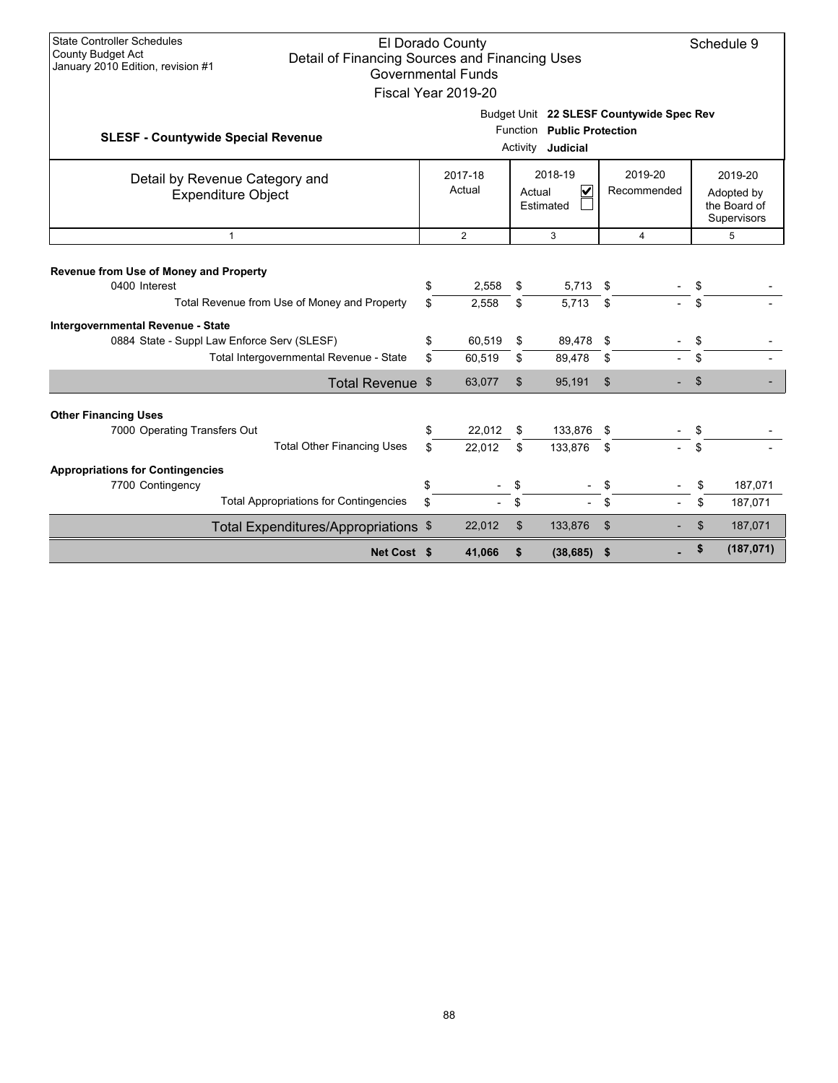| <b>State Controller Schedules</b><br>El Dorado County<br>Schedule 9<br><b>County Budget Act</b><br>Detail of Financing Sources and Financing Uses<br>January 2010 Edition, revision #1<br><b>Governmental Funds</b><br>Fiscal Year 2019-20 |                                                           |                  |                        |                       |                                                      |  |          |                    |  |  |
|--------------------------------------------------------------------------------------------------------------------------------------------------------------------------------------------------------------------------------------------|-----------------------------------------------------------|------------------|------------------------|-----------------------|------------------------------------------------------|--|----------|--------------------|--|--|
| Budget Unit 22 SLESF Countywide Spec Rev<br>Function Public Protection<br><b>SLESF - Countywide Special Revenue</b><br>Activity <b>Judicial</b>                                                                                            |                                                           |                  |                        |                       |                                                      |  |          |                    |  |  |
| Detail by Revenue Category and<br>Expenditure Object                                                                                                                                                                                       | 2018-19<br>$\overline{\mathbf{v}}$<br>Actual<br>Estimated |                  | 2019-20<br>Recommended |                       | 2019-20<br>Adopted by<br>the Board of<br>Supervisors |  |          |                    |  |  |
| $\mathbf{1}$                                                                                                                                                                                                                               | $\overline{2}$<br>3<br>$\overline{4}$                     |                  |                        |                       |                                                      |  |          |                    |  |  |
| Revenue from Use of Money and Property<br>0400 Interest<br>Total Revenue from Use of Money and Property                                                                                                                                    | \$<br>\$                                                  | 2,558<br>2,558   | \$<br>\$               | 5,713<br>5.713        | \$<br>\$                                             |  | \$<br>\$ |                    |  |  |
| Intergovernmental Revenue - State<br>0884 State - Suppl Law Enforce Serv (SLESF)<br>Total Intergovernmental Revenue - State                                                                                                                | \$<br>\$                                                  | 60,519<br>60,519 | \$<br>\$               | 89,478<br>89,478      | \$<br>\$                                             |  | \$<br>\$ |                    |  |  |
| Total Revenue \$                                                                                                                                                                                                                           |                                                           | 63,077           | $\mathfrak{S}$         | 95,191                | \$                                                   |  | \$       |                    |  |  |
| <b>Other Financing Uses</b><br>7000 Operating Transfers Out<br><b>Total Other Financing Uses</b>                                                                                                                                           | \$<br>\$                                                  | 22,012<br>22,012 | \$<br>\$               | 133,876 \$<br>133,876 | \$                                                   |  | \$<br>\$ |                    |  |  |
| <b>Appropriations for Contingencies</b><br>7700 Contingency<br><b>Total Appropriations for Contingencies</b>                                                                                                                               | \$<br>\$                                                  |                  | \$<br>\$               |                       | \$<br>\$                                             |  | \$<br>\$ | 187,071<br>187,071 |  |  |
| Total Expenditures/Appropriations \$                                                                                                                                                                                                       |                                                           | 22,012           | \$                     | 133,876               | $\mathfrak{S}$                                       |  | \$       | 187,071            |  |  |
| Net Cost \$                                                                                                                                                                                                                                |                                                           | 41,066           | \$                     | (38, 685)             | \$                                                   |  | \$       | (187, 071)         |  |  |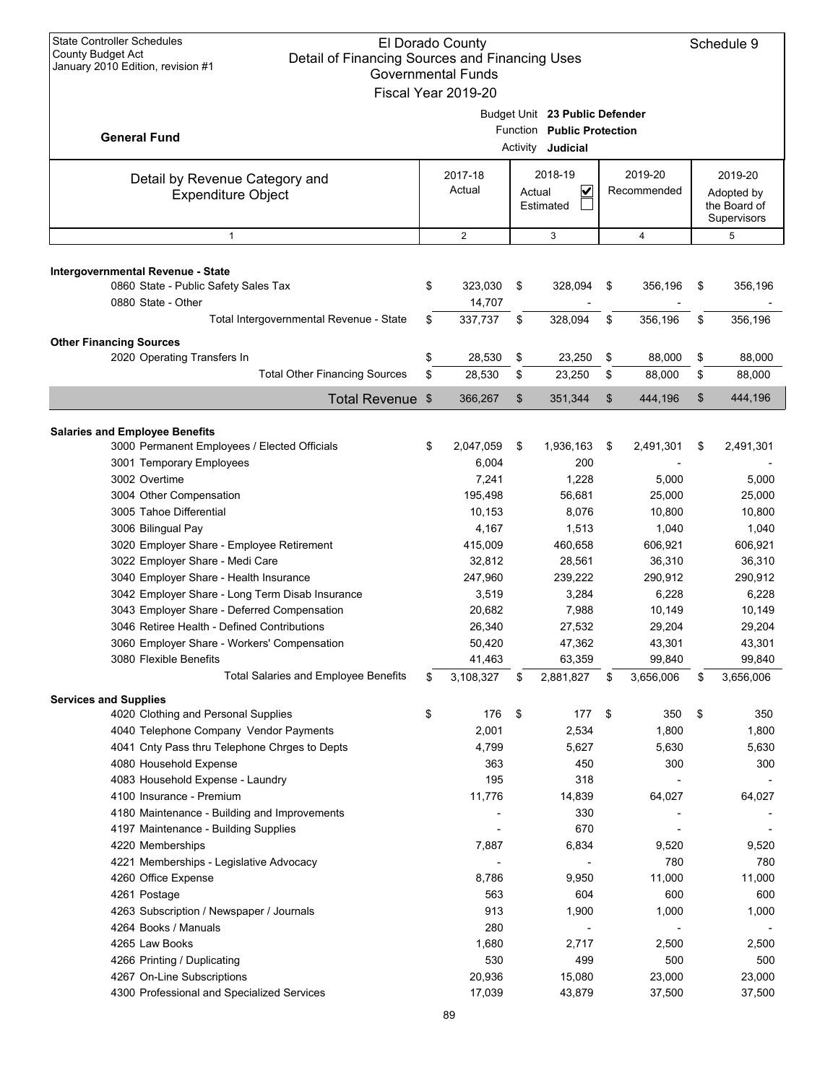| <b>State Controller Schedules</b><br><b>County Budget Act</b>                       | El Dorado County          |          |                                |                 | Schedule 9      |
|-------------------------------------------------------------------------------------|---------------------------|----------|--------------------------------|-----------------|-----------------|
| Detail of Financing Sources and Financing Uses<br>January 2010 Edition, revision #1 | <b>Governmental Funds</b> |          |                                |                 |                 |
|                                                                                     | Fiscal Year 2019-20       |          |                                |                 |                 |
|                                                                                     |                           |          |                                |                 |                 |
|                                                                                     |                           |          | Budget Unit 23 Public Defender |                 |                 |
| <b>General Fund</b>                                                                 |                           | Function | <b>Public Protection</b>       |                 |                 |
|                                                                                     |                           | Activity | Judicial                       |                 |                 |
| Detail by Revenue Category and                                                      | 2017-18                   |          | 2018-19                        | 2019-20         | 2019-20         |
| <b>Expenditure Object</b>                                                           | Actual                    | Actual   | $\overline{\mathbf{v}}$        | Recommended     | Adopted by      |
|                                                                                     |                           |          | Estimated                      |                 | the Board of    |
|                                                                                     |                           |          |                                |                 | Supervisors     |
| $\mathbf{1}$                                                                        | $\overline{2}$            |          | 3                              | 4               | 5               |
| Intergovernmental Revenue - State                                                   |                           |          |                                |                 |                 |
| 0860 State - Public Safety Sales Tax                                                | \$<br>323,030             | \$       | 328,094                        | \$<br>356,196   | \$<br>356,196   |
| 0880 State - Other                                                                  | 14,707                    |          |                                |                 |                 |
| Total Intergovernmental Revenue - State                                             | \$<br>337,737             | \$       | 328,094                        | \$<br>356,196   | \$<br>356,196   |
|                                                                                     |                           |          |                                |                 |                 |
| <b>Other Financing Sources</b><br>2020 Operating Transfers In                       | \$<br>28,530              | \$       | 23,250                         | \$<br>88,000    | \$<br>88,000    |
| <b>Total Other Financing Sources</b>                                                | \$<br>28,530              | \$       | 23,250                         | \$<br>88,000    | \$<br>88,000    |
|                                                                                     |                           |          |                                |                 |                 |
| <b>Total Revenue</b>                                                                | \$<br>366,267             | \$       | 351,344                        | \$<br>444,196   | \$<br>444,196   |
| <b>Salaries and Employee Benefits</b>                                               |                           |          |                                |                 |                 |
| 3000 Permanent Employees / Elected Officials                                        | \$<br>2,047,059           | \$       | 1,936,163                      | \$<br>2,491,301 | \$<br>2,491,301 |
| 3001 Temporary Employees                                                            | 6,004                     |          | 200                            |                 |                 |
| 3002 Overtime                                                                       | 7,241                     |          | 1,228                          | 5,000           | 5,000           |
| 3004 Other Compensation                                                             | 195,498                   |          | 56,681                         | 25,000          | 25,000          |
| 3005 Tahoe Differential                                                             | 10,153                    |          | 8,076                          | 10,800          | 10,800          |
| 3006 Bilingual Pay                                                                  | 4,167                     |          | 1,513                          | 1,040           | 1,040           |
| 3020 Employer Share - Employee Retirement                                           | 415,009                   |          | 460,658                        | 606,921         | 606,921         |
| 3022 Employer Share - Medi Care                                                     | 32,812                    |          | 28,561                         | 36,310          | 36,310          |
| 3040 Employer Share - Health Insurance                                              | 247,960                   |          | 239,222                        | 290,912         | 290,912         |
| 3042 Employer Share - Long Term Disab Insurance                                     | 3,519                     |          | 3,284                          | 6,228           | 6,228           |
| 3043 Employer Share - Deferred Compensation                                         | 20,682                    |          | 7,988                          | 10,149          | 10,149          |
| 3046 Retiree Health - Defined Contributions                                         | 26,340                    |          | 27,532                         | 29,204          | 29,204          |
| 3060 Employer Share - Workers' Compensation                                         | 50,420                    |          | 47,362                         | 43,301          | 43,301          |
| 3080 Flexible Benefits                                                              | 41,463                    |          | 63,359                         | 99,840          | 99,840          |
| <b>Total Salaries and Employee Benefits</b>                                         | \$<br>3,108,327           | \$       | 2,881,827                      | \$<br>3,656,006 | \$<br>3,656,006 |
| <b>Services and Supplies</b>                                                        |                           |          |                                |                 |                 |
| 4020 Clothing and Personal Supplies                                                 | \$<br>176                 | \$       | 177                            | \$<br>350       | \$<br>350       |
| 4040 Telephone Company Vendor Payments                                              | 2,001                     |          | 2,534                          | 1,800           | 1,800           |
| 4041 Cnty Pass thru Telephone Chrges to Depts                                       | 4,799                     |          | 5,627                          | 5,630           | 5,630           |
| 4080 Household Expense                                                              | 363                       |          | 450                            | 300             | 300             |
| 4083 Household Expense - Laundry                                                    | 195                       |          | 318                            |                 |                 |
| 4100 Insurance - Premium                                                            | 11,776                    |          | 14,839                         | 64,027          | 64,027          |
| 4180 Maintenance - Building and Improvements                                        |                           |          | 330                            |                 |                 |
| 4197 Maintenance - Building Supplies                                                |                           |          | 670                            |                 |                 |
| 4220 Memberships                                                                    | 7,887                     |          | 6,834                          | 9,520           | 9,520           |
| 4221 Memberships - Legislative Advocacy                                             |                           |          |                                | 780             | 780             |
| 4260 Office Expense                                                                 | 8,786                     |          | 9,950                          | 11,000          | 11,000          |
| 4261 Postage                                                                        | 563<br>913                |          | 604                            | 600             | 600             |
| 4263 Subscription / Newspaper / Journals<br>4264 Books / Manuals                    | 280                       |          | 1,900                          | 1,000           | 1,000           |
| 4265 Law Books                                                                      | 1,680                     |          | 2,717                          | 2,500           | 2,500           |
| 4266 Printing / Duplicating                                                         | 530                       |          | 499                            | 500             | 500             |
| 4267 On-Line Subscriptions                                                          | 20,936                    |          | 15,080                         | 23,000          | 23,000          |
| 4300 Professional and Specialized Services                                          | 17,039                    |          | 43,879                         | 37,500          | 37,500          |
|                                                                                     |                           |          |                                |                 |                 |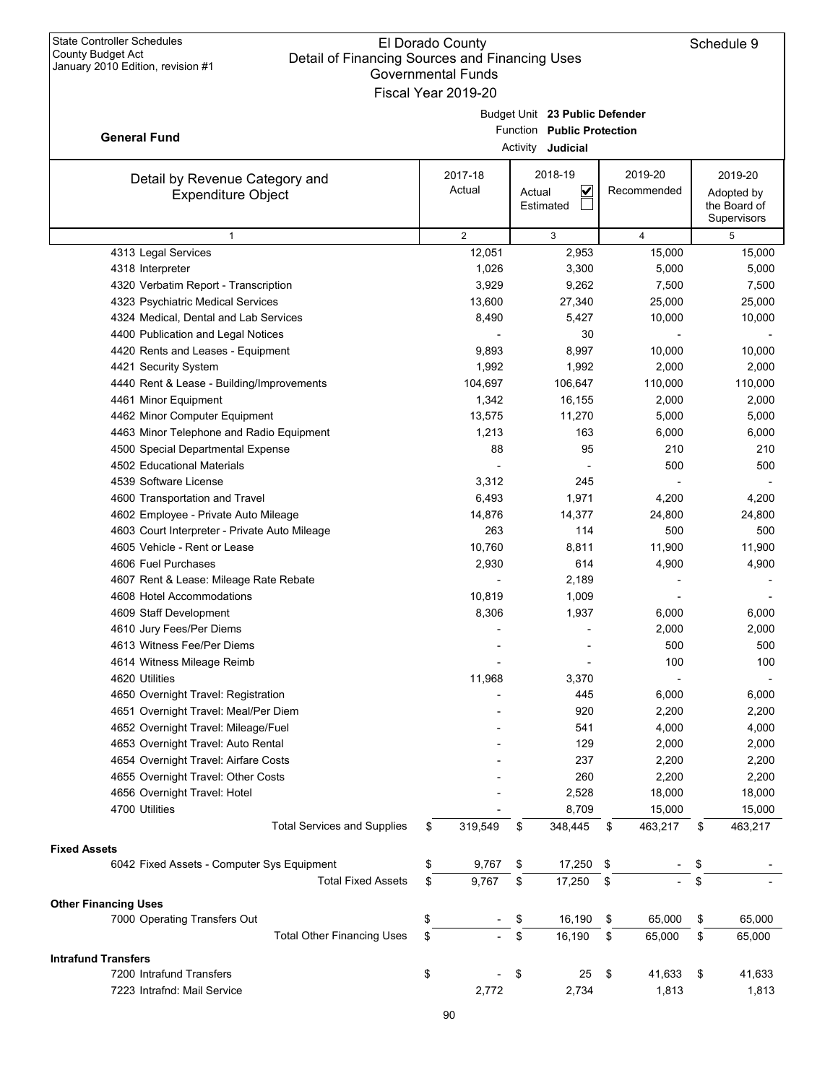|                                               | Governmental Funds<br>Fiscal Year 2019-20 |                                   |      |                |                             |
|-----------------------------------------------|-------------------------------------------|-----------------------------------|------|----------------|-----------------------------|
|                                               |                                           | Budget Unit 23 Public Defender    |      |                |                             |
|                                               |                                           | Function Public Protection        |      |                |                             |
| <b>General Fund</b>                           |                                           | Activity Judicial                 |      |                |                             |
|                                               | 2017-18                                   | 2018-19                           |      | 2019-20        | 2019-20                     |
| Detail by Revenue Category and                | Actual                                    | $\overline{\mathbf{v}}$<br>Actual |      | Recommended    | Adopted by                  |
| <b>Expenditure Object</b>                     |                                           | Estimated                         |      |                | the Board of<br>Supervisors |
| $\mathbf{1}$                                  | $\overline{2}$                            | 3                                 |      | $\overline{4}$ | 5                           |
| 4313 Legal Services                           | 12,051                                    | 2,953                             |      | 15,000         | 15,000                      |
| 4318 Interpreter                              | 1,026                                     | 3,300                             |      | 5,000          | 5,000                       |
| 4320 Verbatim Report - Transcription          | 3,929                                     | 9,262                             |      | 7,500          | 7,500                       |
| 4323 Psychiatric Medical Services             | 13,600                                    | 27,340                            |      | 25,000         | 25,000                      |
| 4324 Medical, Dental and Lab Services         | 8,490                                     | 5,427                             |      | 10,000         | 10,000                      |
| 4400 Publication and Legal Notices            |                                           | 30                                |      |                |                             |
| 4420 Rents and Leases - Equipment             | 9,893                                     | 8,997                             |      | 10,000         | 10,000                      |
| 4421 Security System                          | 1,992                                     | 1,992                             |      | 2,000          | 2,000                       |
| 4440 Rent & Lease - Building/Improvements     | 104,697                                   | 106,647                           |      | 110,000        | 110,000                     |
| 4461 Minor Equipment                          | 1,342                                     | 16,155                            |      | 2,000          | 2,000                       |
| 4462 Minor Computer Equipment                 | 13,575                                    | 11,270                            |      | 5,000          | 5,000                       |
| 4463 Minor Telephone and Radio Equipment      | 1,213                                     | 163                               |      | 6,000          | 6,000                       |
| 4500 Special Departmental Expense             | 88                                        | 95                                |      | 210            | 210                         |
| 4502 Educational Materials                    |                                           |                                   |      | 500            | 500                         |
| 4539 Software License                         | 3,312                                     | 245                               |      |                |                             |
| 4600 Transportation and Travel                | 6,493                                     | 1,971                             |      | 4,200          | 4,200                       |
| 4602 Employee - Private Auto Mileage          | 14,876                                    | 14,377                            |      | 24,800         | 24,800                      |
| 4603 Court Interpreter - Private Auto Mileage | 263                                       | 114                               |      | 500            | 500                         |
| 4605 Vehicle - Rent or Lease                  | 10,760                                    | 8,811                             |      | 11,900         | 11,900                      |
| 4606 Fuel Purchases                           | 2,930                                     | 614                               |      | 4,900          | 4,900                       |
| 4607 Rent & Lease: Mileage Rate Rebate        |                                           | 2,189                             |      |                |                             |
| 4608 Hotel Accommodations                     | 10,819                                    | 1,009                             |      |                |                             |
| 4609 Staff Development                        | 8,306                                     | 1,937                             |      | 6,000          | 6,000                       |
| 4610 Jury Fees/Per Diems                      |                                           |                                   |      | 2,000          | 2,000                       |
| 4613 Witness Fee/Per Diems                    |                                           |                                   |      | 500            | 500                         |
| 4614 Witness Mileage Reimb                    |                                           |                                   |      | 100            | 100                         |
| 4620 Utilities                                | 11.968                                    | 3,370                             |      |                |                             |
| 4650 Overnight Travel: Registration           |                                           | 445                               |      | 6,000          | 6,000                       |
| 4651 Overnight Travel: Meal/Per Diem          |                                           | 920                               |      | 2,200          | 2,200                       |
| 4652 Overnight Travel: Mileage/Fuel           |                                           | 541                               |      | 4,000          | 4,000                       |
| 4653 Overnight Travel: Auto Rental            |                                           | 129                               |      | 2,000          | 2,000                       |
| 4654 Overnight Travel: Airfare Costs          |                                           | 237                               |      | 2,200          | 2,200                       |
| 4655 Overnight Travel: Other Costs            |                                           | 260                               |      | 2,200          | 2,200                       |
| 4656 Overnight Travel: Hotel                  |                                           | 2,528                             |      | 18,000         | 18,000                      |
| 4700 Utilities                                |                                           | 8,709                             |      | 15,000         | 15,000                      |
| <b>Total Services and Supplies</b>            | \$<br>319,549                             | \$<br>348,445                     | \$   | 463,217        | \$<br>463,217               |
| <b>Fixed Assets</b>                           |                                           |                                   |      |                |                             |
| 6042 Fixed Assets - Computer Sys Equipment    | \$<br>9,767                               | \$<br>17,250                      | - \$ |                | \$                          |
| <b>Total Fixed Assets</b>                     | \$<br>9,767                               | \$<br>17,250                      | \$   |                | \$                          |
| <b>Other Financing Uses</b>                   |                                           |                                   |      |                |                             |
| 7000 Operating Transfers Out                  | \$                                        | \$<br>16,190                      | \$   | 65,000         | \$<br>65,000                |
| <b>Total Other Financing Uses</b>             | \$                                        | \$<br>16,190                      | \$   | 65,000         | \$<br>65,000                |
| <b>Intrafund Transfers</b>                    |                                           |                                   |      |                |                             |
| 7200 Intrafund Transfers                      | \$                                        | \$<br>25                          | \$   | 41,633         | \$<br>41,633                |
| 7223 Intrafnd: Mail Service                   | 2,772                                     | 2,734                             |      | 1,813          | 1,813                       |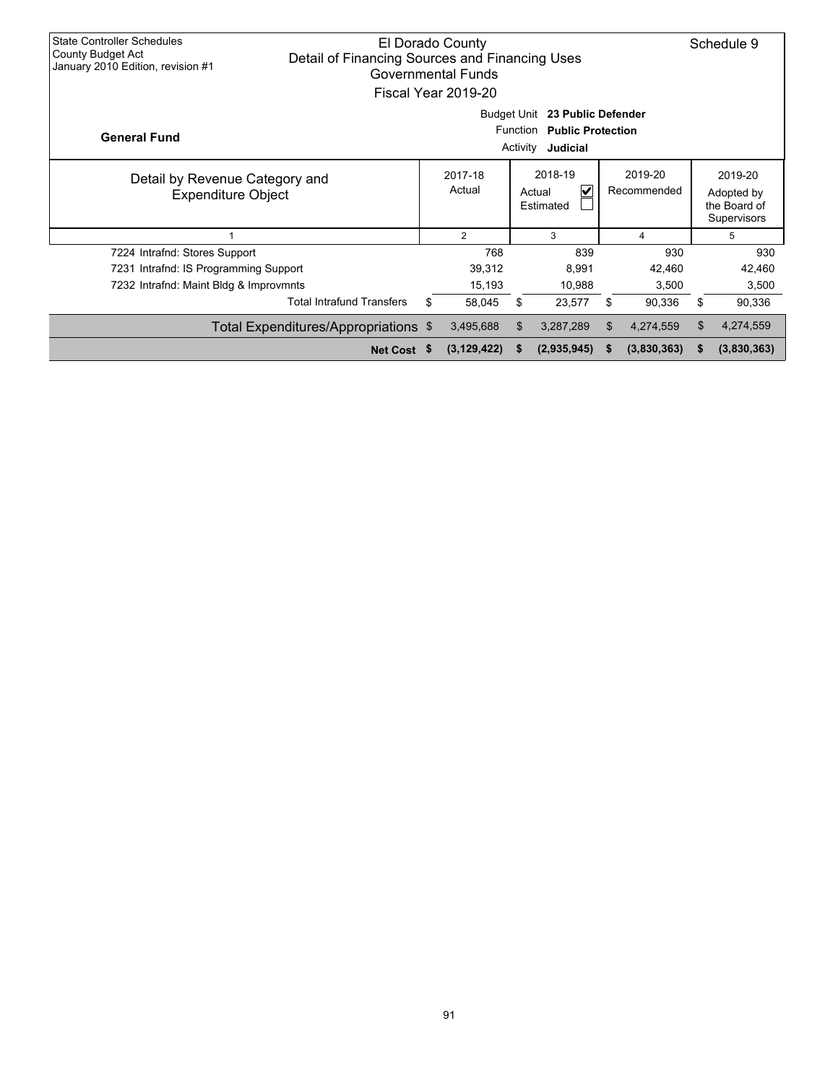| <b>State Controller Schedules</b><br><b>County Budget Act</b><br>January 2010 Edition, revision #1 | El Dorado County<br>Detail of Financing Sources and Financing Uses<br><b>Governmental Funds</b><br>Fiscal Year 2019-20 |    |               |    |             |     |             |                                                      |             |
|----------------------------------------------------------------------------------------------------|------------------------------------------------------------------------------------------------------------------------|----|---------------|----|-------------|-----|-------------|------------------------------------------------------|-------------|
| <b>General Fund</b>                                                                                | Budget Unit 23 Public Defender<br>Function Public Protection<br>Judicial<br>Activity                                   |    |               |    |             |     |             |                                                      |             |
| Detail by Revenue Category and<br><b>Expenditure Object</b>                                        | 2018-19<br>2019-20<br>2017-18<br>Actual<br>V<br>Recommended<br>Actual<br>Estimated                                     |    |               |    |             |     |             | 2019-20<br>Adopted by<br>the Board of<br>Supervisors |             |
|                                                                                                    |                                                                                                                        |    | 2             |    | 3           |     | 4           |                                                      | 5           |
| 7224 Intrafnd: Stores Support                                                                      |                                                                                                                        |    | 768           |    | 839         |     | 930         |                                                      | 930         |
| 7231 Intrafnd: IS Programming Support                                                              |                                                                                                                        |    | 39,312        |    | 8,991       |     | 42,460      |                                                      | 42,460      |
| 7232 Intrafnd: Maint Bldg & Improvmnts                                                             |                                                                                                                        |    | 15,193        |    | 10,988      |     | 3,500       |                                                      | 3,500       |
|                                                                                                    | <b>Total Intrafund Transfers</b>                                                                                       | \$ | 58.045        | \$ | 23,577      | \$  | 90,336      | \$                                                   | 90,336      |
|                                                                                                    | Total Expenditures/Appropriations \$                                                                                   |    | 3,495,688     | \$ | 3,287,289   | \$. | 4,274,559   | \$                                                   | 4,274,559   |
|                                                                                                    | Net Cost \$                                                                                                            |    | (3, 129, 422) |    | (2,935,945) | S   | (3,830,363) | S                                                    | (3,830,363) |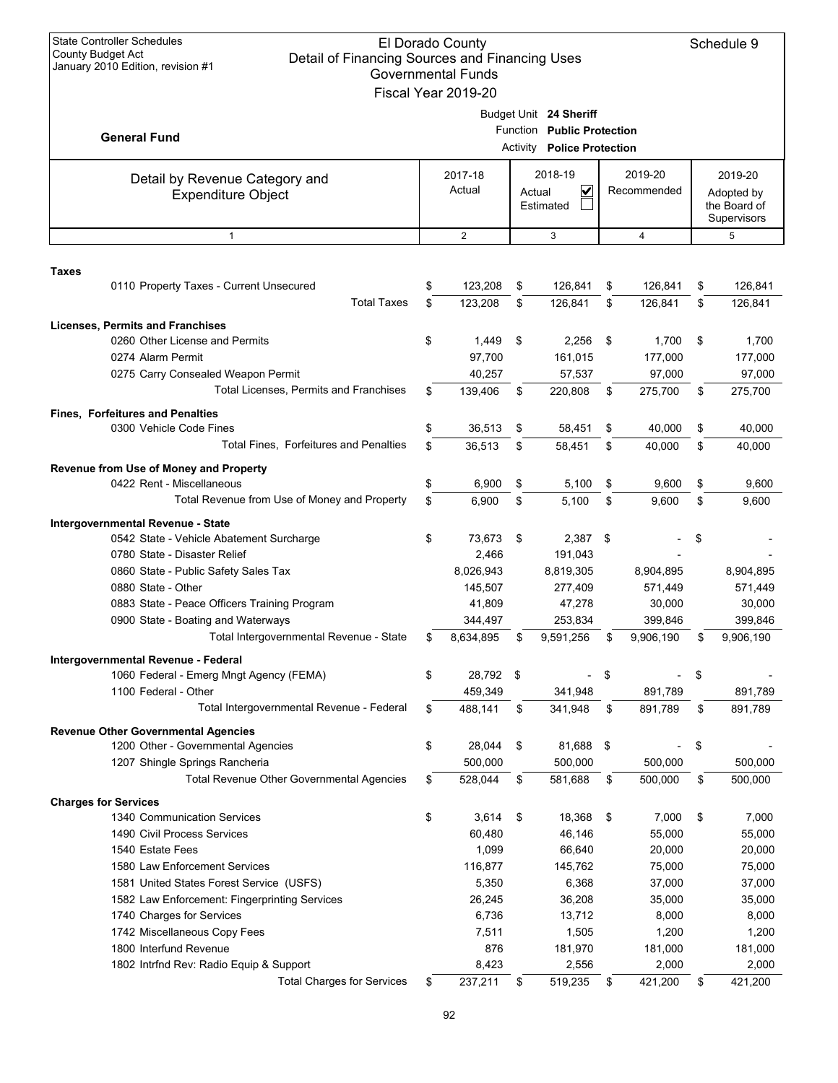| <b>State Controller Schedules</b><br>El Dorado County<br>Schedule 9<br><b>County Budget Act</b><br>Detail of Financing Sources and Financing Uses<br>January 2010 Edition, revision #1<br><b>Governmental Funds</b><br>Fiscal Year 2019-20 |          |                                      |                                                                 |                                       |          |                                       |          |                                                      |  |
|--------------------------------------------------------------------------------------------------------------------------------------------------------------------------------------------------------------------------------------------|----------|--------------------------------------|-----------------------------------------------------------------|---------------------------------------|----------|---------------------------------------|----------|------------------------------------------------------|--|
| <b>General Fund</b>                                                                                                                                                                                                                        |          | Budget Unit 24 Sheriff               | Function Public Protection<br><b>Activity Police Protection</b> |                                       |          |                                       |          |                                                      |  |
| Detail by Revenue Category and<br><b>Expenditure Object</b>                                                                                                                                                                                |          | 2017-18<br>Actual                    | Actual                                                          | 2018-19<br>V<br>Estimated             |          | 2019-20<br>Recommended                |          | 2019-20<br>Adopted by<br>the Board of<br>Supervisors |  |
| $\mathbf{1}$                                                                                                                                                                                                                               |          | 2                                    |                                                                 | 3                                     |          | 4                                     |          | 5                                                    |  |
| <b>Taxes</b><br>0110 Property Taxes - Current Unsecured                                                                                                                                                                                    | \$       | 123,208                              | \$                                                              | 126,841                               | \$       | 126,841                               | \$       | 126,841                                              |  |
| <b>Total Taxes</b>                                                                                                                                                                                                                         | \$       | 123,208                              | \$                                                              | 126,841                               | \$       | 126,841                               | \$       | 126,841                                              |  |
| <b>Licenses, Permits and Franchises</b><br>0260 Other License and Permits<br>0274 Alarm Permit<br>0275 Carry Consealed Weapon Permit<br>Total Licenses, Permits and Franchises                                                             | \$<br>\$ | 1,449<br>97,700<br>40,257<br>139,406 | \$<br>\$                                                        | 2,256<br>161,015<br>57,537<br>220,808 | \$<br>\$ | 1,700<br>177,000<br>97,000<br>275,700 | \$<br>\$ | 1,700<br>177,000<br>97,000<br>275,700                |  |
| <b>Fines, Forfeitures and Penalties</b>                                                                                                                                                                                                    |          |                                      |                                                                 |                                       |          |                                       |          |                                                      |  |
| 0300 Vehicle Code Fines                                                                                                                                                                                                                    | \$       | 36,513                               | \$                                                              | 58,451                                | \$       | 40,000                                | \$       | 40,000                                               |  |
| Total Fines, Forfeitures and Penalties                                                                                                                                                                                                     | \$       | 36,513                               | \$                                                              | 58,451                                | \$       | 40,000                                | \$       | 40,000                                               |  |
| Revenue from Use of Money and Property                                                                                                                                                                                                     |          |                                      |                                                                 |                                       |          |                                       |          |                                                      |  |
| 0422 Rent - Miscellaneous<br>Total Revenue from Use of Money and Property                                                                                                                                                                  | \$       | 6,900                                | \$                                                              | 5,100                                 | \$       | 9,600                                 | \$       | 9,600                                                |  |
|                                                                                                                                                                                                                                            | \$       | 6,900                                | \$                                                              | 5,100                                 | \$       | 9,600                                 | \$       | 9,600                                                |  |
| Intergovernmental Revenue - State<br>0542 State - Vehicle Abatement Surcharge<br>0780 State - Disaster Relief                                                                                                                              | \$       | 73,673<br>2,466                      | \$                                                              | 2,387<br>191,043                      | \$       |                                       | \$       |                                                      |  |
| 0860 State - Public Safety Sales Tax<br>0880 State - Other<br>0883 State - Peace Officers Training Program                                                                                                                                 |          | 8,026,943<br>145,507<br>41,809       |                                                                 | 8,819,305<br>277,409<br>47,278        |          | 8,904,895<br>571,449<br>30,000        |          | 8,904,895<br>571,449<br>30,000                       |  |
| 0900 State - Boating and Waterways                                                                                                                                                                                                         |          | 344,497                              |                                                                 | 253,834                               |          | 399,846                               |          | 399,846                                              |  |
| Total Intergovernmental Revenue - State                                                                                                                                                                                                    |          | 8,634,895                            |                                                                 | 9,591,256                             |          | 9,906,190                             |          | 9,906,190                                            |  |
| Intergovernmental Revenue - Federal<br>1060 Federal - Emerg Mngt Agency (FEMA)<br>1100 Federal - Other                                                                                                                                     | \$       | 28,792 \$<br>459,349                 |                                                                 | $\overline{\phantom{0}}$<br>341,948   | \$       | 891,789                               | \$       | 891,789                                              |  |
| Total Intergovernmental Revenue - Federal                                                                                                                                                                                                  | \$       | 488,141                              | \$                                                              | 341,948                               | \$       | 891,789                               | \$       | 891,789                                              |  |
| <b>Revenue Other Governmental Agencies</b><br>1200 Other - Governmental Agencies                                                                                                                                                           | \$       | 28,044                               | \$                                                              | 81,688                                | -\$      |                                       | \$       |                                                      |  |
| 1207 Shingle Springs Rancheria                                                                                                                                                                                                             |          | 500,000                              |                                                                 | 500,000                               |          | 500,000                               |          | 500,000                                              |  |
| <b>Total Revenue Other Governmental Agencies</b>                                                                                                                                                                                           | \$       | 528,044                              | \$                                                              | 581,688                               | \$       | 500,000                               | \$       | 500,000                                              |  |
| <b>Charges for Services</b>                                                                                                                                                                                                                |          |                                      |                                                                 |                                       |          |                                       |          |                                                      |  |
| 1340 Communication Services                                                                                                                                                                                                                | \$       | 3,614                                | \$                                                              | 18,368                                | \$       | 7,000                                 | \$       | 7,000                                                |  |
| 1490 Civil Process Services                                                                                                                                                                                                                |          | 60,480                               |                                                                 | 46,146                                |          | 55,000                                |          | 55,000                                               |  |
| 1540 Estate Fees<br>1580 Law Enforcement Services                                                                                                                                                                                          |          | 1,099<br>116,877                     |                                                                 | 66,640<br>145,762                     |          | 20,000<br>75,000                      |          | 20,000<br>75,000                                     |  |
| 1581 United States Forest Service (USFS)                                                                                                                                                                                                   |          | 5,350                                |                                                                 | 6,368                                 |          | 37,000                                |          | 37,000                                               |  |
| 1582 Law Enforcement: Fingerprinting Services                                                                                                                                                                                              |          | 26,245                               |                                                                 | 36,208                                |          | 35,000                                |          | 35,000                                               |  |
| 1740 Charges for Services                                                                                                                                                                                                                  |          | 6,736                                |                                                                 | 13,712                                |          | 8,000                                 |          | 8,000                                                |  |
| 1742 Miscellaneous Copy Fees                                                                                                                                                                                                               |          | 7,511                                |                                                                 | 1,505                                 |          | 1,200                                 |          | 1,200                                                |  |
| 1800 Interfund Revenue                                                                                                                                                                                                                     |          | 876                                  |                                                                 | 181,970                               |          | 181,000                               |          | 181,000                                              |  |
| 1802 Intrfnd Rev: Radio Equip & Support                                                                                                                                                                                                    |          | 8,423                                |                                                                 | 2,556                                 |          | 2,000                                 |          | 2,000                                                |  |
| <b>Total Charges for Services</b>                                                                                                                                                                                                          | \$       | 237,211                              | \$                                                              | 519,235                               | \$       | 421,200                               | \$       | 421,200                                              |  |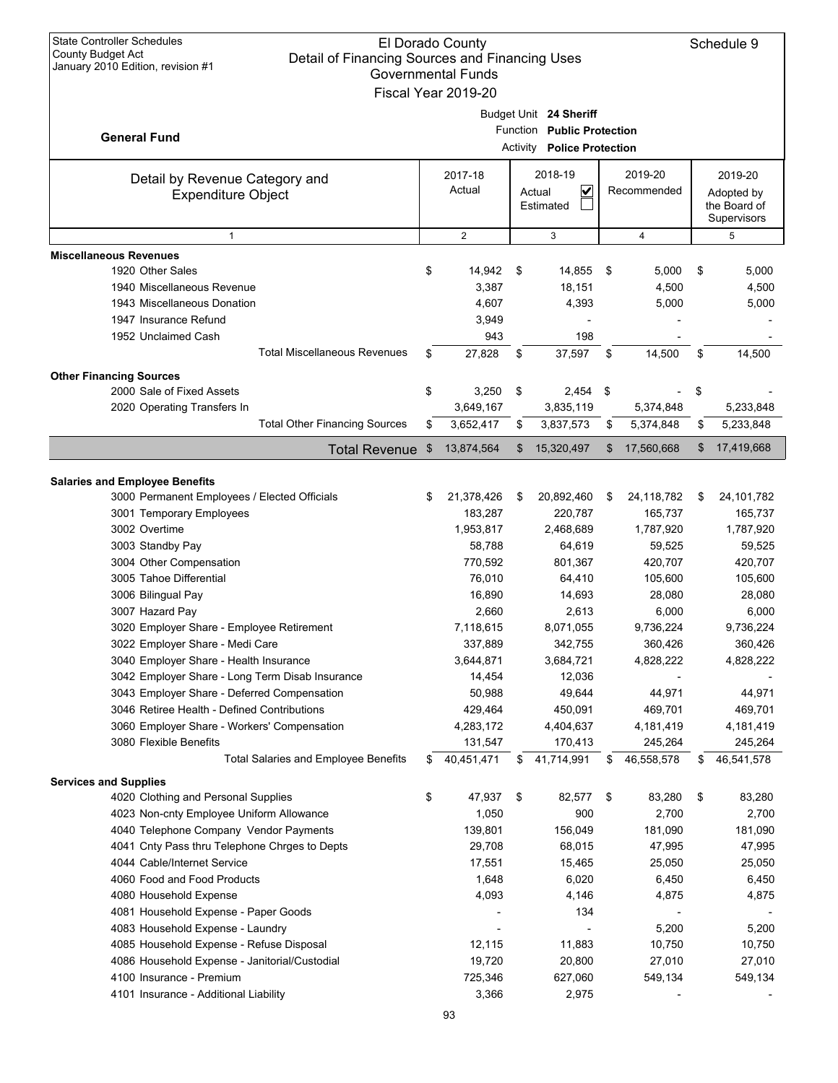| <b>State Controller Schedules</b><br><b>County Budget Act</b><br>Detail of Financing Sources and Financing Uses<br>January 2010 Edition, revision #1 |     | El Dorado County<br><b>Governmental Funds</b><br>Fiscal Year 2019-20 |                                                                                           |                        | Schedule 9                                           |
|------------------------------------------------------------------------------------------------------------------------------------------------------|-----|----------------------------------------------------------------------|-------------------------------------------------------------------------------------------|------------------------|------------------------------------------------------|
| <b>General Fund</b>                                                                                                                                  |     |                                                                      | Budget Unit 24 Sheriff<br>Function Public Protection<br><b>Activity Police Protection</b> |                        |                                                      |
| Detail by Revenue Category and<br><b>Expenditure Object</b>                                                                                          |     | 2017-18<br>Actual                                                    | 2018-19<br>V<br>Actual<br>Estimated                                                       | 2019-20<br>Recommended | 2019-20<br>Adopted by<br>the Board of<br>Supervisors |
| $\mathbf{1}$                                                                                                                                         |     | $\overline{2}$                                                       | 3                                                                                         | $\overline{4}$         | 5                                                    |
| <b>Miscellaneous Revenues</b>                                                                                                                        |     |                                                                      |                                                                                           |                        |                                                      |
| 1920 Other Sales                                                                                                                                     | \$  | 14,942                                                               | \$<br>14,855                                                                              | \$<br>5,000            | \$<br>5,000                                          |
| 1940 Miscellaneous Revenue                                                                                                                           |     | 3,387                                                                | 18,151                                                                                    | 4,500                  | 4,500                                                |
| 1943 Miscellaneous Donation                                                                                                                          |     | 4,607                                                                | 4,393                                                                                     | 5,000                  | 5,000                                                |
| 1947 Insurance Refund                                                                                                                                |     | 3,949                                                                |                                                                                           |                        |                                                      |
| 1952 Unclaimed Cash                                                                                                                                  |     | 943                                                                  | 198                                                                                       |                        |                                                      |
| <b>Total Miscellaneous Revenues</b>                                                                                                                  | \$  | 27,828                                                               | \$<br>37,597                                                                              | \$<br>14,500           | \$<br>14,500                                         |
| <b>Other Financing Sources</b>                                                                                                                       |     |                                                                      |                                                                                           |                        |                                                      |
| 2000 Sale of Fixed Assets                                                                                                                            | \$  | 3,250                                                                | \$<br>$2,454$ \$                                                                          |                        | \$                                                   |
| 2020 Operating Transfers In                                                                                                                          |     | 3,649,167                                                            | 3,835,119                                                                                 | 5,374,848              | 5,233,848                                            |
| <b>Total Other Financing Sources</b>                                                                                                                 | \$  | 3,652,417                                                            | \$<br>3,837,573                                                                           | \$<br>5,374,848        | \$<br>5,233,848                                      |
| <b>Total Revenue</b>                                                                                                                                 | -\$ | 13,874,564                                                           | \$<br>15,320,497                                                                          | \$<br>17,560,668       | \$<br>17,419,668                                     |
|                                                                                                                                                      |     |                                                                      |                                                                                           |                        |                                                      |
| <b>Salaries and Employee Benefits</b><br>3000 Permanent Employees / Elected Officials                                                                | \$  | 21,378,426                                                           | \$<br>20,892,460                                                                          | \$<br>24,118,782       | \$<br>24,101,782                                     |
| 3001 Temporary Employees                                                                                                                             |     | 183,287                                                              | 220,787                                                                                   | 165,737                | 165,737                                              |
| 3002 Overtime                                                                                                                                        |     | 1,953,817                                                            | 2,468,689                                                                                 | 1,787,920              | 1,787,920                                            |
| 3003 Standby Pay                                                                                                                                     |     | 58,788                                                               | 64,619                                                                                    | 59,525                 | 59,525                                               |
| 3004 Other Compensation                                                                                                                              |     | 770,592                                                              | 801,367                                                                                   | 420,707                | 420,707                                              |
| 3005 Tahoe Differential                                                                                                                              |     | 76,010                                                               | 64,410                                                                                    | 105,600                | 105,600                                              |
| 3006 Bilingual Pay                                                                                                                                   |     | 16,890                                                               | 14,693                                                                                    | 28,080                 | 28,080                                               |
| 3007 Hazard Pay                                                                                                                                      |     | 2,660                                                                | 2,613                                                                                     | 6,000                  | 6,000                                                |
| 3020 Employer Share - Employee Retirement                                                                                                            |     | 7,118,615                                                            | 8,071,055                                                                                 | 9,736,224              | 9,736,224                                            |
| 3022 Employer Share - Medi Care                                                                                                                      |     | 337,889                                                              | 342,755                                                                                   | 360,426                | 360,426                                              |
| 3040 Employer Share - Health Insurance                                                                                                               |     | 3,644,871                                                            | 3,684,721                                                                                 | 4,828,222              | 4,828,222                                            |
| 3042 Employer Share - Long Term Disab Insurance                                                                                                      |     | 14,454                                                               | 12,036                                                                                    |                        |                                                      |
| 3043 Employer Share - Deferred Compensation                                                                                                          |     | 50,988                                                               | 49,644                                                                                    | 44,971                 | 44,971                                               |
| 3046 Retiree Health - Defined Contributions                                                                                                          |     | 429,464                                                              | 450,091                                                                                   | 469,701                | 469,701                                              |
| 3060 Employer Share - Workers' Compensation                                                                                                          |     | 4,283,172                                                            | 4,404,637                                                                                 | 4,181,419              | 4,181,419                                            |
| 3080 Flexible Benefits                                                                                                                               |     | 131,547                                                              | 170,413                                                                                   | 245,264                | 245,264                                              |
| <b>Total Salaries and Employee Benefits</b>                                                                                                          | S   | 40,451,471                                                           | \$<br>41,714,991                                                                          | \$<br>46,558,578       | \$<br>46,541,578                                     |
| <b>Services and Supplies</b>                                                                                                                         |     |                                                                      |                                                                                           |                        |                                                      |
| 4020 Clothing and Personal Supplies                                                                                                                  | \$  | 47,937                                                               | \$<br>82,577                                                                              | \$<br>83,280           | \$<br>83,280                                         |
| 4023 Non-cnty Employee Uniform Allowance                                                                                                             |     | 1,050                                                                | 900                                                                                       | 2,700                  | 2,700                                                |
| 4040 Telephone Company Vendor Payments                                                                                                               |     | 139,801                                                              | 156,049                                                                                   | 181,090                | 181,090                                              |
| 4041 Cnty Pass thru Telephone Chrges to Depts                                                                                                        |     | 29,708                                                               | 68,015                                                                                    | 47,995                 | 47,995                                               |
| 4044 Cable/Internet Service                                                                                                                          |     | 17,551                                                               | 15,465                                                                                    | 25,050                 | 25,050                                               |
| 4060 Food and Food Products                                                                                                                          |     | 1,648                                                                | 6,020                                                                                     | 6,450                  | 6,450                                                |
| 4080 Household Expense                                                                                                                               |     | 4,093                                                                | 4,146                                                                                     | 4,875                  | 4,875                                                |
| 4081 Household Expense - Paper Goods                                                                                                                 |     |                                                                      | 134                                                                                       |                        |                                                      |
| 4083 Household Expense - Laundry                                                                                                                     |     |                                                                      |                                                                                           | 5,200                  | 5,200                                                |
| 4085 Household Expense - Refuse Disposal                                                                                                             |     | 12,115                                                               | 11,883                                                                                    | 10,750                 | 10,750                                               |
| 4086 Household Expense - Janitorial/Custodial<br>4100 Insurance - Premium                                                                            |     | 19,720                                                               | 20,800                                                                                    | 27,010                 | 27,010                                               |
| 4101 Insurance - Additional Liability                                                                                                                |     | 725,346<br>3,366                                                     | 627,060<br>2,975                                                                          | 549,134                | 549,134                                              |
|                                                                                                                                                      |     |                                                                      |                                                                                           |                        |                                                      |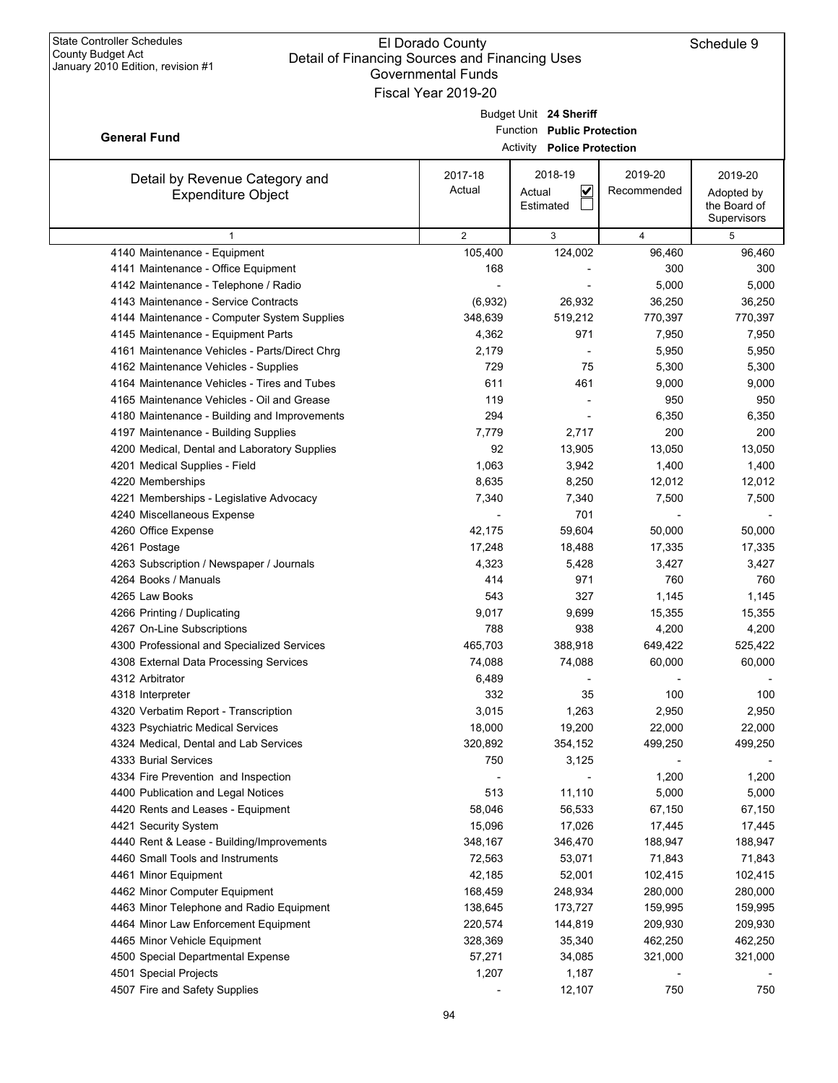|                                                                      | Governmental Funds<br>Fiscal Year 2019-20 |                                                                 |                    |                             |
|----------------------------------------------------------------------|-------------------------------------------|-----------------------------------------------------------------|--------------------|-----------------------------|
|                                                                      |                                           |                                                                 |                    |                             |
|                                                                      |                                           | Budget Unit 24 Sheriff                                          |                    |                             |
| <b>General Fund</b>                                                  |                                           | Function Public Protection<br><b>Activity Police Protection</b> |                    |                             |
|                                                                      |                                           |                                                                 |                    |                             |
| Detail by Revenue Category and                                       | 2017-18                                   | 2018-19                                                         | 2019-20            | 2019-20                     |
| <b>Expenditure Object</b>                                            | Actual                                    | V<br>Actual                                                     | Recommended        | Adopted by                  |
|                                                                      |                                           | Estimated                                                       |                    | the Board of<br>Supervisors |
| $\mathbf{1}$                                                         | $\overline{2}$                            | 3                                                               | 4                  | 5                           |
| 4140 Maintenance - Equipment                                         | 105,400                                   | 124,002                                                         | 96,460             | 96,460                      |
| 4141 Maintenance - Office Equipment                                  | 168                                       |                                                                 | 300                | 300                         |
| 4142 Maintenance - Telephone / Radio                                 |                                           |                                                                 | 5,000              | 5,000                       |
| 4143 Maintenance - Service Contracts                                 | (6,932)                                   | 26,932                                                          | 36,250             | 36,250                      |
| 4144 Maintenance - Computer System Supplies                          | 348,639                                   | 519,212                                                         | 770,397            | 770,397                     |
| 4145 Maintenance - Equipment Parts                                   | 4,362                                     | 971                                                             | 7,950              | 7,950                       |
| 4161 Maintenance Vehicles - Parts/Direct Chrg                        | 2,179                                     |                                                                 | 5,950              | 5,950                       |
| 4162 Maintenance Vehicles - Supplies                                 | 729                                       | 75                                                              | 5,300              | 5,300                       |
| 4164 Maintenance Vehicles - Tires and Tubes                          | 611                                       | 461                                                             | 9,000              | 9,000                       |
| 4165 Maintenance Vehicles - Oil and Grease                           | 119                                       |                                                                 | 950                | 950                         |
| 4180 Maintenance - Building and Improvements                         | 294                                       |                                                                 | 6,350              | 6,350                       |
| 4197 Maintenance - Building Supplies                                 | 7,779                                     | 2,717                                                           | 200                | 200                         |
| 4200 Medical, Dental and Laboratory Supplies                         | 92                                        | 13,905                                                          | 13,050             | 13,050                      |
| 4201 Medical Supplies - Field                                        | 1,063                                     | 3,942                                                           | 1,400              | 1,400                       |
| 4220 Memberships                                                     | 8,635                                     | 8,250                                                           | 12,012             | 12,012                      |
| 4221 Memberships - Legislative Advocacy                              | 7,340                                     | 7,340                                                           | 7,500              | 7,500                       |
| 4240 Miscellaneous Expense                                           |                                           | 701                                                             |                    |                             |
| 4260 Office Expense                                                  | 42,175                                    | 59,604                                                          | 50,000             | 50,000                      |
| 4261 Postage                                                         | 17,248                                    | 18,488                                                          | 17,335             | 17,335                      |
| 4263 Subscription / Newspaper / Journals                             | 4,323                                     | 5,428                                                           | 3,427              | 3,427                       |
| 4264 Books / Manuals                                                 | 414                                       | 971                                                             | 760                | 760                         |
| 4265 Law Books                                                       | 543                                       | 327                                                             | 1,145              | 1,145                       |
| 4266 Printing / Duplicating                                          | 9,017                                     | 9,699                                                           | 15,355             | 15,355                      |
| 4267 On-Line Subscriptions                                           | 788                                       | 938                                                             | 4,200              | 4,200                       |
| 4300 Professional and Specialized Services                           | 465,703                                   | 388,918                                                         | 649,422            | 525,422                     |
| 4308 External Data Processing Services                               | 74,088                                    | 74,088                                                          | 60,000             | 60,000                      |
| 4312 Arbitrator                                                      | 6,489                                     |                                                                 |                    |                             |
| 4318 Interpreter                                                     | 332                                       | 35                                                              | 100                | 100                         |
| 4320 Verbatim Report - Transcription                                 | 3,015                                     | 1,263                                                           | 2,950              | 2,950                       |
| 4323 Psychiatric Medical Services                                    | 18,000                                    | 19,200                                                          | 22,000             | 22,000                      |
| 4324 Medical, Dental and Lab Services                                | 320,892                                   | 354,152                                                         | 499,250            | 499,250                     |
| 4333 Burial Services                                                 | 750                                       | 3,125                                                           |                    |                             |
| 4334 Fire Prevention and Inspection                                  |                                           |                                                                 | 1,200              | 1,200                       |
| 4400 Publication and Legal Notices                                   | 513                                       | 11,110                                                          | 5,000              | 5,000                       |
| 4420 Rents and Leases - Equipment                                    | 58,046                                    | 56,533                                                          | 67,150             | 67,150                      |
| 4421 Security System                                                 | 15,096                                    | 17,026                                                          | 17,445             | 17,445                      |
| 4440 Rent & Lease - Building/Improvements                            | 348,167                                   | 346,470                                                         | 188,947            | 188,947                     |
| 4460 Small Tools and Instruments                                     | 72,563                                    | 53,071                                                          | 71,843             | 71,843                      |
| 4461 Minor Equipment                                                 | 42,185                                    | 52,001                                                          | 102,415<br>280,000 | 102,415                     |
| 4462 Minor Computer Equipment                                        | 168,459                                   | 248,934                                                         |                    | 280,000                     |
| 4463 Minor Telephone and Radio Equipment                             | 138,645                                   | 173,727                                                         | 159,995            | 159,995                     |
| 4464 Minor Law Enforcement Equipment<br>4465 Minor Vehicle Equipment | 220,574<br>328,369                        | 144,819<br>35,340                                               | 209,930<br>462,250 | 209,930<br>462,250          |
| 4500 Special Departmental Expense                                    | 57,271                                    | 34,085                                                          | 321,000            | 321,000                     |
| 4501 Special Projects                                                | 1,207                                     | 1,187                                                           |                    |                             |
| 4507 Fire and Safety Supplies                                        |                                           | 12,107                                                          | 750                | 750                         |
|                                                                      |                                           |                                                                 |                    |                             |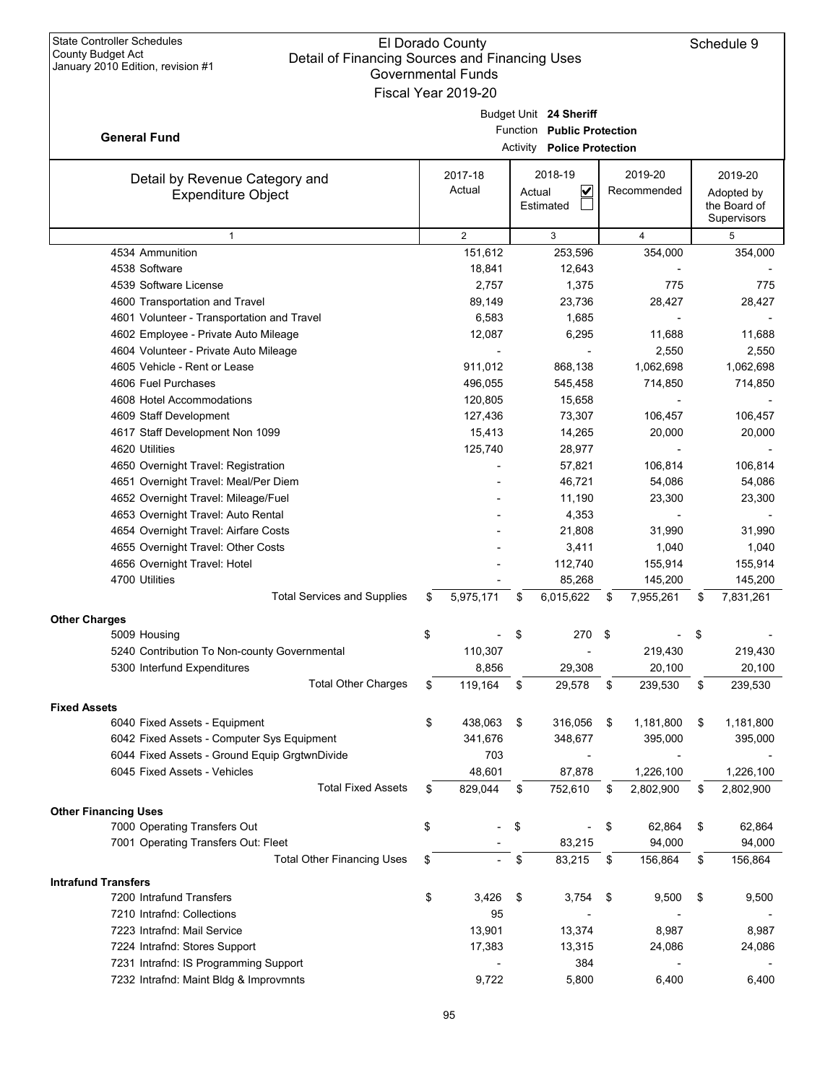| <b>State Controller Schedules</b><br><b>County Budget Act</b><br>Detail of Financing Sources and Financing Uses<br>January 2010 Edition, revision #1 | El Dorado County<br><b>Governmental Funds</b><br>Fiscal Year 2019-20 |        |                                                                                           |                        |    | Schedule 9                                           |
|------------------------------------------------------------------------------------------------------------------------------------------------------|----------------------------------------------------------------------|--------|-------------------------------------------------------------------------------------------|------------------------|----|------------------------------------------------------|
| <b>General Fund</b>                                                                                                                                  |                                                                      |        | Budget Unit 24 Sheriff<br>Function Public Protection<br><b>Activity Police Protection</b> |                        |    |                                                      |
| Detail by Revenue Category and<br><b>Expenditure Object</b>                                                                                          | 2017-18<br>Actual                                                    | Actual | 2018-19<br>V<br>Estimated                                                                 | 2019-20<br>Recommended |    | 2019-20<br>Adopted by<br>the Board of<br>Supervisors |
| $\mathbf{1}$                                                                                                                                         | 2                                                                    |        | 3                                                                                         | 4                      |    | 5                                                    |
| 4534 Ammunition                                                                                                                                      | 151,612                                                              |        | 253,596                                                                                   | 354,000                |    | 354,000                                              |
| 4538 Software                                                                                                                                        | 18,841                                                               |        | 12,643                                                                                    |                        |    |                                                      |
| 4539 Software License                                                                                                                                | 2,757                                                                |        | 1,375                                                                                     | 775                    |    | 775                                                  |
| 4600 Transportation and Travel                                                                                                                       | 89,149                                                               |        | 23,736                                                                                    | 28,427                 |    | 28,427                                               |
| 4601 Volunteer - Transportation and Travel                                                                                                           | 6,583                                                                |        | 1,685                                                                                     |                        |    |                                                      |
| 4602 Employee - Private Auto Mileage                                                                                                                 | 12,087                                                               |        | 6,295                                                                                     | 11,688                 |    | 11,688                                               |
| 4604 Volunteer - Private Auto Mileage                                                                                                                |                                                                      |        |                                                                                           | 2,550                  |    | 2,550                                                |
| 4605 Vehicle - Rent or Lease                                                                                                                         | 911,012                                                              |        | 868.138                                                                                   | 1,062,698              |    | 1,062,698                                            |
| 4606 Fuel Purchases                                                                                                                                  | 496,055                                                              |        | 545,458                                                                                   | 714,850                |    | 714,850                                              |
| 4608 Hotel Accommodations                                                                                                                            | 120,805                                                              |        | 15,658                                                                                    |                        |    |                                                      |
| 4609 Staff Development                                                                                                                               | 127,436                                                              |        | 73,307                                                                                    | 106,457                |    | 106,457                                              |
| 4617 Staff Development Non 1099                                                                                                                      | 15,413                                                               |        | 14,265                                                                                    | 20,000                 |    | 20,000                                               |
| 4620 Utilities                                                                                                                                       | 125,740                                                              |        | 28,977                                                                                    |                        |    |                                                      |
| 4650 Overnight Travel: Registration                                                                                                                  |                                                                      |        | 57,821                                                                                    | 106,814                |    | 106,814                                              |
| 4651 Overnight Travel: Meal/Per Diem                                                                                                                 |                                                                      |        | 46,721                                                                                    | 54,086                 |    | 54,086                                               |
| 4652 Overnight Travel: Mileage/Fuel                                                                                                                  |                                                                      |        | 11,190                                                                                    | 23,300                 |    | 23,300                                               |
| 4653 Overnight Travel: Auto Rental                                                                                                                   |                                                                      |        | 4,353                                                                                     |                        |    |                                                      |
| 4654 Overnight Travel: Airfare Costs                                                                                                                 |                                                                      |        | 21,808                                                                                    | 31,990                 |    | 31,990                                               |
| 4655 Overnight Travel: Other Costs                                                                                                                   |                                                                      |        | 3,411                                                                                     | 1,040                  |    | 1,040                                                |
| 4656 Overnight Travel: Hotel                                                                                                                         |                                                                      |        | 112,740                                                                                   | 155,914                |    | 155,914                                              |
| 4700 Utilities                                                                                                                                       |                                                                      |        | 85,268                                                                                    | 145,200                |    | 145,200                                              |
| <b>Total Services and Supplies</b>                                                                                                                   | \$<br>5,975,171                                                      | \$     | 6,015,622                                                                                 | \$<br>7,955,261        | S  | 7,831,261                                            |
| <b>Other Charges</b>                                                                                                                                 |                                                                      |        |                                                                                           |                        |    |                                                      |
| 5009 Housing                                                                                                                                         | \$                                                                   | \$     | 270                                                                                       | \$                     | \$ |                                                      |
| 5240 Contribution To Non-county Governmental                                                                                                         | 110,307                                                              |        |                                                                                           | 219,430                |    | 219,430                                              |
| 5300 Interfund Expenditures                                                                                                                          | 8,856                                                                |        | 29,308                                                                                    | 20,100                 |    | 20,100                                               |
| <b>Total Other Charges</b>                                                                                                                           | \$<br>119,164                                                        | \$     | 29,578                                                                                    | \$<br>239,530          | \$ | 239,530                                              |
| <b>Fixed Assets</b>                                                                                                                                  |                                                                      |        |                                                                                           |                        |    |                                                      |
| 6040 Fixed Assets - Equipment                                                                                                                        | \$<br>438,063                                                        | \$     | 316,056                                                                                   | \$<br>1,181,800        | \$ | 1,181,800                                            |
| 6042 Fixed Assets - Computer Sys Equipment                                                                                                           | 341,676                                                              |        | 348,677                                                                                   | 395,000                |    | 395,000                                              |
| 6044 Fixed Assets - Ground Equip GrgtwnDivide                                                                                                        | 703                                                                  |        |                                                                                           |                        |    |                                                      |
| 6045 Fixed Assets - Vehicles                                                                                                                         | 48,601                                                               |        | 87,878                                                                                    | 1,226,100              |    | 1,226,100                                            |
| <b>Total Fixed Assets</b>                                                                                                                            | \$<br>829,044                                                        | \$     | 752,610                                                                                   | \$<br>2,802,900        | \$ | 2,802,900                                            |
| <b>Other Financing Uses</b>                                                                                                                          |                                                                      |        |                                                                                           |                        |    |                                                      |
| 7000 Operating Transfers Out                                                                                                                         | \$                                                                   | \$     |                                                                                           | \$<br>62,864           | \$ | 62,864                                               |
| 7001 Operating Transfers Out: Fleet                                                                                                                  |                                                                      |        | 83,215                                                                                    | 94,000                 |    | 94,000                                               |
| <b>Total Other Financing Uses</b>                                                                                                                    | \$                                                                   | \$     | 83,215                                                                                    | \$<br>156,864          | \$ | 156,864                                              |
|                                                                                                                                                      |                                                                      |        |                                                                                           |                        |    |                                                      |
| <b>Intrafund Transfers</b>                                                                                                                           |                                                                      |        |                                                                                           |                        |    |                                                      |
| 7200 Intrafund Transfers                                                                                                                             | \$<br>3,426                                                          | \$     | 3,754                                                                                     | \$<br>9,500            | \$ | 9,500                                                |
| 7210 Intrafnd: Collections                                                                                                                           | 95                                                                   |        |                                                                                           |                        |    |                                                      |
| 7223 Intrafnd: Mail Service                                                                                                                          | 13,901                                                               |        | 13,374                                                                                    | 8,987                  |    | 8,987                                                |
| 7224 Intrafnd: Stores Support                                                                                                                        | 17,383                                                               |        | 13,315                                                                                    | 24,086                 |    | 24,086                                               |
| 7231 Intrafnd: IS Programming Support                                                                                                                |                                                                      |        | 384                                                                                       |                        |    |                                                      |
| 7232 Intrafnd: Maint Bldg & Improvmnts                                                                                                               | 9,722                                                                |        | 5,800                                                                                     | 6,400                  |    | 6,400                                                |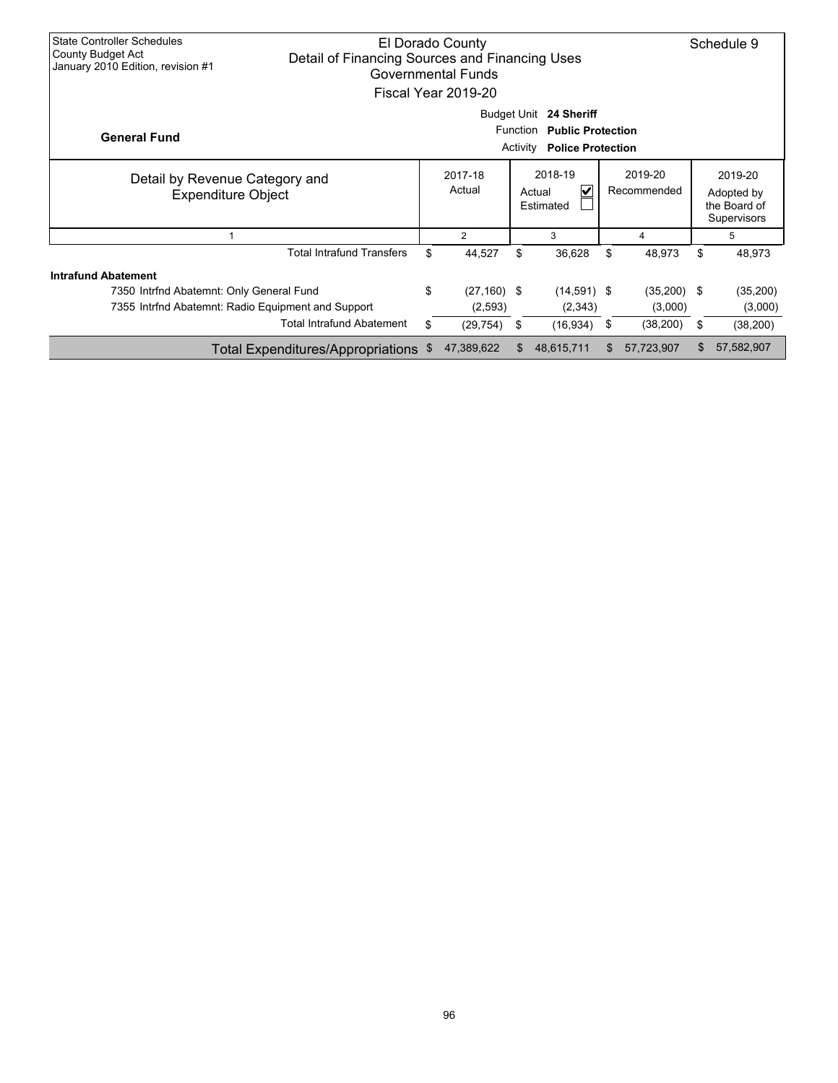| <b>State Controller Schedules</b><br>County Budget Act<br>January 2010 Edition, revision #1 | Detail of Financing Sources and Financing Uses | El Dorado County<br><b>Governmental Funds</b><br>Fiscal Year 2019-20 |                             |                                                                                |                        | Schedule 9                                           |
|---------------------------------------------------------------------------------------------|------------------------------------------------|----------------------------------------------------------------------|-----------------------------|--------------------------------------------------------------------------------|------------------------|------------------------------------------------------|
| <b>General Fund</b>                                                                         |                                                |                                                                      | <b>Function</b><br>Activity | Budget Unit 24 Sheriff<br><b>Public Protection</b><br><b>Police Protection</b> |                        |                                                      |
| Detail by Revenue Category and<br><b>Expenditure Object</b>                                 |                                                | 2017-18<br>Actual                                                    |                             | 2018-19<br>V<br>Actual<br>Estimated                                            | 2019-20<br>Recommended | 2019-20<br>Adopted by<br>the Board of<br>Supervisors |
|                                                                                             |                                                | $\overline{2}$                                                       |                             | 3                                                                              | 4                      | 5                                                    |
|                                                                                             | <b>Total Intrafund Transfers</b>               | \$<br>44,527                                                         | \$                          | 36,628                                                                         | \$<br>48,973           | \$<br>48,973                                         |
| <b>Intrafund Abatement</b>                                                                  |                                                |                                                                      |                             |                                                                                |                        |                                                      |
| 7350 Intrfnd Abatemnt: Only General Fund                                                    |                                                | \$<br>$(27, 160)$ \$                                                 |                             | $(14,591)$ \$                                                                  | $(35,200)$ \$          | (35, 200)                                            |
| 7355 Intrind Abatemnt: Radio Equipment and Support                                          |                                                | (2,593)                                                              |                             | (2,343)                                                                        | (3,000)                | (3,000)                                              |
|                                                                                             | <b>Total Intrafund Abatement</b>               | \$<br>(29, 754)                                                      | \$                          | (16, 934)                                                                      | \$<br>(38, 200)        | \$<br>(38, 200)                                      |
|                                                                                             | Total Expenditures/Appropriations              | \$<br>47,389,622                                                     | \$                          | 48,615,711                                                                     | \$<br>57,723,907       | \$<br>57,582,907                                     |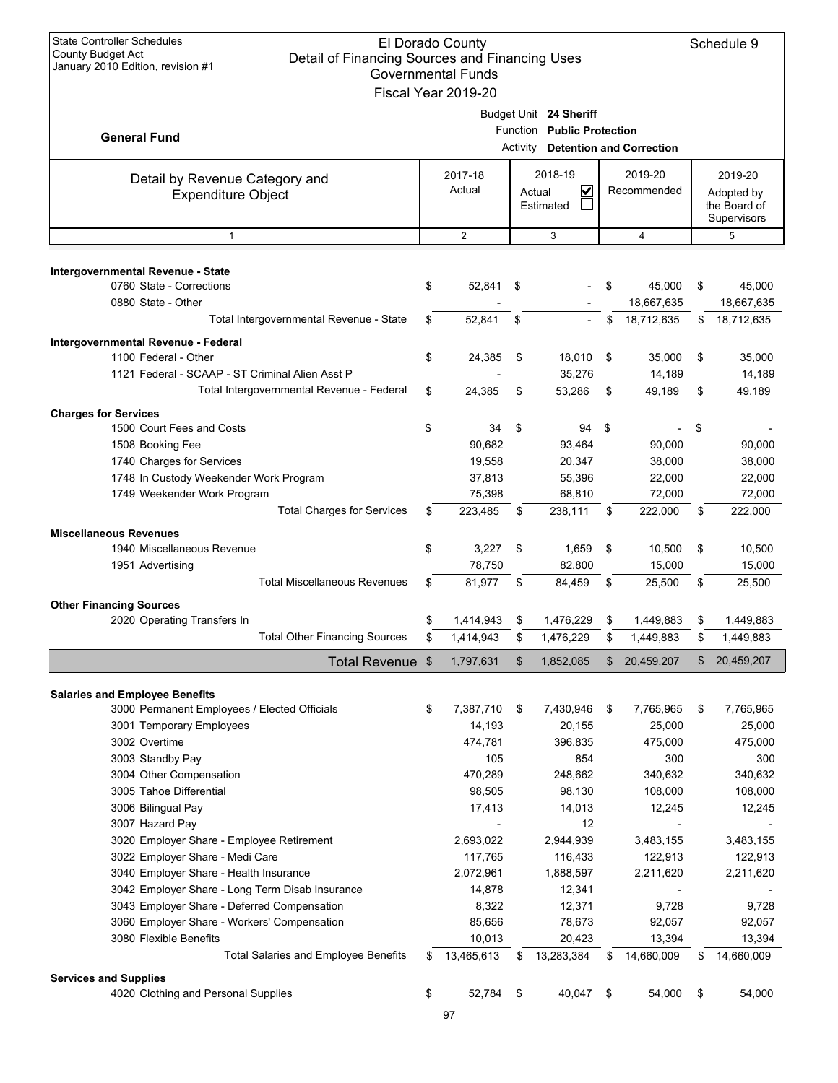| <b>State Controller Schedules</b><br><b>County Budget Act</b><br>Detail of Financing Sources and Financing Uses<br>January 2010 Edition, revision #1 |    | <b>El Dorado County</b><br><b>Governmental Funds</b><br>Fiscal Year 2019-20 |    |                                          |     |                     |    | Schedule 9        |  |                                           |
|------------------------------------------------------------------------------------------------------------------------------------------------------|----|-----------------------------------------------------------------------------|----|------------------------------------------|-----|---------------------|----|-------------------|--|-------------------------------------------|
|                                                                                                                                                      |    |                                                                             |    | Budget Unit 24 Sheriff                   |     |                     |    |                   |  |                                           |
| <b>General Fund</b>                                                                                                                                  |    |                                                                             |    | Function Public Protection               |     |                     |    |                   |  |                                           |
|                                                                                                                                                      |    |                                                                             |    | <b>Activity Detention and Correction</b> |     |                     |    |                   |  |                                           |
| Detail by Revenue Category and                                                                                                                       |    | 2017-18                                                                     |    | 2018-19                                  |     | 2019-20             |    | 2019-20           |  |                                           |
| <b>Expenditure Object</b>                                                                                                                            |    | Actual                                                                      |    | $\checkmark$<br>Recommended              |     | Actual<br>Estimated |    |                   |  | Adopted by<br>the Board of<br>Supervisors |
| $\mathbf{1}$                                                                                                                                         |    | 2                                                                           |    | 3                                        |     | 4                   |    | 5                 |  |                                           |
|                                                                                                                                                      |    |                                                                             |    |                                          |     |                     |    |                   |  |                                           |
| Intergovernmental Revenue - State                                                                                                                    |    |                                                                             |    |                                          |     |                     |    |                   |  |                                           |
| 0760 State - Corrections                                                                                                                             | \$ | 52,841 \$                                                                   |    |                                          | \$  | 45,000              | \$ | 45,000            |  |                                           |
| 0880 State - Other<br>Total Intergovernmental Revenue - State                                                                                        |    |                                                                             |    |                                          |     | 18,667,635          |    | 18,667,635        |  |                                           |
|                                                                                                                                                      | \$ | 52,841                                                                      | \$ |                                          | \$  | 18,712,635          | \$ | 18,712,635        |  |                                           |
| Intergovernmental Revenue - Federal                                                                                                                  |    |                                                                             |    |                                          |     |                     |    |                   |  |                                           |
| 1100 Federal - Other<br>1121 Federal - SCAAP - ST Criminal Alien Asst P                                                                              | \$ | 24,385                                                                      | \$ | 18,010<br>35,276                         | \$  | 35,000<br>14,189    | \$ | 35,000<br>14,189  |  |                                           |
| Total Intergovernmental Revenue - Federal                                                                                                            | \$ | 24,385                                                                      | \$ | 53,286                                   | \$  | 49,189              | \$ | 49,189            |  |                                           |
|                                                                                                                                                      |    |                                                                             |    |                                          |     |                     |    |                   |  |                                           |
| <b>Charges for Services</b><br>1500 Court Fees and Costs                                                                                             | \$ | 34                                                                          | \$ | 94                                       | -\$ |                     |    |                   |  |                                           |
| 1508 Booking Fee                                                                                                                                     |    | 90,682                                                                      |    | 93,464                                   |     | 90,000              | \$ | 90,000            |  |                                           |
| 1740 Charges for Services                                                                                                                            |    | 19,558                                                                      |    | 20,347                                   |     | 38,000              |    | 38,000            |  |                                           |
| 1748 In Custody Weekender Work Program                                                                                                               |    | 37,813                                                                      |    | 55,396                                   |     | 22,000              |    | 22,000            |  |                                           |
| 1749 Weekender Work Program                                                                                                                          |    | 75,398                                                                      |    | 68,810                                   |     | 72,000              |    | 72,000            |  |                                           |
| <b>Total Charges for Services</b>                                                                                                                    | \$ | 223,485                                                                     | \$ | 238,111                                  | \$  | 222,000             | \$ | 222,000           |  |                                           |
| <b>Miscellaneous Revenues</b>                                                                                                                        |    |                                                                             |    |                                          |     |                     |    |                   |  |                                           |
| 1940 Miscellaneous Revenue                                                                                                                           | \$ | 3,227                                                                       | \$ | 1,659                                    | \$  | 10,500              | \$ | 10,500            |  |                                           |
| 1951 Advertising                                                                                                                                     |    | 78,750                                                                      |    | 82,800                                   |     | 15,000              |    | 15,000            |  |                                           |
| <b>Total Miscellaneous Revenues</b>                                                                                                                  | \$ | 81,977                                                                      | \$ | 84,459                                   | \$  | 25,500              | \$ | 25,500            |  |                                           |
| <b>Other Financing Sources</b>                                                                                                                       |    |                                                                             |    |                                          |     |                     |    |                   |  |                                           |
| 2020 Operating Transfers In                                                                                                                          | \$ | 1,414,943                                                                   | \$ | 1,476,229                                | \$  | 1,449,883           | \$ | 1,449,883         |  |                                           |
| <b>Total Other Financing Sources</b>                                                                                                                 | ድ  | 1,414,943                                                                   | \$ | 1,476,229                                | \$  | 1,449,883           | ድ  | 1,449,883         |  |                                           |
| Total Revenue \$                                                                                                                                     |    | 1,797,631                                                                   | \$ | 1,852,085                                | \$  | 20,459,207          | \$ | 20,459,207        |  |                                           |
|                                                                                                                                                      |    |                                                                             |    |                                          |     |                     |    |                   |  |                                           |
| <b>Salaries and Employee Benefits</b>                                                                                                                |    |                                                                             |    |                                          |     |                     |    |                   |  |                                           |
| 3000 Permanent Employees / Elected Officials                                                                                                         | \$ | 7,387,710                                                                   | \$ | 7,430,946                                | \$  | 7,765,965           | \$ | 7,765,965         |  |                                           |
| 3001 Temporary Employees<br>3002 Overtime                                                                                                            |    | 14,193<br>474,781                                                           |    | 20,155<br>396,835                        |     | 25,000<br>475,000   |    | 25,000<br>475,000 |  |                                           |
| 3003 Standby Pay                                                                                                                                     |    | 105                                                                         |    | 854                                      |     | 300                 |    | 300               |  |                                           |
| 3004 Other Compensation                                                                                                                              |    | 470,289                                                                     |    | 248,662                                  |     | 340,632             |    | 340,632           |  |                                           |
| 3005 Tahoe Differential                                                                                                                              |    | 98,505                                                                      |    | 98,130                                   |     | 108,000             |    | 108,000           |  |                                           |
| 3006 Bilingual Pay                                                                                                                                   |    | 17,413                                                                      |    | 14,013                                   |     | 12,245              |    | 12,245            |  |                                           |
|                                                                                                                                                      |    |                                                                             |    |                                          |     |                     |    |                   |  |                                           |
|                                                                                                                                                      |    |                                                                             |    |                                          |     |                     |    |                   |  |                                           |
| 3007 Hazard Pay                                                                                                                                      |    |                                                                             |    | 12                                       |     |                     |    |                   |  |                                           |
| 3020 Employer Share - Employee Retirement                                                                                                            |    | 2,693,022                                                                   |    | 2,944,939                                |     | 3,483,155           |    | 3,483,155         |  |                                           |
| 3022 Employer Share - Medi Care                                                                                                                      |    | 117,765                                                                     |    | 116,433                                  |     | 122,913             |    | 122,913           |  |                                           |
| 3040 Employer Share - Health Insurance                                                                                                               |    | 2,072,961                                                                   |    | 1,888,597                                |     | 2,211,620           |    | 2,211,620         |  |                                           |
| 3042 Employer Share - Long Term Disab Insurance                                                                                                      |    | 14,878                                                                      |    | 12,341<br>12,371                         |     | 9,728               |    | 9,728             |  |                                           |
| 3043 Employer Share - Deferred Compensation                                                                                                          |    | 8,322<br>85,656                                                             |    |                                          |     | 92,057              |    |                   |  |                                           |
| 3060 Employer Share - Workers' Compensation<br>3080 Flexible Benefits                                                                                |    | 10,013                                                                      |    | 78,673<br>20,423                         |     | 13,394              |    | 92,057<br>13,394  |  |                                           |
| <b>Total Salaries and Employee Benefits</b>                                                                                                          | \$ | 13,465,613                                                                  | \$ | 13,283,384                               | \$  | 14,660,009          | \$ | 14,660,009        |  |                                           |
|                                                                                                                                                      |    |                                                                             |    |                                          |     |                     |    |                   |  |                                           |
| <b>Services and Supplies</b><br>4020 Clothing and Personal Supplies                                                                                  | \$ | 52,784                                                                      | \$ | 40,047                                   | \$  | 54,000              | \$ | 54,000            |  |                                           |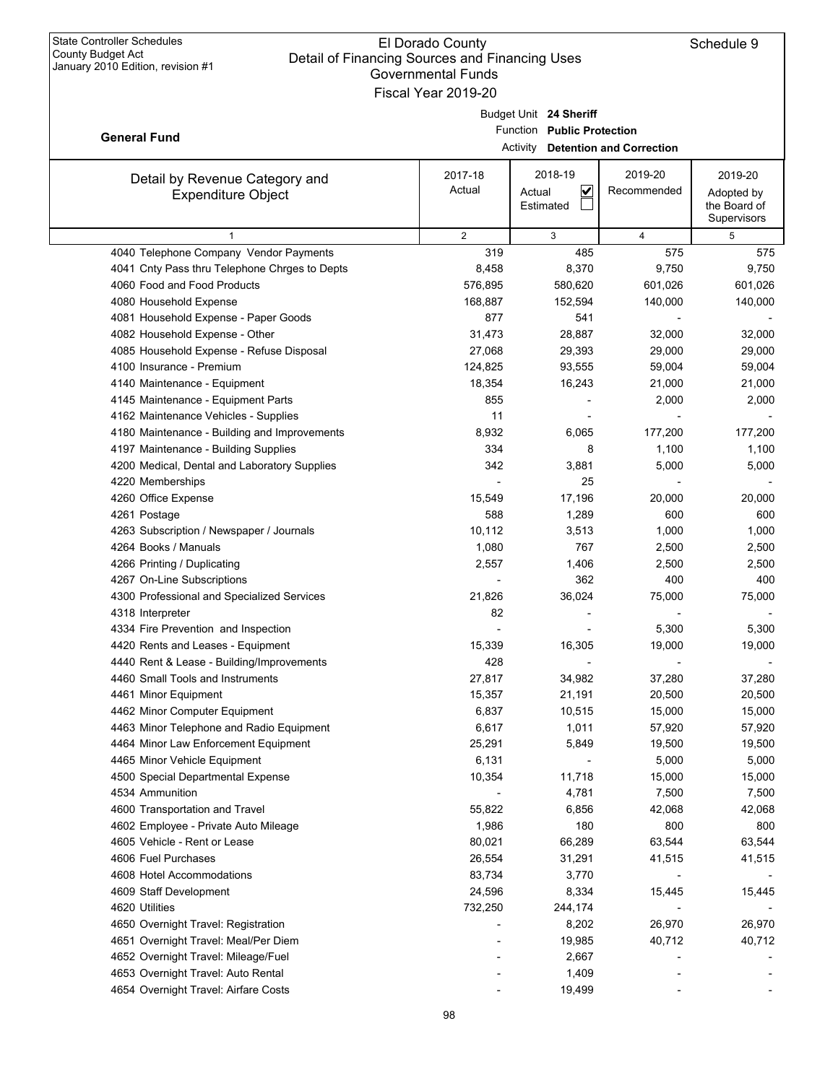|                                               | OUVUIIIIIUUIII FUIIUS<br>Fiscal Year 2019-20 |                                          |                |              |
|-----------------------------------------------|----------------------------------------------|------------------------------------------|----------------|--------------|
|                                               |                                              |                                          |                |              |
|                                               |                                              | Budget Unit 24 Sheriff                   |                |              |
| <b>General Fund</b>                           |                                              | Function Public Protection               |                |              |
|                                               |                                              | <b>Activity Detention and Correction</b> |                |              |
| Detail by Revenue Category and                | 2017-18                                      | 2018-19                                  | 2019-20        | 2019-20      |
| <b>Expenditure Object</b>                     | Actual                                       | $\checkmark$<br>Actual                   | Recommended    | Adopted by   |
|                                               |                                              | Estimated                                |                | the Board of |
|                                               |                                              |                                          |                | Supervisors  |
| $\mathbf{1}$                                  | 2                                            | 3                                        | $\overline{4}$ | 5            |
| 4040 Telephone Company Vendor Payments        | 319                                          | 485                                      | 575            | 575          |
| 4041 Cnty Pass thru Telephone Chrges to Depts | 8,458                                        | 8,370                                    | 9,750          | 9,750        |
| 4060 Food and Food Products                   | 576,895                                      | 580,620                                  | 601,026        | 601,026      |
| 4080 Household Expense                        | 168,887                                      | 152,594                                  | 140,000        | 140,000      |
| 4081 Household Expense - Paper Goods          | 877                                          | 541                                      |                |              |
| 4082 Household Expense - Other                | 31,473                                       | 28,887                                   | 32,000         | 32,000       |
| 4085 Household Expense - Refuse Disposal      | 27,068                                       | 29,393                                   | 29,000         | 29,000       |
| 4100 Insurance - Premium                      | 124,825                                      | 93,555                                   | 59,004         | 59,004       |
| 4140 Maintenance - Equipment                  | 18,354                                       | 16,243                                   | 21,000         | 21,000       |
| 4145 Maintenance - Equipment Parts            | 855                                          |                                          | 2,000          | 2,000        |
| 4162 Maintenance Vehicles - Supplies          | 11                                           |                                          |                |              |
| 4180 Maintenance - Building and Improvements  | 8,932                                        | 6,065                                    | 177,200        | 177,200      |
| 4197 Maintenance - Building Supplies          | 334                                          | 8                                        | 1,100          | 1,100        |
| 4200 Medical, Dental and Laboratory Supplies  | 342                                          | 3,881                                    | 5,000          | 5,000        |
| 4220 Memberships                              |                                              | 25                                       |                |              |
| 4260 Office Expense                           | 15,549                                       | 17,196                                   | 20,000         | 20,000       |
| 4261 Postage                                  | 588                                          | 1,289                                    | 600            | 600          |
| 4263 Subscription / Newspaper / Journals      | 10,112                                       | 3,513                                    | 1,000          | 1,000        |
| 4264 Books / Manuals                          | 1,080                                        | 767                                      | 2,500          | 2,500        |
| 4266 Printing / Duplicating                   | 2,557                                        | 1,406                                    | 2,500          | 2,500        |
| 4267 On-Line Subscriptions                    |                                              | 362                                      | 400            | 400          |
| 4300 Professional and Specialized Services    | 21,826                                       | 36,024                                   | 75,000         | 75,000       |
| 4318 Interpreter                              | 82                                           |                                          |                |              |
| 4334 Fire Prevention and Inspection           |                                              |                                          | 5,300          | 5,300        |
| 4420 Rents and Leases - Equipment             | 15,339                                       | 16,305                                   | 19,000         | 19,000       |
| 4440 Rent & Lease - Building/Improvements     | 428                                          |                                          |                |              |
| 4460 Small Tools and Instruments              | 27,817                                       | 34,982                                   | 37,280         | 37,280       |
| 4461 Minor Equipment                          | 15,357                                       | 21,191                                   | 20,500         | 20,500       |
| 4462 Minor Computer Equipment                 | 6,837                                        | 10,515                                   | 15,000         | 15,000       |
| 4463 Minor Telephone and Radio Equipment      | 6,617                                        | 1,011                                    | 57,920         | 57,920       |
| 4464 Minor Law Enforcement Equipment          | 25,291                                       | 5,849                                    | 19,500         | 19,500       |
| 4465 Minor Vehicle Equipment                  | 6,131                                        |                                          | 5,000          | 5,000        |
| 4500 Special Departmental Expense             | 10,354                                       | 11,718                                   | 15,000         | 15,000       |
| 4534 Ammunition                               |                                              | 4,781                                    | 7,500          | 7,500        |
| 4600 Transportation and Travel                | 55,822                                       | 6,856                                    | 42,068         | 42,068       |
| 4602 Employee - Private Auto Mileage          | 1,986                                        | 180                                      | 800            | 800          |
| 4605 Vehicle - Rent or Lease                  | 80,021                                       | 66,289                                   | 63,544         | 63,544       |
| 4606 Fuel Purchases                           | 26,554                                       | 31,291                                   | 41,515         | 41,515       |
| 4608 Hotel Accommodations                     | 83,734                                       | 3,770                                    |                |              |
| 4609 Staff Development                        | 24,596                                       | 8,334                                    | 15,445         | 15,445       |
| 4620 Utilities                                | 732,250                                      | 244,174                                  |                |              |
| 4650 Overnight Travel: Registration           |                                              | 8,202                                    | 26,970         | 26,970       |
| 4651 Overnight Travel: Meal/Per Diem          |                                              | 19,985                                   | 40,712         | 40,712       |
| 4652 Overnight Travel: Mileage/Fuel           |                                              | 2,667                                    |                |              |
| 4653 Overnight Travel: Auto Rental            |                                              | 1,409                                    |                |              |
| 4654 Overnight Travel: Airfare Costs          |                                              | 19,499                                   |                |              |
|                                               |                                              |                                          |                |              |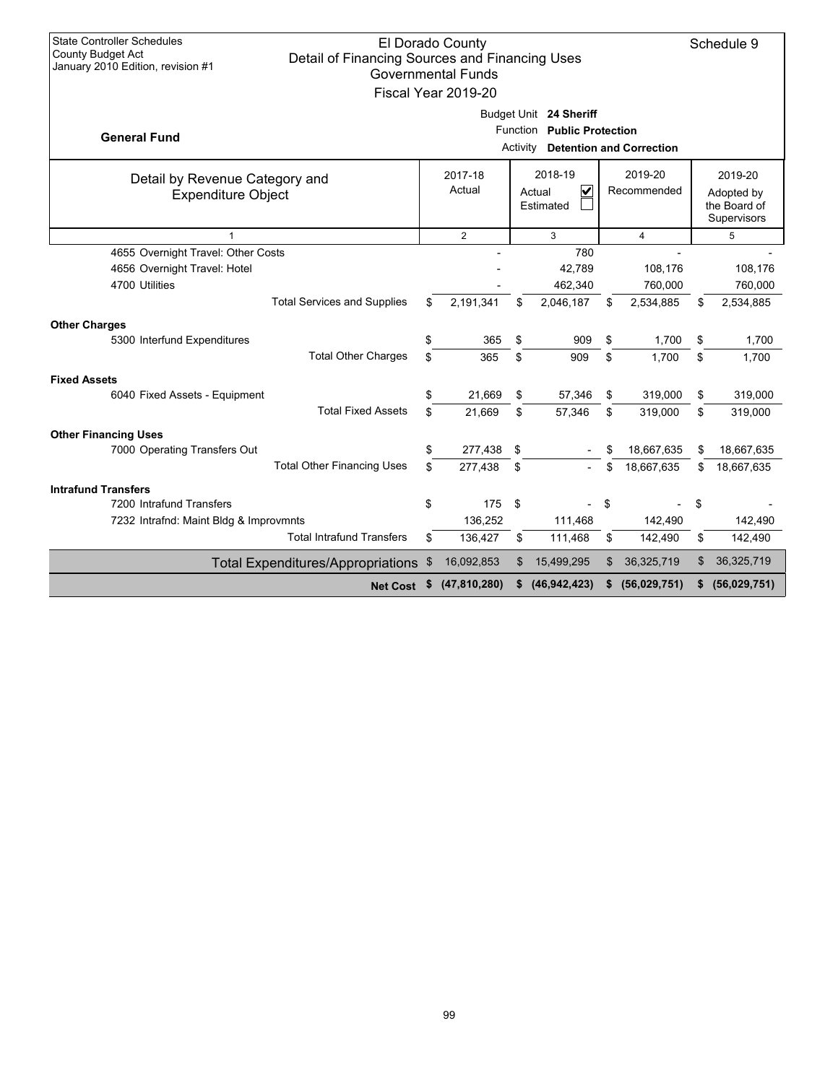| <b>State Controller Schedules</b><br>El Dorado County<br>Schedule 9<br>County Budget Act<br>Detail of Financing Sources and Financing Uses<br>January 2010 Edition, revision #1<br><b>Governmental Funds</b><br>Fiscal Year 2019-20 |          |                    |          |                                                           |          |                                 |          |                                                      |
|-------------------------------------------------------------------------------------------------------------------------------------------------------------------------------------------------------------------------------------|----------|--------------------|----------|-----------------------------------------------------------|----------|---------------------------------|----------|------------------------------------------------------|
| <b>General Fund</b>                                                                                                                                                                                                                 |          |                    | Activity | Budget Unit 24 Sheriff<br>Function Public Protection      |          | <b>Detention and Correction</b> |          |                                                      |
| Detail by Revenue Category and<br><b>Expenditure Object</b>                                                                                                                                                                         |          | 2017-18<br>Actual  |          | 2018-19<br>$\overline{\mathbf{v}}$<br>Actual<br>Estimated |          | 2019-20<br>Recommended          |          | 2019-20<br>Adopted by<br>the Board of<br>Supervisors |
| $\mathbf{1}$                                                                                                                                                                                                                        |          | $\overline{2}$     |          | 3                                                         |          | 4                               |          | 5                                                    |
| 4655 Overnight Travel: Other Costs<br>4656 Overnight Travel: Hotel<br>4700 Utilities<br><b>Total Services and Supplies</b>                                                                                                          | \$       | 2,191,341          | \$       | 780<br>42,789<br>462,340<br>2,046,187                     | \$       | 108,176<br>760,000<br>2,534,885 | \$       | 108,176<br>760,000<br>2,534,885                      |
|                                                                                                                                                                                                                                     |          |                    |          |                                                           |          |                                 |          |                                                      |
| <b>Other Charges</b><br>5300 Interfund Expenditures<br><b>Total Other Charges</b>                                                                                                                                                   | \$<br>\$ | 365<br>365         | \$<br>\$ | 909<br>909                                                | \$<br>\$ | 1,700<br>1.700                  | \$<br>\$ | 1,700<br>1.700                                       |
| <b>Fixed Assets</b>                                                                                                                                                                                                                 |          |                    |          |                                                           |          |                                 |          |                                                      |
| 6040 Fixed Assets - Equipment                                                                                                                                                                                                       | \$       | 21,669             | \$       | 57,346                                                    | \$       | 319,000                         | \$       | 319,000                                              |
| <b>Total Fixed Assets</b>                                                                                                                                                                                                           | \$.      | 21.669             | \$       | 57,346                                                    | \$       | 319.000                         | \$       | 319,000                                              |
| <b>Other Financing Uses</b><br>7000 Operating Transfers Out<br><b>Total Other Financing Uses</b>                                                                                                                                    | \$<br>\$ | 277,438<br>277,438 | \$<br>\$ |                                                           | \$<br>\$ | 18,667,635<br>18,667,635        | \$<br>\$ | 18,667,635<br>18,667,635                             |
| <b>Intrafund Transfers</b>                                                                                                                                                                                                          |          |                    |          |                                                           |          |                                 |          |                                                      |
| 7200 Intrafund Transfers<br>7232 Intrafnd: Maint Bldg & Improvmnts                                                                                                                                                                  | \$       | 175<br>136,252     | -\$      | 111,468                                                   | \$       | 142,490                         | \$       | 142,490                                              |
| <b>Total Intrafund Transfers</b>                                                                                                                                                                                                    | \$       | 136,427            | \$       | 111,468                                                   | \$       | 142,490                         | \$       | 142,490                                              |
| Total Expenditures/Appropriations \$                                                                                                                                                                                                |          | 16,092,853         | \$       | 15,499,295                                                | \$       | 36,325,719                      | \$       | 36,325,719                                           |
| Net Cost \$                                                                                                                                                                                                                         |          | (47, 810, 280)     | \$       | (46, 942, 423)                                            | \$       | (56,029,751)                    | \$       | (56,029,751)                                         |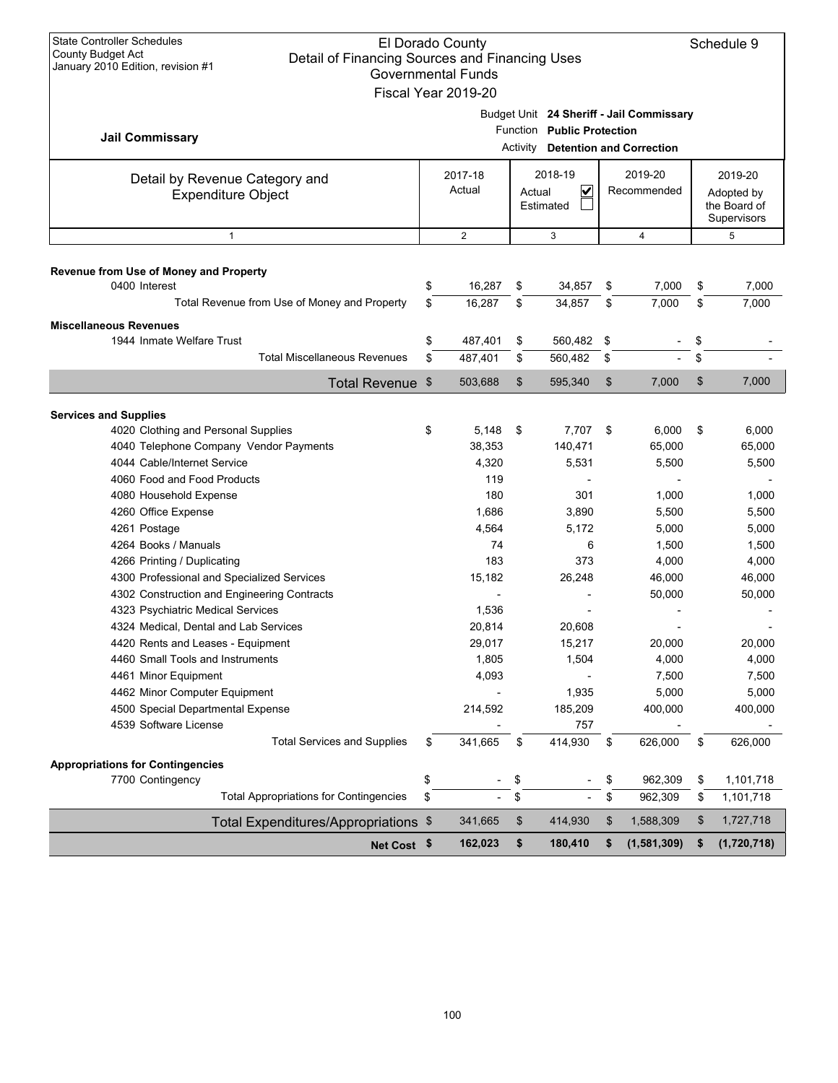| <b>State Controller Schedules</b><br><b>El Dorado County</b><br><b>County Budget Act</b><br>Detail of Financing Sources and Financing Uses<br>January 2010 Edition, revision #1                                                                                                                                                                                                                                                                                                                                                                                                  |                | <b>Governmental Funds</b><br>Fiscal Year 2019-20                                                                               |                |                                                                                                                   |                |                                                                                                                                |                | Schedule 9                                                                                                                     |  |
|----------------------------------------------------------------------------------------------------------------------------------------------------------------------------------------------------------------------------------------------------------------------------------------------------------------------------------------------------------------------------------------------------------------------------------------------------------------------------------------------------------------------------------------------------------------------------------|----------------|--------------------------------------------------------------------------------------------------------------------------------|----------------|-------------------------------------------------------------------------------------------------------------------|----------------|--------------------------------------------------------------------------------------------------------------------------------|----------------|--------------------------------------------------------------------------------------------------------------------------------|--|
| <b>Jail Commissary</b>                                                                                                                                                                                                                                                                                                                                                                                                                                                                                                                                                           |                |                                                                                                                                | Activity       | Function Public Protection                                                                                        |                | Budget Unit 24 Sheriff - Jail Commissary<br><b>Detention and Correction</b>                                                    |                |                                                                                                                                |  |
| Detail by Revenue Category and<br><b>Expenditure Object</b>                                                                                                                                                                                                                                                                                                                                                                                                                                                                                                                      |                | 2017-18<br>Actual                                                                                                              | Actual         | 2018-19<br>V<br>Estimated                                                                                         |                | 2019-20<br>Recommended                                                                                                         |                | 2019-20<br>Adopted by<br>the Board of<br>Supervisors                                                                           |  |
| $\mathbf{1}$                                                                                                                                                                                                                                                                                                                                                                                                                                                                                                                                                                     |                | 2                                                                                                                              |                | 3                                                                                                                 |                | 4                                                                                                                              |                | 5                                                                                                                              |  |
| Revenue from Use of Money and Property<br>0400 Interest<br>Total Revenue from Use of Money and Property                                                                                                                                                                                                                                                                                                                                                                                                                                                                          | \$<br>\$       | 16,287<br>16,287                                                                                                               | \$<br>\$       | 34,857<br>34,857                                                                                                  | \$<br>\$       | 7,000<br>7.000                                                                                                                 | \$<br>\$       | 7,000<br>7,000                                                                                                                 |  |
| <b>Miscellaneous Revenues</b><br>1944 Inmate Welfare Trust<br><b>Total Miscellaneous Revenues</b>                                                                                                                                                                                                                                                                                                                                                                                                                                                                                | \$<br>\$       | 487,401<br>487,401                                                                                                             | \$<br>\$       | 560,482<br>560,482                                                                                                | \$<br>\$       |                                                                                                                                | \$<br>\$       |                                                                                                                                |  |
| Total Revenue \$                                                                                                                                                                                                                                                                                                                                                                                                                                                                                                                                                                 |                | 503,688                                                                                                                        | \$             | 595,340                                                                                                           | \$             | 7,000                                                                                                                          | \$             | 7,000                                                                                                                          |  |
| <b>Services and Supplies</b>                                                                                                                                                                                                                                                                                                                                                                                                                                                                                                                                                     |                |                                                                                                                                |                |                                                                                                                   |                |                                                                                                                                |                |                                                                                                                                |  |
| 4020 Clothing and Personal Supplies<br>4040 Telephone Company Vendor Payments<br>4044 Cable/Internet Service<br>4060 Food and Food Products<br>4080 Household Expense<br>4260 Office Expense<br>4261 Postage<br>4264 Books / Manuals<br>4266 Printing / Duplicating<br>4300 Professional and Specialized Services<br>4302 Construction and Engineering Contracts<br>4323 Psychiatric Medical Services<br>4324 Medical, Dental and Lab Services<br>4420 Rents and Leases - Equipment<br>4460 Small Tools and Instruments<br>4461 Minor Equipment<br>4462 Minor Computer Equipment | \$             | 5,148<br>38,353<br>4,320<br>119<br>180<br>1,686<br>4,564<br>74<br>183<br>15,182<br>1,536<br>20,814<br>29,017<br>1,805<br>4,093 | \$             | 7,707 \$<br>140,471<br>5,531<br>301<br>3,890<br>5,172<br>6<br>373<br>26,248<br>20,608<br>15,217<br>1,504<br>1,935 |                | 6,000<br>65,000<br>5,500<br>1,000<br>5,500<br>5,000<br>1,500<br>4,000<br>46,000<br>50,000<br>20,000<br>4,000<br>7,500<br>5,000 | \$             | 6,000<br>65,000<br>5,500<br>1,000<br>5,500<br>5,000<br>1,500<br>4,000<br>46,000<br>50,000<br>20,000<br>4,000<br>7,500<br>5,000 |  |
| 4500 Special Departmental Expense<br>4539 Software License                                                                                                                                                                                                                                                                                                                                                                                                                                                                                                                       |                | 214,592                                                                                                                        |                | 185,209<br>757                                                                                                    |                | 400,000                                                                                                                        |                | 400,000                                                                                                                        |  |
| <b>Total Services and Supplies</b><br><b>Appropriations for Contingencies</b><br>7700 Contingency<br><b>Total Appropriations for Contingencies</b>                                                                                                                                                                                                                                                                                                                                                                                                                               | \$<br>\$<br>\$ | 341,665                                                                                                                        | \$<br>\$<br>\$ | 414,930                                                                                                           | \$<br>\$<br>\$ | 626,000<br>962,309<br>962,309                                                                                                  | \$<br>\$<br>\$ | 626,000<br>1,101,718<br>1,101,718                                                                                              |  |
| Total Expenditures/Appropriations \$                                                                                                                                                                                                                                                                                                                                                                                                                                                                                                                                             |                | 341,665                                                                                                                        | \$             | 414,930                                                                                                           | \$             | 1,588,309                                                                                                                      | \$             | 1,727,718                                                                                                                      |  |
| Net Cost \$                                                                                                                                                                                                                                                                                                                                                                                                                                                                                                                                                                      |                | 162,023                                                                                                                        | \$             | 180,410                                                                                                           | \$             | (1,581,309)                                                                                                                    | \$             | (1,720,718)                                                                                                                    |  |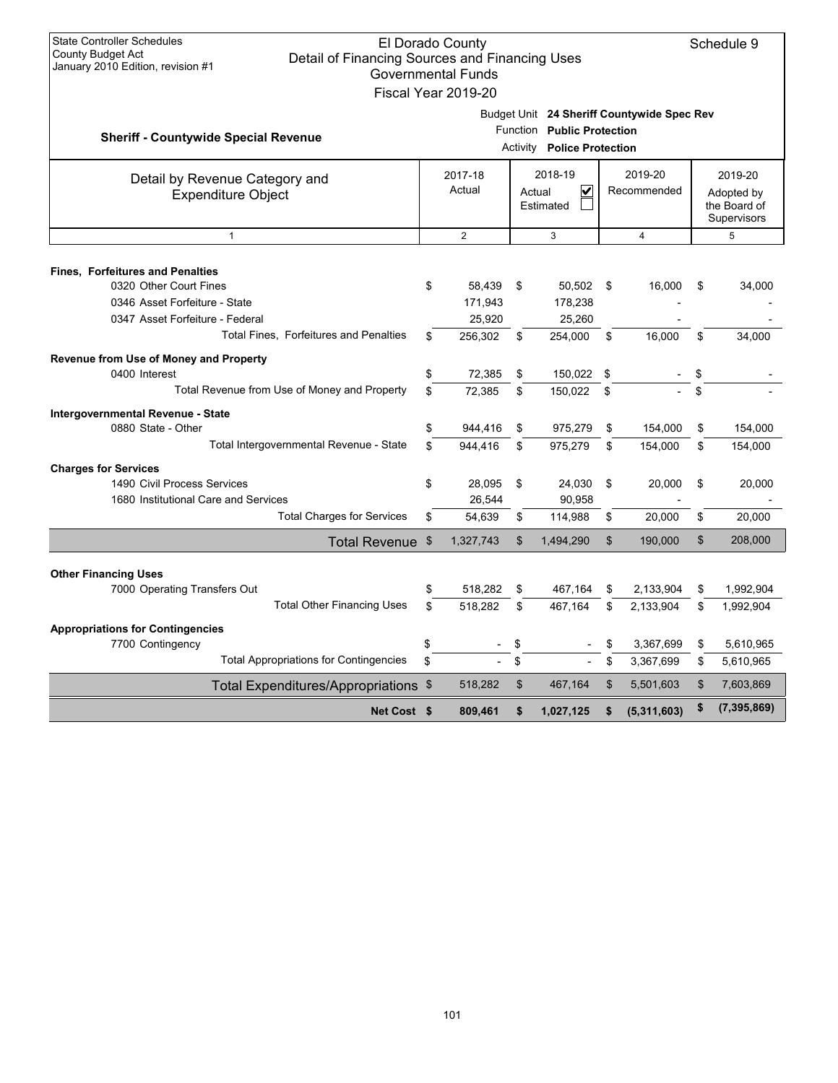| <b>State Controller Schedules</b><br>County Budget Act<br>Detail of Financing Sources and Financing Uses<br>January 2010 Edition, revision #1 |          | El Dorado County<br><b>Governmental Funds</b><br>Fiscal Year 2019-20               |                |                                                          |          |                                            |    | Schedule 9                                           |
|-----------------------------------------------------------------------------------------------------------------------------------------------|----------|------------------------------------------------------------------------------------|----------------|----------------------------------------------------------|----------|--------------------------------------------|----|------------------------------------------------------|
| <b>Sheriff - Countywide Special Revenue</b>                                                                                                   |          |                                                                                    |                | Function Public Protection<br>Activity Police Protection |          | Budget Unit 24 Sheriff Countywide Spec Rev |    |                                                      |
| Detail by Revenue Category and<br><b>Expenditure Object</b>                                                                                   |          | 2017-18<br>2018-19<br>2019-20<br>Actual<br>V<br>Recommended<br>Actual<br>Estimated |                |                                                          |          |                                            |    | 2019-20<br>Adopted by<br>the Board of<br>Supervisors |
| $\mathbf{1}$                                                                                                                                  |          | $\overline{2}$                                                                     |                | 3                                                        |          | $\overline{4}$                             |    | 5                                                    |
| <b>Fines, Forfeitures and Penalties</b><br>0320 Other Court Fines<br>0346 Asset Forfeiture - State<br>0347 Asset Forfeiture - Federal         | \$       | 58,439<br>171,943<br>25,920                                                        | \$             | 50,502<br>178,238<br>25,260                              | -\$      | 16,000                                     | \$ | 34,000                                               |
| Total Fines, Forfeitures and Penalties                                                                                                        | \$       | 256,302                                                                            | \$             | 254,000                                                  | \$       | 16.000                                     | \$ | 34.000                                               |
| Revenue from Use of Money and Property<br>0400 Interest<br>Total Revenue from Use of Money and Property                                       | \$<br>\$ | 72,385<br>72.385                                                                   | \$<br>\$       | 150,022<br>150.022                                       | \$<br>\$ |                                            | \$ |                                                      |
| Intergovernmental Revenue - State<br>0880 State - Other                                                                                       | \$       | 944,416                                                                            | \$             | 975,279                                                  | \$       | 154,000                                    | \$ | 154,000                                              |
| Total Intergovernmental Revenue - State                                                                                                       | \$       | 944.416                                                                            | \$             | 975.279                                                  | \$       | 154.000                                    | \$ | 154,000                                              |
| <b>Charges for Services</b><br>1490 Civil Process Services<br>1680 Institutional Care and Services                                            | \$       | 28,095<br>26,544                                                                   | \$             | 24,030<br>90,958                                         | \$       | 20,000                                     | \$ | 20,000                                               |
| <b>Total Charges for Services</b>                                                                                                             | \$       | 54,639                                                                             | \$             | 114,988                                                  | \$       | 20,000                                     | \$ | 20,000                                               |
| Total Revenue \$                                                                                                                              |          | 1,327,743                                                                          | $\mathfrak{S}$ | 1,494,290                                                | \$       | 190,000                                    | \$ | 208,000                                              |
| <b>Other Financing Uses</b>                                                                                                                   |          |                                                                                    |                |                                                          |          |                                            |    |                                                      |
| 7000 Operating Transfers Out                                                                                                                  | \$       | 518,282                                                                            | \$             | 467,164                                                  | \$       | 2,133,904                                  | \$ | 1,992,904                                            |
| <b>Total Other Financing Uses</b>                                                                                                             | \$       | 518,282                                                                            | \$             | 467,164                                                  | \$       | 2,133,904                                  | \$ | 1,992,904                                            |
| <b>Appropriations for Contingencies</b><br>7700 Contingency                                                                                   | \$       |                                                                                    | \$             |                                                          | \$       | 3,367,699                                  | \$ | 5,610,965                                            |
| <b>Total Appropriations for Contingencies</b>                                                                                                 | \$       |                                                                                    | \$             |                                                          | \$       | 3,367,699                                  | \$ | 5,610,965                                            |
| Total Expenditures/Appropriations \$                                                                                                          |          | 518,282                                                                            | \$             | 467,164                                                  | \$       | 5,501,603                                  | \$ | 7,603,869                                            |
| Net Cost \$                                                                                                                                   |          | 809,461                                                                            | \$             | 1,027,125                                                |          | (5,311,603)                                | \$ | (7, 395, 869)                                        |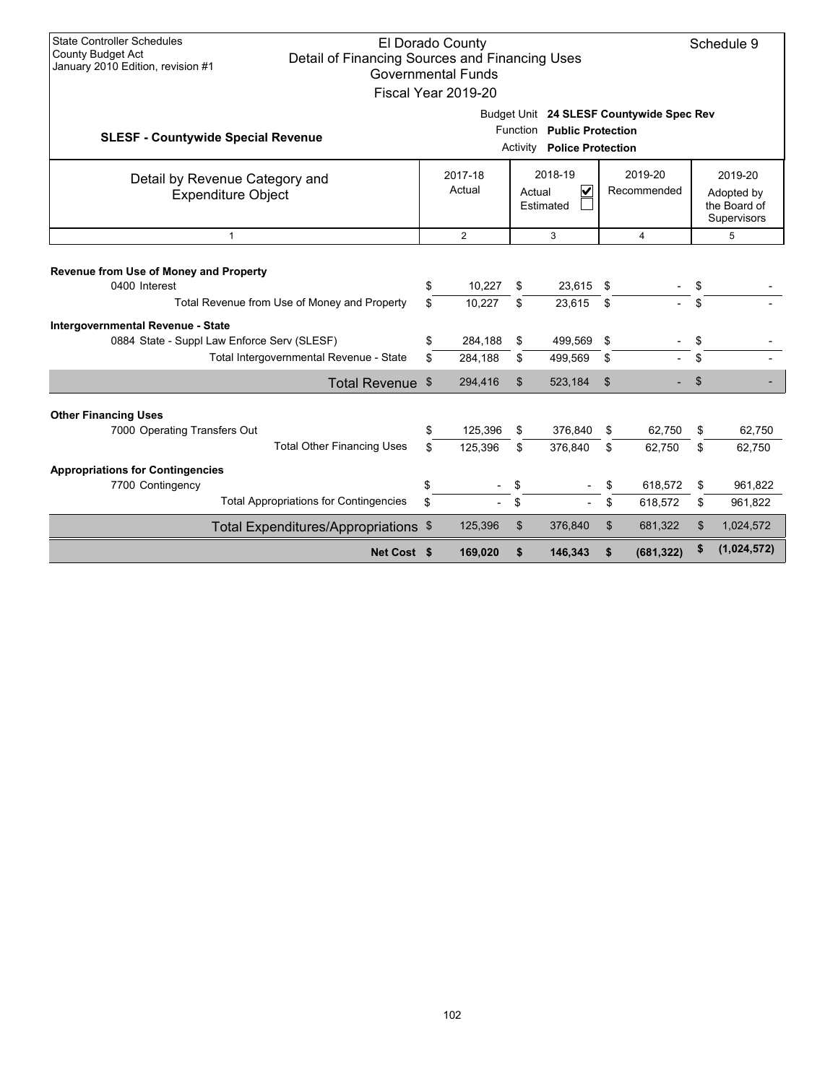| <b>State Controller Schedules</b><br><b>County Budget Act</b><br>January 2010 Edition, revision #1                                                       | Detail of Financing Sources and Financing Uses |           | El Dorado County<br><b>Governmental Funds</b><br>Fiscal Year 2019-20                                     |                |                    |           |                    |          | Schedule 9                                           |
|----------------------------------------------------------------------------------------------------------------------------------------------------------|------------------------------------------------|-----------|----------------------------------------------------------------------------------------------------------|----------------|--------------------|-----------|--------------------|----------|------------------------------------------------------|
| Budget Unit 24 SLESF Countywide Spec Rev<br>Function Public Protection<br><b>SLESF - Countywide Special Revenue</b><br><b>Activity Police Protection</b> |                                                |           |                                                                                                          |                |                    |           |                    |          |                                                      |
| Detail by Revenue Category and<br><b>Expenditure Object</b>                                                                                              |                                                |           | 2018-19<br>2019-20<br>2017-18<br>$\overline{\mathsf{v}}$<br>Actual<br>Recommended<br>Actual<br>Estimated |                |                    |           |                    |          | 2019-20<br>Adopted by<br>the Board of<br>Supervisors |
| $\mathbf{1}$                                                                                                                                             | 2<br>3<br>$\overline{4}$                       |           |                                                                                                          |                |                    |           |                    |          | 5                                                    |
| Revenue from Use of Money and Property<br>0400 Interest                                                                                                  |                                                | \$        | 10,227                                                                                                   | \$             | 23,615             | \$        |                    | \$       |                                                      |
| Total Revenue from Use of Money and Property                                                                                                             |                                                | \$        | 10.227                                                                                                   | \$             | 23.615             | \$        |                    | \$       |                                                      |
| Intergovernmental Revenue - State<br>0884 State - Suppl Law Enforce Serv (SLESF)<br>Total Intergovernmental Revenue - State                              |                                                | \$<br>\$. | 284,188<br>284,188                                                                                       | \$<br>\$       | 499,569<br>499,569 | -\$<br>\$ |                    | \$<br>\$ |                                                      |
|                                                                                                                                                          | Total Revenue \$                               |           | 294,416                                                                                                  | $\mathfrak{S}$ | 523,184            | \$        |                    | \$       |                                                      |
| <b>Other Financing Uses</b><br>7000 Operating Transfers Out                                                                                              |                                                | \$        | 125.396                                                                                                  | \$             | 376,840            | \$        | 62.750             | \$       | 62,750                                               |
|                                                                                                                                                          | <b>Total Other Financing Uses</b>              | \$.       | 125,396                                                                                                  | \$             | 376,840            | \$        | 62,750             | \$       | 62,750                                               |
| <b>Appropriations for Contingencies</b><br>7700 Contingency<br><b>Total Appropriations for Contingencies</b>                                             |                                                | \$<br>\$  |                                                                                                          | \$<br>\$       |                    | \$        | 618,572<br>618,572 | \$<br>\$ | 961,822<br>961,822                                   |
| Total Expenditures/Appropriations \$                                                                                                                     |                                                |           | 125,396                                                                                                  | \$             | 376,840            | \$        | 681,322            | \$       | 1,024,572                                            |
|                                                                                                                                                          | Net Cost \$                                    |           | 169,020                                                                                                  | \$             | 146,343            | \$        | (681, 322)         | \$       | (1,024,572)                                          |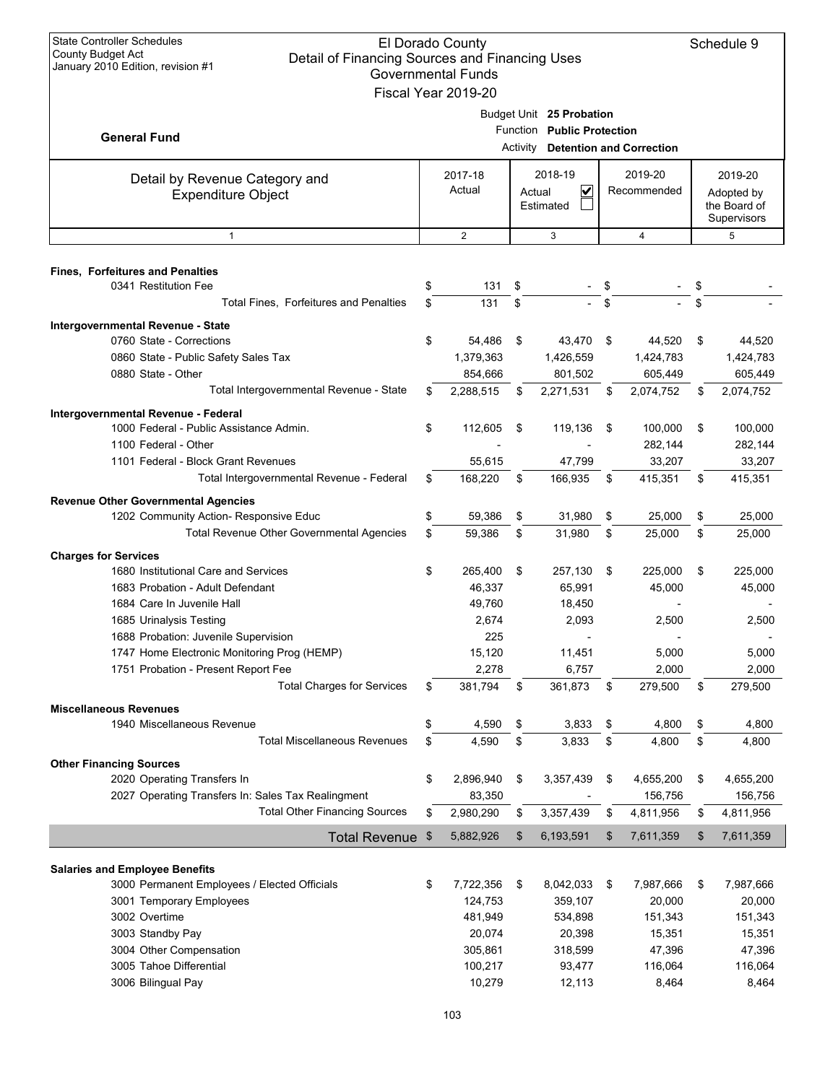| <b>State Controller Schedules</b><br><b>County Budget Act</b><br>Detail of Financing Sources and Financing Uses | El Dorado County                                 |                                          |                   | Schedule 9        |
|-----------------------------------------------------------------------------------------------------------------|--------------------------------------------------|------------------------------------------|-------------------|-------------------|
| January 2010 Edition, revision #1                                                                               | <b>Governmental Funds</b><br>Fiscal Year 2019-20 |                                          |                   |                   |
|                                                                                                                 |                                                  | Budget Unit 25 Probation                 |                   |                   |
| <b>General Fund</b>                                                                                             |                                                  | Function Public Protection               |                   |                   |
|                                                                                                                 |                                                  | <b>Activity Detention and Correction</b> |                   |                   |
| Detail by Revenue Category and                                                                                  | 2017-18                                          | 2018-19                                  | 2019-20           | 2019-20           |
| <b>Expenditure Object</b>                                                                                       | Actual                                           | V<br>Actual                              | Recommended       | Adopted by        |
|                                                                                                                 |                                                  | Estimated                                |                   | the Board of      |
|                                                                                                                 |                                                  |                                          |                   | Supervisors       |
| $\mathbf{1}$                                                                                                    | $\overline{2}$                                   | 3                                        | 4                 | 5                 |
| <b>Fines, Forfeitures and Penalties</b>                                                                         |                                                  |                                          |                   |                   |
| 0341 Restitution Fee                                                                                            | \$<br>131                                        | \$                                       |                   | \$                |
| Total Fines, Forfeitures and Penalties                                                                          | \$<br>131                                        | \$                                       | \$                | \$                |
| Intergovernmental Revenue - State                                                                               |                                                  |                                          |                   |                   |
| 0760 State - Corrections                                                                                        | \$<br>54,486                                     | \$<br>43,470                             | \$<br>44,520      | \$<br>44,520      |
| 0860 State - Public Safety Sales Tax                                                                            | 1,379,363                                        | 1,426,559                                | 1,424,783         | 1,424,783         |
| 0880 State - Other                                                                                              | 854,666                                          | 801,502                                  | 605,449           | 605,449           |
| Total Intergovernmental Revenue - State                                                                         | \$<br>2,288,515                                  | \$<br>2,271,531                          | \$<br>2,074,752   | \$<br>2,074,752   |
| Intergovernmental Revenue - Federal                                                                             |                                                  |                                          |                   |                   |
| 1000 Federal - Public Assistance Admin.                                                                         | \$<br>112,605                                    | \$<br>119,136                            | \$<br>100,000     | \$<br>100,000     |
| 1100 Federal - Other                                                                                            |                                                  |                                          | 282,144           | 282,144           |
| 1101 Federal - Block Grant Revenues                                                                             | 55,615                                           | 47,799                                   | 33,207            | 33,207            |
| Total Intergovernmental Revenue - Federal                                                                       | \$<br>168,220                                    | \$<br>166,935                            | \$<br>415,351     | \$<br>415,351     |
| <b>Revenue Other Governmental Agencies</b>                                                                      |                                                  |                                          |                   |                   |
| 1202 Community Action- Responsive Educ                                                                          | \$<br>59,386                                     | \$<br>31,980                             | \$<br>25,000      | \$<br>25,000      |
| Total Revenue Other Governmental Agencies                                                                       | \$<br>59,386                                     | \$<br>31,980                             | \$<br>25,000      | \$<br>25,000      |
| <b>Charges for Services</b>                                                                                     |                                                  |                                          |                   |                   |
| 1680 Institutional Care and Services                                                                            | \$<br>265,400                                    | \$<br>257,130                            | \$<br>225,000     | \$<br>225,000     |
| 1683 Probation - Adult Defendant                                                                                | 46,337                                           | 65,991                                   | 45,000            | 45,000            |
| 1684 Care In Juvenile Hall                                                                                      | 49,760                                           | 18,450                                   |                   |                   |
| 1685 Urinalysis Testing                                                                                         | 2,674                                            | 2,093                                    | 2,500             | 2,500             |
| 1688 Probation: Juvenile Supervision                                                                            | 225                                              |                                          |                   |                   |
| 1747 Home Electronic Monitoring Prog (HEMP)                                                                     | 15,120                                           | 11,451                                   | 5,000             | 5,000             |
| 1751 Probation - Present Report Fee                                                                             | 2,278                                            | 6,757                                    | 2,000             | 2,000             |
| <b>Total Charges for Services</b>                                                                               | \$<br>381,794                                    | \$<br>361,873                            | \$<br>279,500     | \$<br>279,500     |
| <b>Miscellaneous Revenues</b>                                                                                   |                                                  |                                          |                   |                   |
| 1940 Miscellaneous Revenue                                                                                      | \$<br>4,590                                      | \$<br>3,833                              | \$<br>4,800       | \$<br>4,800       |
| <b>Total Miscellaneous Revenues</b>                                                                             | \$<br>4,590                                      | \$<br>3,833                              | \$<br>4,800       | \$<br>4,800       |
| <b>Other Financing Sources</b>                                                                                  |                                                  |                                          |                   |                   |
| 2020 Operating Transfers In                                                                                     | \$<br>2,896,940                                  | \$<br>3,357,439                          | \$<br>4,655,200   | \$<br>4,655,200   |
| 2027 Operating Transfers In: Sales Tax Realingment                                                              | 83,350                                           |                                          | 156,756           | 156,756           |
| <b>Total Other Financing Sources</b>                                                                            | \$<br>2,980,290                                  | \$<br>3,357,439                          | \$<br>4,811,956   | \$<br>4,811,956   |
| <b>Total Revenue</b>                                                                                            | \$<br>5,882,926                                  | \$<br>6,193,591                          | \$<br>7,611,359   | \$<br>7,611,359   |
|                                                                                                                 |                                                  |                                          |                   |                   |
| <b>Salaries and Employee Benefits</b>                                                                           |                                                  |                                          |                   |                   |
| 3000 Permanent Employees / Elected Officials                                                                    | \$<br>7,722,356                                  | \$<br>8,042,033                          | \$<br>7,987,666   | \$<br>7,987,666   |
| 3001 Temporary Employees                                                                                        | 124,753                                          | 359,107                                  | 20,000            | 20,000            |
| 3002 Overtime<br>3003 Standby Pay                                                                               | 481,949<br>20,074                                | 534,898<br>20,398                        | 151,343<br>15,351 | 151,343<br>15,351 |
| 3004 Other Compensation                                                                                         | 305,861                                          | 318,599                                  | 47,396            | 47,396            |
| 3005 Tahoe Differential                                                                                         | 100,217                                          | 93,477                                   | 116,064           | 116,064           |
| 3006 Bilingual Pay                                                                                              | 10,279                                           | 12,113                                   | 8,464             | 8,464             |
|                                                                                                                 |                                                  |                                          |                   |                   |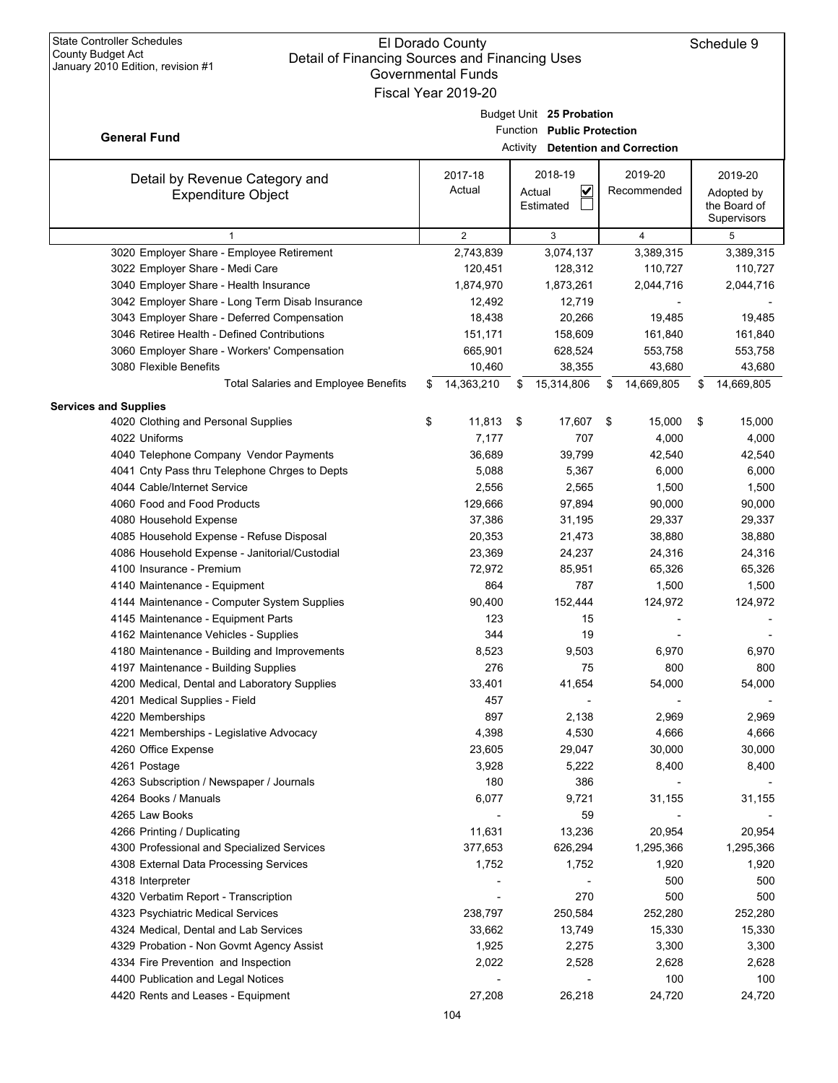| January 2010 Edition, revision #1               | <b>Governmental Funds</b> |    |                                   |                  |    |              |
|-------------------------------------------------|---------------------------|----|-----------------------------------|------------------|----|--------------|
|                                                 | Fiscal Year 2019-20       |    |                                   |                  |    |              |
|                                                 |                           |    | Budget Unit 25 Probation          |                  |    |              |
| <b>General Fund</b>                             |                           |    | Function Public Protection        |                  |    |              |
|                                                 |                           |    | Activity Detention and Correction |                  |    |              |
|                                                 | 2017-18                   |    | 2018-19                           | 2019-20          |    | 2019-20      |
| Detail by Revenue Category and                  | Actual                    |    | $\checkmark$<br>Actual            | Recommended      |    | Adopted by   |
| <b>Expenditure Object</b>                       |                           |    | Estimated                         |                  |    | the Board of |
|                                                 |                           |    |                                   |                  |    | Supervisors  |
| $\mathbf{1}$                                    | $\overline{2}$            |    | 3                                 | 4                |    | 5            |
| 3020 Employer Share - Employee Retirement       | 2,743,839                 |    | 3,074,137                         | 3,389,315        |    | 3,389,315    |
| 3022 Employer Share - Medi Care                 | 120,451                   |    | 128,312                           | 110,727          |    | 110,727      |
| 3040 Employer Share - Health Insurance          | 1,874,970                 |    | 1,873,261                         | 2,044,716        |    | 2,044,716    |
| 3042 Employer Share - Long Term Disab Insurance | 12,492                    |    | 12,719                            |                  |    |              |
| 3043 Employer Share - Deferred Compensation     | 18,438                    |    | 20,266                            | 19,485           |    | 19,485       |
| 3046 Retiree Health - Defined Contributions     | 151,171                   |    | 158,609                           | 161,840          |    | 161,840      |
| 3060 Employer Share - Workers' Compensation     | 665,901                   |    | 628,524                           | 553,758          |    | 553,758      |
| 3080 Flexible Benefits                          | 10,460                    |    | 38,355                            | 43,680           |    | 43,680       |
| Total Salaries and Employee Benefits            | \$<br>14,363,210          | S  | 15,314,806                        | \$<br>14,669,805 | S  | 14,669,805   |
| <b>Services and Supplies</b>                    |                           |    |                                   |                  |    |              |
| 4020 Clothing and Personal Supplies             | \$<br>11,813              | \$ | 17,607                            | \$<br>15,000     | \$ | 15,000       |
| 4022 Uniforms                                   | 7,177                     |    | 707                               | 4,000            |    | 4,000        |
| 4040 Telephone Company Vendor Payments          | 36,689                    |    | 39,799                            | 42,540           |    | 42,540       |
| 4041 Cnty Pass thru Telephone Chrges to Depts   | 5,088                     |    | 5,367                             | 6,000            |    | 6,000        |
| 4044 Cable/Internet Service                     | 2,556                     |    | 2,565                             | 1,500            |    | 1,500        |
| 4060 Food and Food Products                     | 129,666                   |    | 97,894                            | 90,000           |    | 90,000       |
| 4080 Household Expense                          | 37,386                    |    | 31,195                            | 29,337           |    | 29,337       |
| 4085 Household Expense - Refuse Disposal        | 20,353                    |    | 21,473                            | 38,880           |    | 38,880       |
| 4086 Household Expense - Janitorial/Custodial   | 23,369                    |    | 24,237                            | 24,316           |    | 24,316       |
| 4100 Insurance - Premium                        | 72,972                    |    | 85,951                            | 65,326           |    | 65,326       |
| 4140 Maintenance - Equipment                    | 864                       |    | 787                               | 1,500            |    | 1,500        |
| 4144 Maintenance - Computer System Supplies     | 90,400                    |    | 152,444                           | 124,972          |    | 124,972      |
| 4145 Maintenance - Equipment Parts              | 123                       |    | 15                                |                  |    |              |
| 4162 Maintenance Vehicles - Supplies            | 344                       |    | 19                                |                  |    |              |
| 4180 Maintenance - Building and Improvements    | 8,523                     |    | 9,503                             | 6,970            |    | 6,970        |
| 4197 Maintenance - Building Supplies            | 276                       |    | 75                                | 800              |    | 800          |
| 4200 Medical, Dental and Laboratory Supplies    | 33,401                    |    | 41,654                            | 54,000           |    | 54,000       |
| 4201 Medical Supplies - Field                   | 457                       |    |                                   |                  |    |              |
| 4220 Memberships                                | 897                       |    | 2,138                             | 2,969            |    | 2,969        |
| 4221 Memberships - Legislative Advocacy         | 4,398                     |    | 4,530                             | 4,666            |    | 4,666        |
| 4260 Office Expense                             | 23,605                    |    | 29,047                            | 30,000           |    | 30,000       |
| 4261 Postage                                    | 3,928                     |    | 5,222                             | 8,400            |    | 8,400        |
| 4263 Subscription / Newspaper / Journals        | 180                       |    | 386                               |                  |    |              |
| 4264 Books / Manuals                            | 6,077                     |    | 9,721                             | 31,155           |    | 31,155       |
| 4265 Law Books                                  |                           |    | 59                                |                  |    |              |
| 4266 Printing / Duplicating                     | 11,631                    |    | 13,236                            | 20,954           |    | 20,954       |
| 4300 Professional and Specialized Services      | 377,653                   |    | 626,294                           | 1,295,366        |    | 1,295,366    |
| 4308 External Data Processing Services          | 1,752                     |    | 1,752                             | 1,920            |    | 1,920        |
| 4318 Interpreter                                |                           |    |                                   | 500              |    | 500          |
| 4320 Verbatim Report - Transcription            | $\overline{\phantom{a}}$  |    | 270                               | 500              |    | 500          |
| 4323 Psychiatric Medical Services               | 238,797                   |    | 250,584                           | 252,280          |    | 252,280      |
| 4324 Medical, Dental and Lab Services           | 33,662                    |    | 13,749                            | 15,330           |    | 15,330       |
| 4329 Probation - Non Govmt Agency Assist        | 1,925                     |    | 2,275                             | 3,300            |    | 3,300        |
| 4334 Fire Prevention and Inspection             | 2,022                     |    | 2,528                             | 2,628            |    | 2,628        |
| 4400 Publication and Legal Notices              |                           |    |                                   | 100              |    | 100          |
| 4420 Rents and Leases - Equipment               | 27,208                    |    | 26,218                            | 24,720           |    | 24,720       |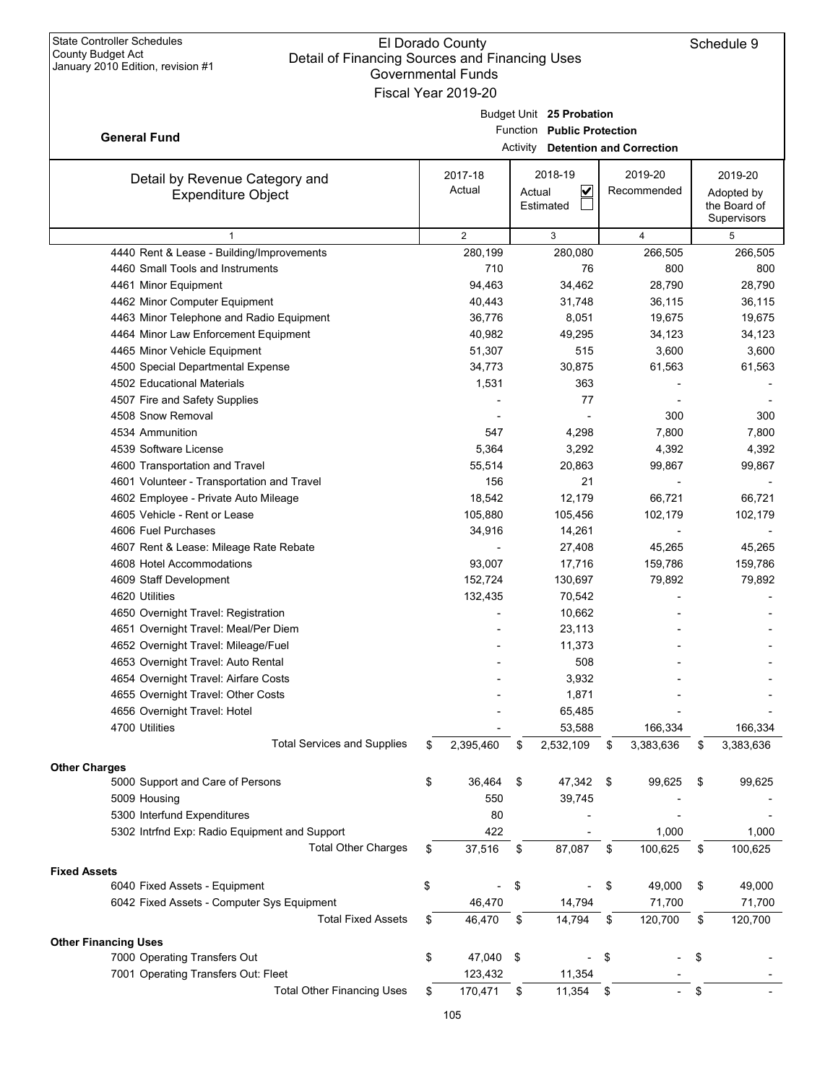|                                                                               | Governmental Funds         |                |        |                                          |      |                |                 |
|-------------------------------------------------------------------------------|----------------------------|----------------|--------|------------------------------------------|------|----------------|-----------------|
|                                                                               | Fiscal Year 2019-20        |                |        |                                          |      |                |                 |
|                                                                               |                            |                |        | Budget Unit 25 Probation                 |      |                |                 |
|                                                                               | Function Public Protection |                |        |                                          |      |                |                 |
| <b>General Fund</b>                                                           |                            |                |        | <b>Activity</b> Detention and Correction |      |                |                 |
|                                                                               |                            |                |        |                                          |      |                |                 |
| Detail by Revenue Category and                                                |                            | 2017-18        |        | 2018-19                                  |      | 2019-20        | 2019-20         |
| <b>Expenditure Object</b>                                                     |                            | Actual         | Actual | $\overline{\mathbf{v}}$                  |      | Recommended    | Adopted by      |
|                                                                               |                            |                |        | Estimated                                |      |                | the Board of    |
| $\mathbf{1}$                                                                  |                            | $\overline{2}$ |        |                                          |      |                | Supervisors     |
|                                                                               |                            |                |        | 3                                        |      | $\overline{4}$ | 5<br>266,505    |
| 4440 Rent & Lease - Building/Improvements<br>4460 Small Tools and Instruments |                            | 280,199<br>710 |        | 280,080<br>76                            |      | 266,505<br>800 |                 |
|                                                                               |                            |                |        |                                          |      |                | 800             |
| 4461 Minor Equipment                                                          |                            | 94,463         |        | 34,462                                   |      | 28,790         | 28,790          |
| 4462 Minor Computer Equipment                                                 |                            | 40,443         |        | 31,748                                   |      | 36,115         | 36,115          |
| 4463 Minor Telephone and Radio Equipment                                      |                            | 36,776         |        | 8,051                                    |      | 19,675         | 19,675          |
| 4464 Minor Law Enforcement Equipment                                          |                            | 40,982         |        | 49,295                                   |      | 34,123         | 34,123          |
| 4465 Minor Vehicle Equipment                                                  |                            | 51,307         |        | 515                                      |      | 3,600          | 3,600           |
| 4500 Special Departmental Expense                                             |                            | 34,773         |        | 30,875                                   |      | 61,563         | 61,563          |
| 4502 Educational Materials                                                    |                            | 1,531          |        | 363                                      |      |                |                 |
| 4507 Fire and Safety Supplies                                                 |                            |                |        | 77                                       |      |                |                 |
| 4508 Snow Removal                                                             |                            |                |        |                                          |      | 300            | 300             |
| 4534 Ammunition                                                               |                            | 547            |        | 4,298                                    |      | 7,800          | 7,800           |
| 4539 Software License                                                         |                            | 5,364          |        | 3,292                                    |      | 4,392          | 4,392           |
| 4600 Transportation and Travel                                                |                            | 55,514         |        | 20,863                                   |      | 99,867         | 99,867          |
| 4601 Volunteer - Transportation and Travel                                    |                            | 156            |        | 21                                       |      |                |                 |
| 4602 Employee - Private Auto Mileage                                          |                            | 18,542         |        | 12,179                                   |      | 66,721         | 66,721          |
| 4605 Vehicle - Rent or Lease                                                  |                            | 105,880        |        | 105,456                                  |      | 102,179        | 102,179         |
| 4606 Fuel Purchases                                                           |                            | 34,916         |        | 14,261                                   |      |                |                 |
| 4607 Rent & Lease: Mileage Rate Rebate                                        |                            |                |        | 27,408                                   |      | 45,265         | 45,265          |
| 4608 Hotel Accommodations                                                     |                            | 93,007         |        | 17,716                                   |      | 159,786        | 159,786         |
| 4609 Staff Development                                                        |                            | 152,724        |        | 130,697                                  |      | 79,892         | 79,892          |
| 4620 Utilities                                                                |                            | 132,435        |        | 70,542                                   |      |                |                 |
| 4650 Overnight Travel: Registration                                           |                            |                |        | 10,662                                   |      |                |                 |
| 4651 Overnight Travel: Meal/Per Diem                                          |                            |                |        | 23,113                                   |      |                |                 |
| 4652 Overnight Travel: Mileage/Fuel                                           |                            |                |        | 11,373                                   |      |                |                 |
| 4653 Overnight Travel: Auto Rental                                            |                            |                |        | 508                                      |      |                |                 |
| 4654 Overnight Travel: Airfare Costs                                          |                            |                |        | 3,932                                    |      |                |                 |
| 4655 Overnight Travel: Other Costs                                            |                            |                |        | 1,871                                    |      |                |                 |
| 4656 Overnight Travel: Hotel                                                  |                            |                |        | 65,485                                   |      |                |                 |
| 4700 Utilities                                                                |                            |                |        | 53,588                                   |      | 166,334        | 166,334         |
| <b>Total Services and Supplies</b>                                            | \$                         | 2,395,460      | \$     | 2,532,109                                | \$   | 3,383,636      | \$<br>3,383,636 |
|                                                                               |                            |                |        |                                          |      |                |                 |
| <b>Other Charges</b>                                                          |                            |                |        |                                          |      |                |                 |
| 5000 Support and Care of Persons                                              | \$                         | 36,464         | \$     | 47,342                                   | \$   | 99,625         | \$<br>99,625    |
| 5009 Housing                                                                  |                            | 550            |        | 39,745                                   |      |                |                 |
| 5300 Interfund Expenditures                                                   |                            | 80             |        |                                          |      |                |                 |
| 5302 Intrfnd Exp: Radio Equipment and Support                                 |                            | 422            |        |                                          |      | 1,000          | 1,000           |
| <b>Total Other Charges</b>                                                    | \$                         | 37,516         | \$     | 87,087                                   | \$   | 100,625        | \$<br>100,625   |
| <b>Fixed Assets</b>                                                           |                            |                |        |                                          |      |                |                 |
| 6040 Fixed Assets - Equipment                                                 | \$                         |                | \$     |                                          | \$   | 49,000         | \$<br>49,000    |
| 6042 Fixed Assets - Computer Sys Equipment                                    |                            | 46,470         |        | 14,794                                   |      | 71,700         | 71,700          |
| <b>Total Fixed Assets</b>                                                     | \$                         | 46,470         | \$     | 14,794                                   | \$   | 120,700        | \$<br>120,700   |
|                                                                               |                            |                |        |                                          |      |                |                 |
| <b>Other Financing Uses</b>                                                   |                            |                |        |                                          |      |                |                 |
| 7000 Operating Transfers Out                                                  | \$                         | 47,040         | -\$    |                                          | \$   |                | \$              |
| 7001 Operating Transfers Out: Fleet                                           |                            | 123,432        |        | 11,354                                   |      |                |                 |
| <b>Total Other Financing Uses</b>                                             | \$                         | 170,471        | \$     | 11,354                                   | - \$ |                | \$              |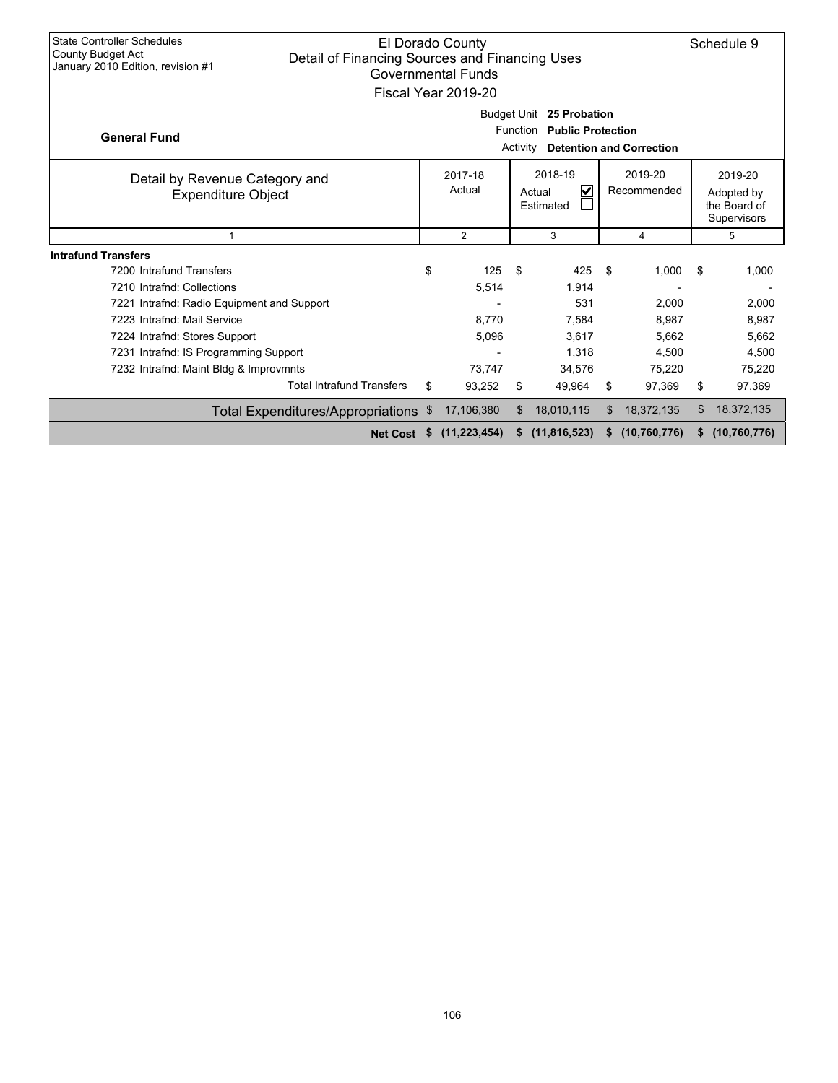| <b>State Controller Schedules</b><br>El Dorado County<br>County Budget Act<br>Detail of Financing Sources and Financing Uses<br>January 2010 Edition, revision #1<br><b>Governmental Funds</b><br>Fiscal Year 2019-20 |                 |                                                                     |                |          |                                                      |    |                                                      | Schedule 9 |              |  |
|-----------------------------------------------------------------------------------------------------------------------------------------------------------------------------------------------------------------------|-----------------|---------------------------------------------------------------------|----------------|----------|------------------------------------------------------|----|------------------------------------------------------|------------|--------------|--|
| <b>General Fund</b>                                                                                                                                                                                                   |                 |                                                                     | Budget Unit    | Activity | 25 Probation<br>Function<br><b>Public Protection</b> |    | <b>Detention and Correction</b>                      |            |              |  |
| Detail by Revenue Category and<br><b>Expenditure Object</b>                                                                                                                                                           |                 | 2018-19<br>2017-18<br>Actual<br>$\checkmark$<br>Actual<br>Estimated |                |          | 2019-20<br>Recommended                               |    | 2019-20<br>Adopted by<br>the Board of<br>Supervisors |            |              |  |
| $\mathbf{1}$                                                                                                                                                                                                          |                 | $\overline{2}$<br>3                                                 |                | 4        |                                                      | 5  |                                                      |            |              |  |
| <b>Intrafund Transfers</b>                                                                                                                                                                                            |                 |                                                                     |                |          |                                                      |    |                                                      |            |              |  |
| 7200 Intrafund Transfers                                                                                                                                                                                              |                 | \$                                                                  | 125            | \$       | 425                                                  | \$ | 1,000                                                | \$         | 1,000        |  |
| 7210 Intrafnd: Collections                                                                                                                                                                                            |                 |                                                                     | 5,514          |          | 1,914                                                |    |                                                      |            |              |  |
| 7221 Intrafnd: Radio Equipment and Support                                                                                                                                                                            |                 |                                                                     |                |          | 531                                                  |    | 2,000                                                |            | 2,000        |  |
| 7223 Intrafnd: Mail Service                                                                                                                                                                                           |                 |                                                                     | 8.770          |          | 7.584                                                |    | 8,987                                                |            | 8,987        |  |
| 7224 Intrafnd: Stores Support                                                                                                                                                                                         |                 |                                                                     | 5,096          |          | 3.617                                                |    | 5,662                                                |            | 5,662        |  |
| 7231 Intrafnd: IS Programming Support                                                                                                                                                                                 |                 |                                                                     |                |          | 1,318                                                |    | 4,500                                                |            | 4,500        |  |
| 7232 Intrafnd: Maint Bldg & Improvmnts                                                                                                                                                                                |                 |                                                                     | 73,747         |          | 34,576                                               |    | 75,220                                               |            | 75,220       |  |
| <b>Total Intrafund Transfers</b>                                                                                                                                                                                      |                 | \$                                                                  | 93,252         | \$       | 49,964                                               | \$ | 97,369                                               | \$         | 97,369       |  |
| Total Expenditures/Appropriations \$                                                                                                                                                                                  |                 |                                                                     | 17,106,380     | \$       | 18,010,115                                           | \$ | 18,372,135                                           | \$         | 18,372,135   |  |
|                                                                                                                                                                                                                       | <b>Net Cost</b> | \$                                                                  | (11, 223, 454) | S        | (11, 816, 523)                                       | S  | (10, 760, 776)                                       | S          | (10,760,776) |  |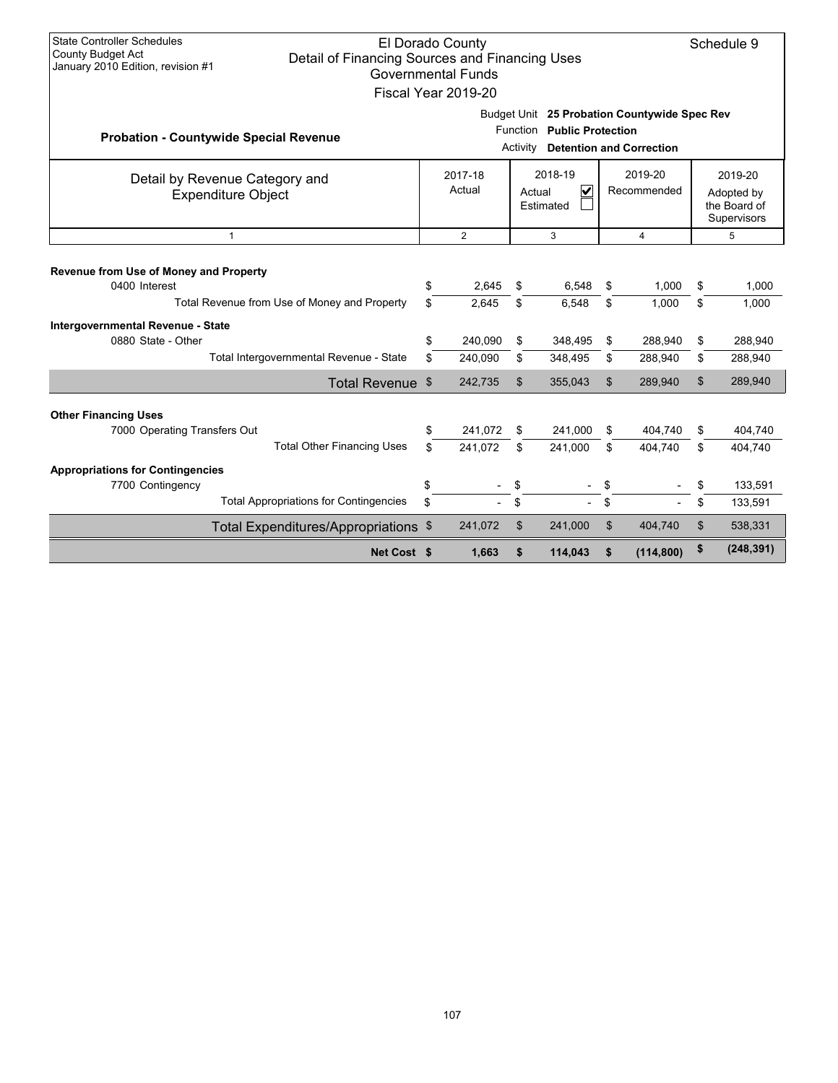| <b>State Controller Schedules</b><br>El Dorado County<br><b>County Budget Act</b><br>Detail of Financing Sources and Financing Uses<br>January 2010 Edition, revision #1<br><b>Governmental Funds</b><br>Fiscal Year 2019-20 |                                                                                                                           |                    |                |                                                           |                        |                    |                                                      | Schedule 9         |  |
|------------------------------------------------------------------------------------------------------------------------------------------------------------------------------------------------------------------------------|---------------------------------------------------------------------------------------------------------------------------|--------------------|----------------|-----------------------------------------------------------|------------------------|--------------------|------------------------------------------------------|--------------------|--|
| <b>Probation - Countywide Special Revenue</b>                                                                                                                                                                                | Budget Unit 25 Probation Countywide Spec Rev<br>Function Public Protection<br><b>Detention and Correction</b><br>Activity |                    |                |                                                           |                        |                    |                                                      |                    |  |
| 2017-18<br>Detail by Revenue Category and<br>Actual<br><b>Expenditure Object</b>                                                                                                                                             |                                                                                                                           |                    |                | 2018-19<br>$\overline{\mathbf{v}}$<br>Actual<br>Estimated | 2019-20<br>Recommended |                    | 2019-20<br>Adopted by<br>the Board of<br>Supervisors |                    |  |
| $\mathbf{1}$                                                                                                                                                                                                                 | $\overline{2}$<br>3<br>$\overline{4}$                                                                                     |                    |                |                                                           | 5                      |                    |                                                      |                    |  |
| Revenue from Use of Money and Property<br>0400 Interest<br>Total Revenue from Use of Money and Property                                                                                                                      | \$<br>\$                                                                                                                  | 2,645<br>2,645     | \$<br>\$       | 6,548<br>6,548                                            | \$<br>\$               | 1,000<br>1,000     | \$<br>\$                                             | 1,000<br>1,000     |  |
| Intergovernmental Revenue - State<br>0880 State - Other                                                                                                                                                                      | \$                                                                                                                        | 240,090            | \$             | 348,495                                                   | \$                     | 288,940            | \$                                                   | 288,940            |  |
| Total Intergovernmental Revenue - State                                                                                                                                                                                      | \$                                                                                                                        | 240,090            | \$             | 348,495                                                   | \$                     | 288,940            | \$                                                   | 288,940            |  |
| Total Revenue \$                                                                                                                                                                                                             |                                                                                                                           | 242,735            | $\mathfrak{S}$ | 355,043                                                   | \$                     | 289,940            | \$                                                   | 289,940            |  |
| <b>Other Financing Uses</b><br>7000 Operating Transfers Out<br><b>Total Other Financing Uses</b>                                                                                                                             | \$<br>\$.                                                                                                                 | 241,072<br>241,072 | \$<br>\$       | 241,000<br>241,000                                        | \$<br>\$               | 404.740<br>404.740 | \$<br>\$                                             | 404,740<br>404,740 |  |
| <b>Appropriations for Contingencies</b><br>7700 Contingency                                                                                                                                                                  | \$                                                                                                                        |                    | \$             |                                                           | \$                     |                    | \$                                                   | 133,591            |  |
| <b>Total Appropriations for Contingencies</b>                                                                                                                                                                                | \$                                                                                                                        |                    | \$             |                                                           | \$                     |                    | \$                                                   | 133,591            |  |
| Total Expenditures/Appropriations \$                                                                                                                                                                                         |                                                                                                                           | 241,072            | $\mathfrak{S}$ | 241,000                                                   | $\mathfrak{L}$         | 404,740            | $\mathfrak{S}$                                       | 538,331            |  |
| Net Cost \$                                                                                                                                                                                                                  |                                                                                                                           | 1,663              | \$             | 114,043                                                   | \$                     | (114, 800)         | \$                                                   | (248, 391)         |  |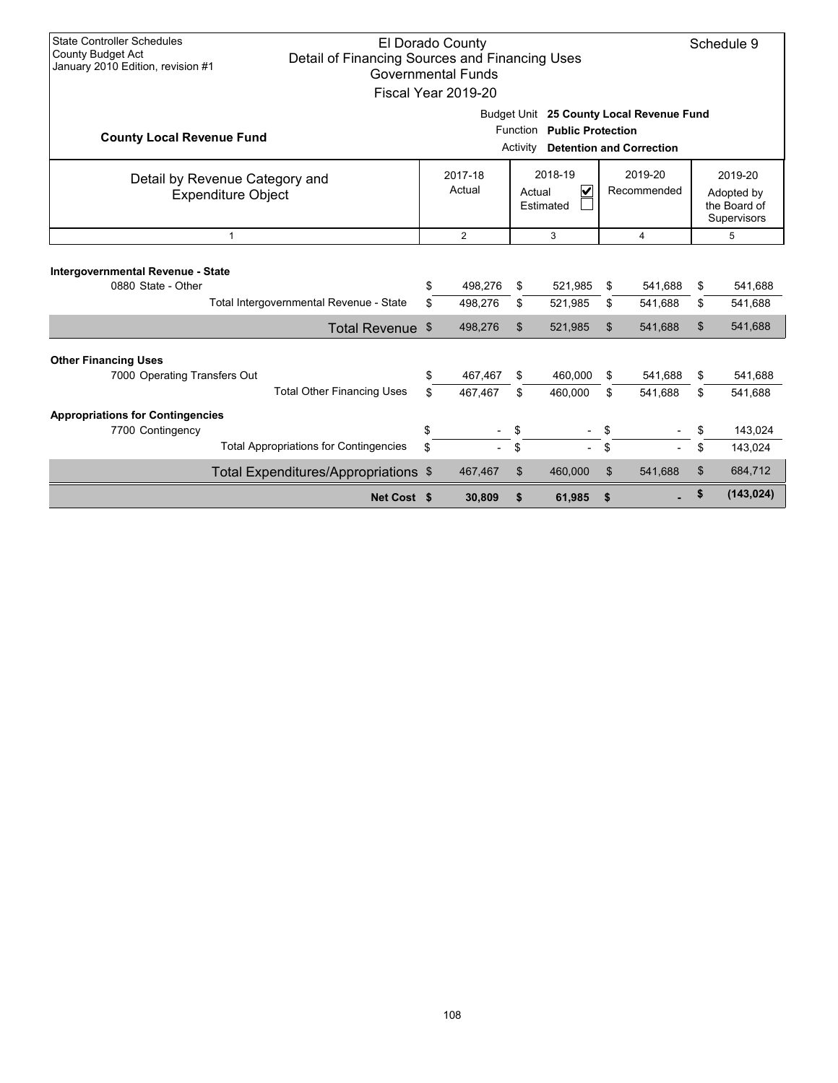| <b>State Controller Schedules</b><br>El Dorado County<br><b>County Budget Act</b><br>Detail of Financing Sources and Financing Uses<br>January 2010 Edition, revision #1<br>Governmental Funds<br>Fiscal Year 2019-20 |                                                             |                                                                                                                                 |                   |    |                                                           |                        |         |    | Schedule 9                                           |  |  |
|-----------------------------------------------------------------------------------------------------------------------------------------------------------------------------------------------------------------------|-------------------------------------------------------------|---------------------------------------------------------------------------------------------------------------------------------|-------------------|----|-----------------------------------------------------------|------------------------|---------|----|------------------------------------------------------|--|--|
| <b>County Local Revenue Fund</b>                                                                                                                                                                                      |                                                             | Budget Unit 25 County Local Revenue Fund<br>Function<br><b>Public Protection</b><br><b>Detention and Correction</b><br>Activity |                   |    |                                                           |                        |         |    |                                                      |  |  |
|                                                                                                                                                                                                                       | Detail by Revenue Category and<br><b>Expenditure Object</b> |                                                                                                                                 | 2017-18<br>Actual |    | 2018-19<br>$\overline{\mathsf{v}}$<br>Actual<br>Estimated | 2019-20<br>Recommended |         |    | 2019-20<br>Adopted by<br>the Board of<br>Supervisors |  |  |
|                                                                                                                                                                                                                       | $\mathbf{1}$                                                |                                                                                                                                 | $\overline{2}$    |    | 3                                                         |                        | 4       |    | 5                                                    |  |  |
| Intergovernmental Revenue - State<br>0880 State - Other                                                                                                                                                               |                                                             | S                                                                                                                               | 498,276           | \$ | 521,985                                                   | \$                     | 541,688 | \$ | 541,688                                              |  |  |
|                                                                                                                                                                                                                       | Total Intergovernmental Revenue - State                     | \$                                                                                                                              | 498,276           | \$ | 521,985                                                   | \$                     | 541,688 | \$ | 541,688                                              |  |  |
|                                                                                                                                                                                                                       | Total Revenue \$                                            |                                                                                                                                 | 498,276           | \$ | 521,985                                                   | $\mathfrak{L}$         | 541,688 | \$ | 541,688                                              |  |  |
| <b>Other Financing Uses</b>                                                                                                                                                                                           |                                                             |                                                                                                                                 |                   |    |                                                           |                        |         |    |                                                      |  |  |
| 7000 Operating Transfers Out                                                                                                                                                                                          |                                                             | \$                                                                                                                              | 467,467           | \$ | 460,000                                                   | \$                     | 541.688 | \$ | 541,688                                              |  |  |
|                                                                                                                                                                                                                       | <b>Total Other Financing Uses</b>                           | \$.                                                                                                                             | 467,467           | \$ | 460,000                                                   | \$                     | 541,688 | \$ | 541,688                                              |  |  |
| <b>Appropriations for Contingencies</b>                                                                                                                                                                               |                                                             |                                                                                                                                 |                   |    |                                                           |                        |         |    |                                                      |  |  |
| 7700 Contingency                                                                                                                                                                                                      |                                                             | \$                                                                                                                              | $\overline{a}$    | \$ |                                                           | \$                     |         | \$ | 143,024                                              |  |  |
|                                                                                                                                                                                                                       | <b>Total Appropriations for Contingencies</b>               | \$                                                                                                                              |                   | \$ |                                                           | \$                     |         | \$ | 143,024                                              |  |  |
|                                                                                                                                                                                                                       | Total Expenditures/Appropriations \$                        |                                                                                                                                 | 467,467           | \$ | 460,000                                                   | \$                     | 541,688 | \$ | 684,712                                              |  |  |
|                                                                                                                                                                                                                       | Net Cost \$                                                 |                                                                                                                                 | 30,809            | \$ | 61,985                                                    | \$                     |         | S  | (143, 024)                                           |  |  |